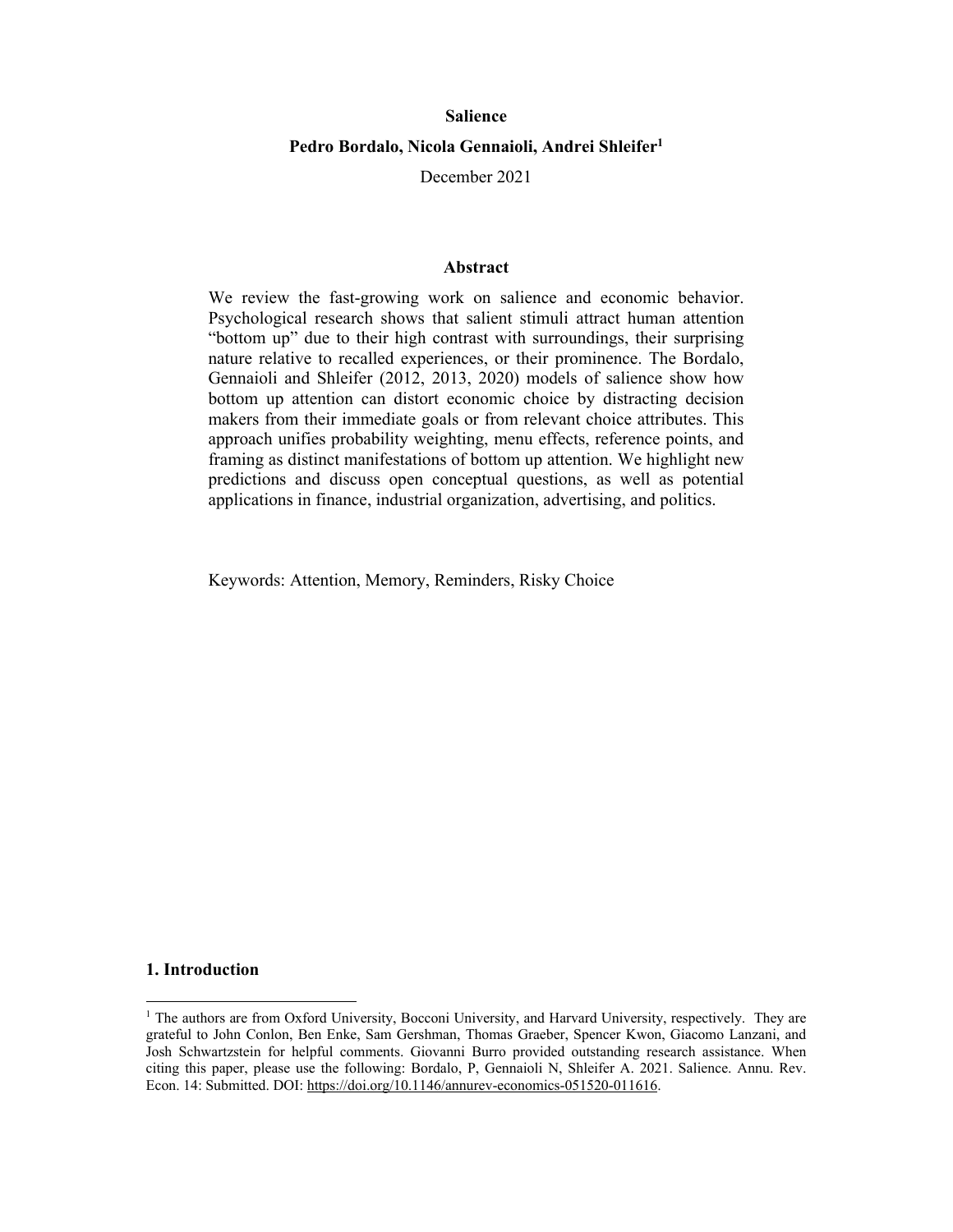#### **Salience**

## **Pedro Bordalo, Nicola Gennaioli, Andrei Shleifer1**

December 2021

#### **Abstract**

We review the fast-growing work on salience and economic behavior. Psychological research shows that salient stimuli attract human attention "bottom up" due to their high contrast with surroundings, their surprising nature relative to recalled experiences, or their prominence. The Bordalo, Gennaioli and Shleifer (2012, 2013, 2020) models of salience show how bottom up attention can distort economic choice by distracting decision makers from their immediate goals or from relevant choice attributes. This approach unifies probability weighting, menu effects, reference points, and framing as distinct manifestations of bottom up attention. We highlight new predictions and discuss open conceptual questions, as well as potential applications in finance, industrial organization, advertising, and politics.

Keywords: Attention, Memory, Reminders, Risky Choice

#### **1. Introduction**

<sup>&</sup>lt;sup>1</sup> The authors are from Oxford University, Bocconi University, and Harvard University, respectively. They are grateful to John Conlon, Ben Enke, Sam Gershman, Thomas Graeber, Spencer Kwon, Giacomo Lanzani, and Josh Schwartzstein for helpful comments. Giovanni Burro provided outstanding research assistance. When citing this paper, please use the following: Bordalo, P, Gennaioli N, Shleifer A. 2021. Salience. Annu. Rev. Econ. 14: Submitted. DOI: https://doi.org/10.1146/annurev-economics-051520-011616.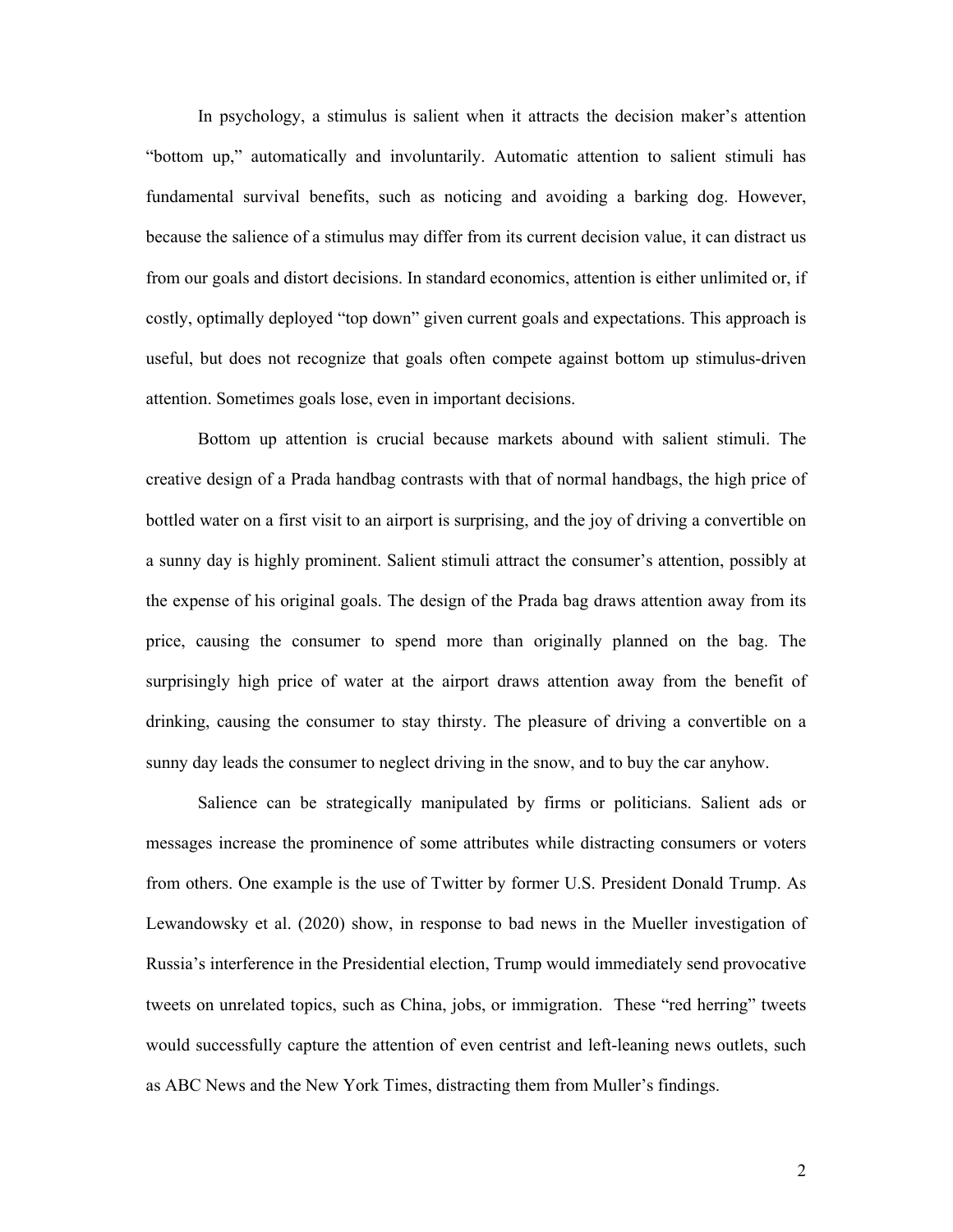In psychology, a stimulus is salient when it attracts the decision maker's attention "bottom up," automatically and involuntarily. Automatic attention to salient stimuli has fundamental survival benefits, such as noticing and avoiding a barking dog. However, because the salience of a stimulus may differ from its current decision value, it can distract us from our goals and distort decisions. In standard economics, attention is either unlimited or, if costly, optimally deployed "top down" given current goals and expectations. This approach is useful, but does not recognize that goals often compete against bottom up stimulus-driven attention. Sometimes goals lose, even in important decisions.

Bottom up attention is crucial because markets abound with salient stimuli. The creative design of a Prada handbag contrasts with that of normal handbags, the high price of bottled water on a first visit to an airport is surprising, and the joy of driving a convertible on a sunny day is highly prominent. Salient stimuli attract the consumer's attention, possibly at the expense of his original goals. The design of the Prada bag draws attention away from its price, causing the consumer to spend more than originally planned on the bag. The surprisingly high price of water at the airport draws attention away from the benefit of drinking, causing the consumer to stay thirsty. The pleasure of driving a convertible on a sunny day leads the consumer to neglect driving in the snow, and to buy the car anyhow.

Salience can be strategically manipulated by firms or politicians. Salient ads or messages increase the prominence of some attributes while distracting consumers or voters from others. One example is the use of Twitter by former U.S. President Donald Trump. As Lewandowsky et al. (2020) show, in response to bad news in the Mueller investigation of Russia's interference in the Presidential election, Trump would immediately send provocative tweets on unrelated topics, such as China, jobs, or immigration. These "red herring" tweets would successfully capture the attention of even centrist and left-leaning news outlets, such as ABC News and the New York Times, distracting them from Muller's findings.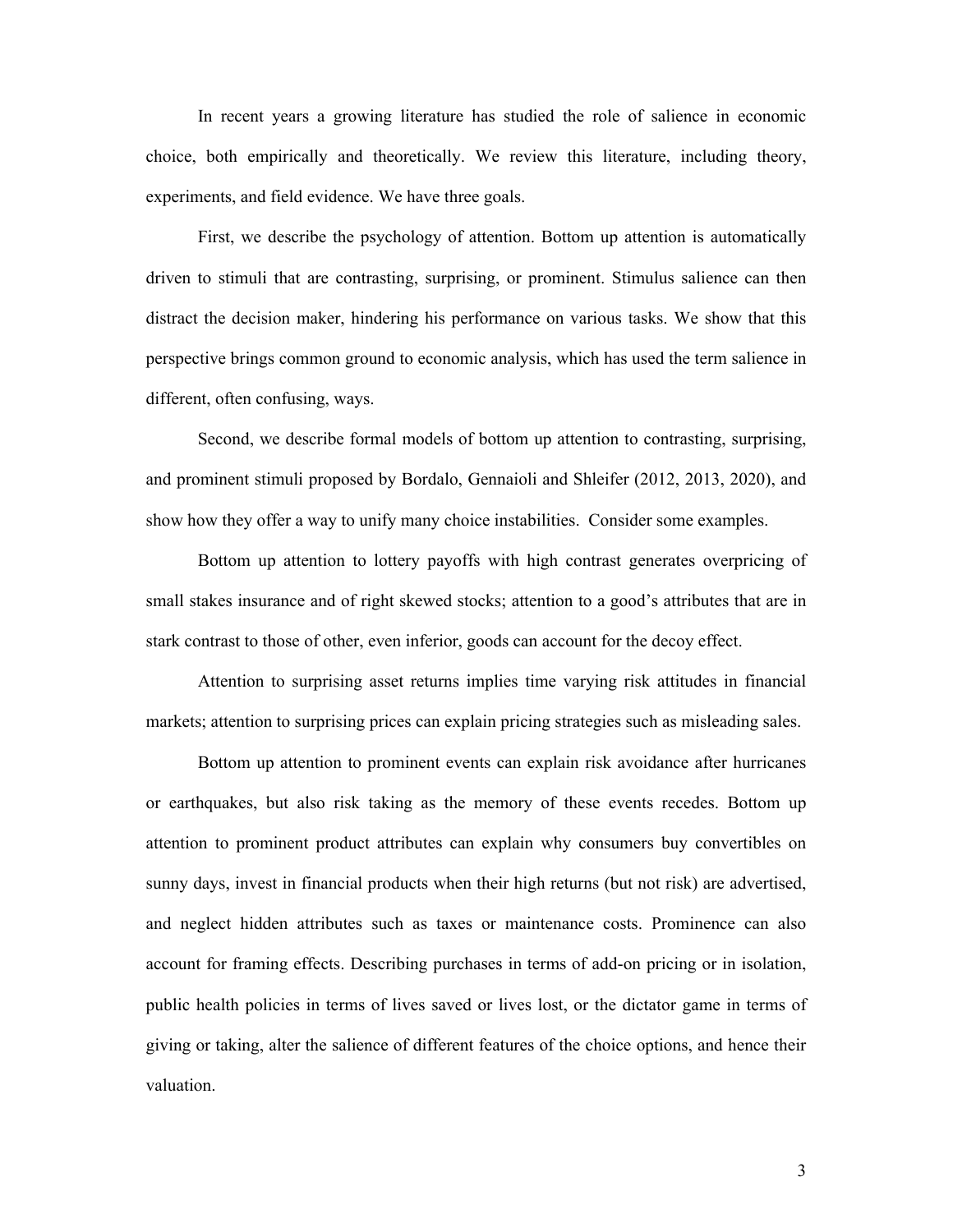In recent years a growing literature has studied the role of salience in economic choice, both empirically and theoretically. We review this literature, including theory, experiments, and field evidence. We have three goals.

First, we describe the psychology of attention. Bottom up attention is automatically driven to stimuli that are contrasting, surprising, or prominent. Stimulus salience can then distract the decision maker, hindering his performance on various tasks. We show that this perspective brings common ground to economic analysis, which has used the term salience in different, often confusing, ways.

Second, we describe formal models of bottom up attention to contrasting, surprising, and prominent stimuli proposed by Bordalo, Gennaioli and Shleifer (2012, 2013, 2020), and show how they offer a way to unify many choice instabilities. Consider some examples.

Bottom up attention to lottery payoffs with high contrast generates overpricing of small stakes insurance and of right skewed stocks; attention to a good's attributes that are in stark contrast to those of other, even inferior, goods can account for the decoy effect.

Attention to surprising asset returns implies time varying risk attitudes in financial markets; attention to surprising prices can explain pricing strategies such as misleading sales.

Bottom up attention to prominent events can explain risk avoidance after hurricanes or earthquakes, but also risk taking as the memory of these events recedes. Bottom up attention to prominent product attributes can explain why consumers buy convertibles on sunny days, invest in financial products when their high returns (but not risk) are advertised, and neglect hidden attributes such as taxes or maintenance costs. Prominence can also account for framing effects. Describing purchases in terms of add-on pricing or in isolation, public health policies in terms of lives saved or lives lost, or the dictator game in terms of giving or taking, alter the salience of different features of the choice options, and hence their valuation.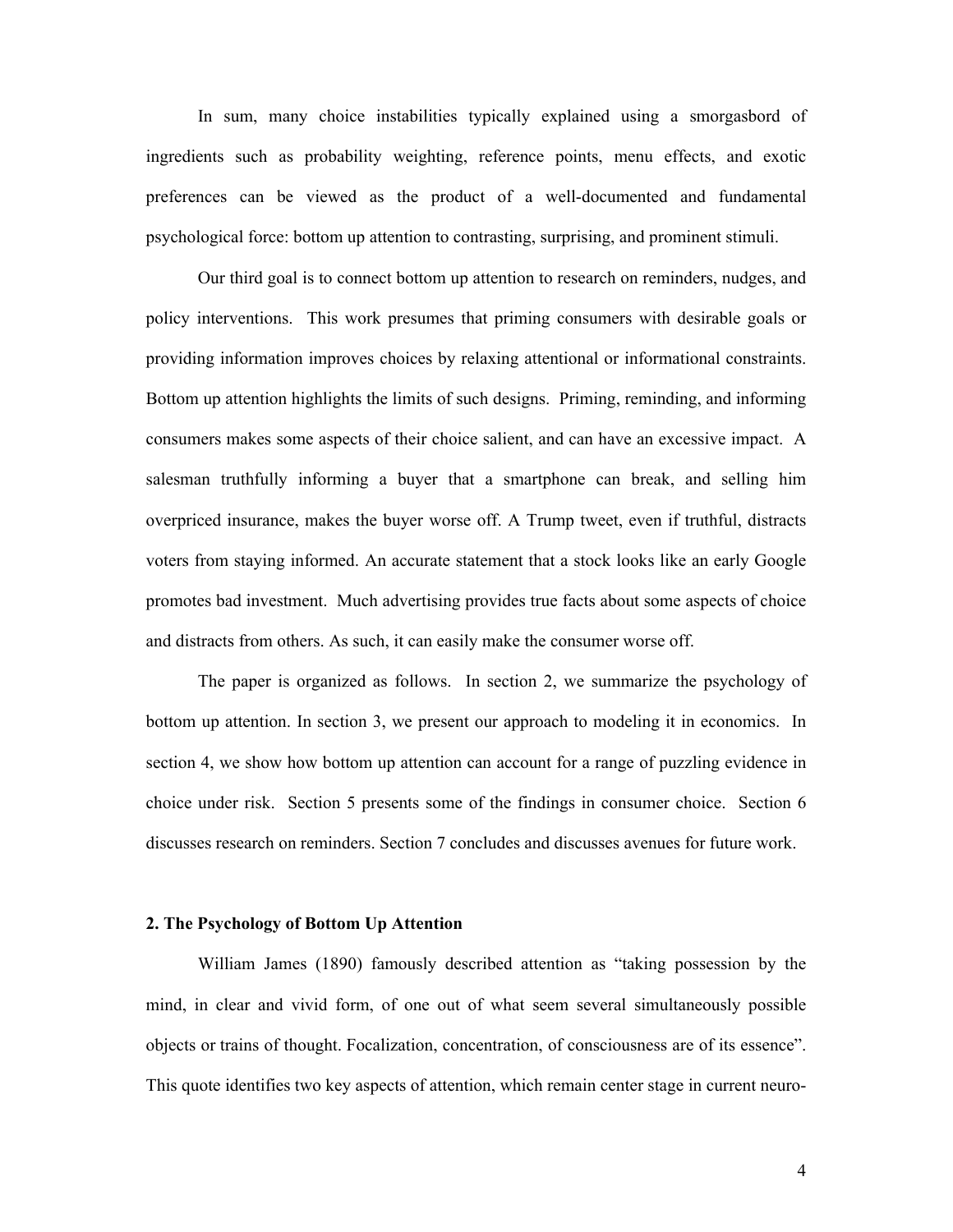In sum, many choice instabilities typically explained using a smorgasbord of ingredients such as probability weighting, reference points, menu effects, and exotic preferences can be viewed as the product of a well-documented and fundamental psychological force: bottom up attention to contrasting, surprising, and prominent stimuli.

Our third goal is to connect bottom up attention to research on reminders, nudges, and policy interventions. This work presumes that priming consumers with desirable goals or providing information improves choices by relaxing attentional or informational constraints. Bottom up attention highlights the limits of such designs. Priming, reminding, and informing consumers makes some aspects of their choice salient, and can have an excessive impact. A salesman truthfully informing a buyer that a smartphone can break, and selling him overpriced insurance, makes the buyer worse off. A Trump tweet, even if truthful, distracts voters from staying informed. An accurate statement that a stock looks like an early Google promotes bad investment. Much advertising provides true facts about some aspects of choice and distracts from others. As such, it can easily make the consumer worse off.

The paper is organized as follows. In section 2, we summarize the psychology of bottom up attention. In section 3, we present our approach to modeling it in economics. In section 4, we show how bottom up attention can account for a range of puzzling evidence in choice under risk. Section 5 presents some of the findings in consumer choice. Section 6 discusses research on reminders. Section 7 concludes and discusses avenues for future work.

# **2. The Psychology of Bottom Up Attention**

William James (1890) famously described attention as "taking possession by the mind, in clear and vivid form, of one out of what seem several simultaneously possible objects or trains of thought. Focalization, concentration, of consciousness are of its essence". This quote identifies two key aspects of attention, which remain center stage in current neuro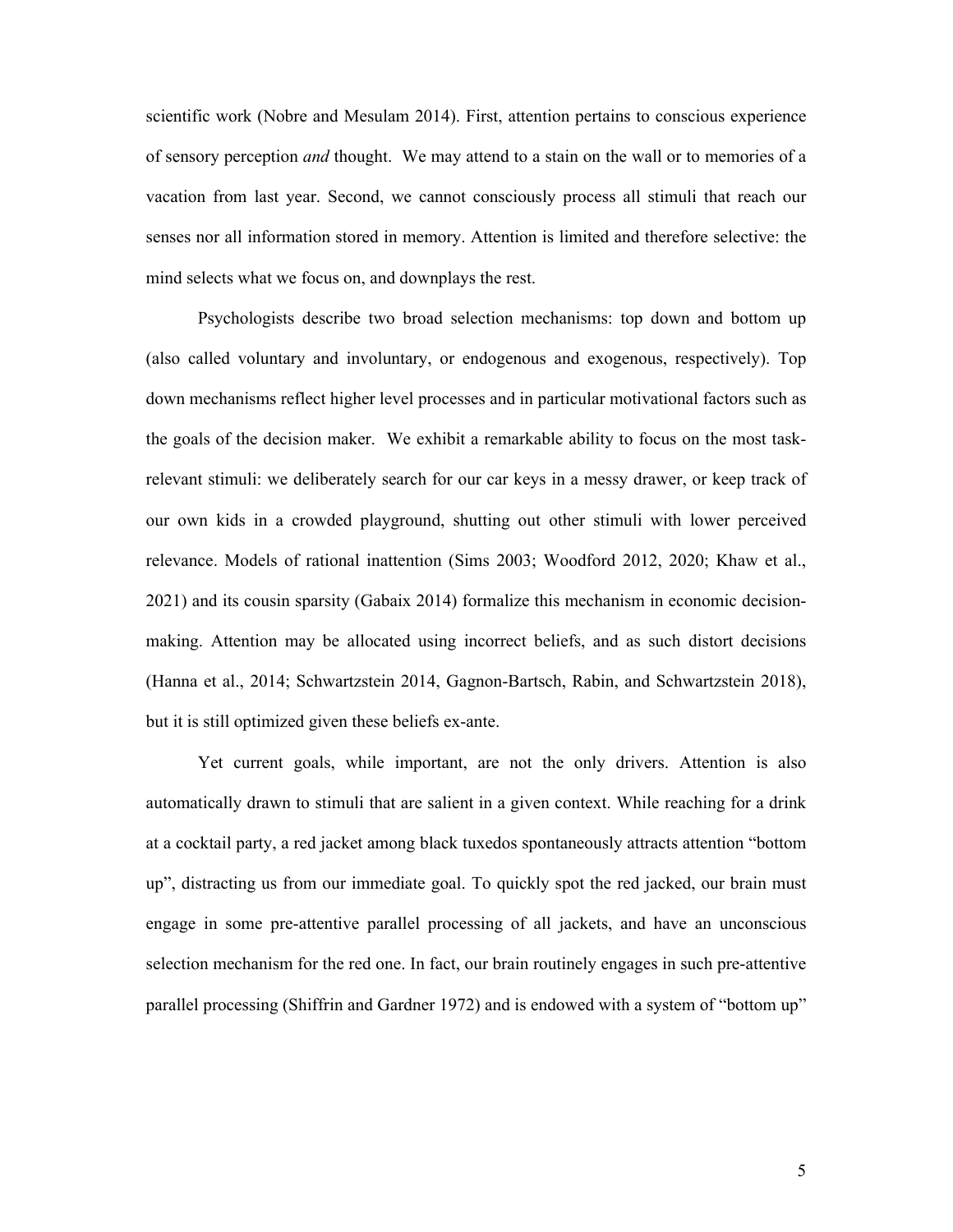scientific work (Nobre and Mesulam 2014). First, attention pertains to conscious experience of sensory perception *and* thought. We may attend to a stain on the wall or to memories of a vacation from last year. Second, we cannot consciously process all stimuli that reach our senses nor all information stored in memory. Attention is limited and therefore selective: the mind selects what we focus on, and downplays the rest.

Psychologists describe two broad selection mechanisms: top down and bottom up (also called voluntary and involuntary, or endogenous and exogenous, respectively). Top down mechanisms reflect higher level processes and in particular motivational factors such as the goals of the decision maker. We exhibit a remarkable ability to focus on the most taskrelevant stimuli: we deliberately search for our car keys in a messy drawer, or keep track of our own kids in a crowded playground, shutting out other stimuli with lower perceived relevance. Models of rational inattention (Sims 2003; Woodford 2012, 2020; Khaw et al., 2021) and its cousin sparsity (Gabaix 2014) formalize this mechanism in economic decisionmaking. Attention may be allocated using incorrect beliefs, and as such distort decisions (Hanna et al., 2014; Schwartzstein 2014, Gagnon-Bartsch, Rabin, and Schwartzstein 2018), but it is still optimized given these beliefs ex-ante.

Yet current goals, while important, are not the only drivers. Attention is also automatically drawn to stimuli that are salient in a given context. While reaching for a drink at a cocktail party, a red jacket among black tuxedos spontaneously attracts attention "bottom up", distracting us from our immediate goal. To quickly spot the red jacked, our brain must engage in some pre-attentive parallel processing of all jackets, and have an unconscious selection mechanism for the red one. In fact, our brain routinely engages in such pre-attentive parallel processing (Shiffrin and Gardner 1972) and is endowed with a system of "bottom up"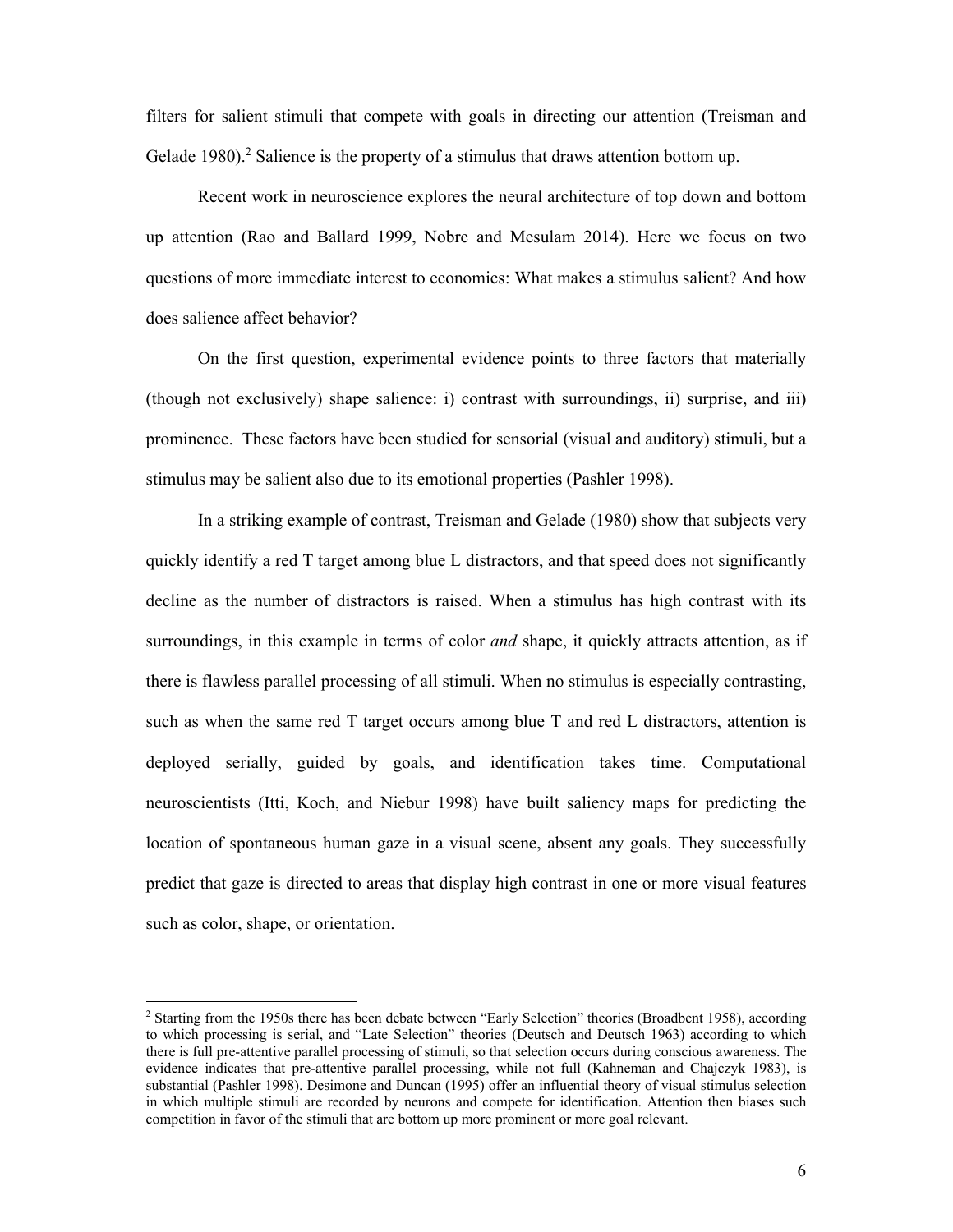filters for salient stimuli that compete with goals in directing our attention (Treisman and Gelade 1980).<sup>2</sup> Salience is the property of a stimulus that draws attention bottom up.

Recent work in neuroscience explores the neural architecture of top down and bottom up attention (Rao and Ballard 1999, Nobre and Mesulam 2014). Here we focus on two questions of more immediate interest to economics: What makes a stimulus salient? And how does salience affect behavior?

On the first question, experimental evidence points to three factors that materially (though not exclusively) shape salience: i) contrast with surroundings, ii) surprise, and iii) prominence. These factors have been studied for sensorial (visual and auditory) stimuli, but a stimulus may be salient also due to its emotional properties (Pashler 1998).

In a striking example of contrast, Treisman and Gelade (1980) show that subjects very quickly identify a red T target among blue L distractors, and that speed does not significantly decline as the number of distractors is raised. When a stimulus has high contrast with its surroundings, in this example in terms of color *and* shape, it quickly attracts attention, as if there is flawless parallel processing of all stimuli. When no stimulus is especially contrasting, such as when the same red T target occurs among blue T and red L distractors, attention is deployed serially, guided by goals, and identification takes time. Computational neuroscientists (Itti, Koch, and Niebur 1998) have built saliency maps for predicting the location of spontaneous human gaze in a visual scene, absent any goals. They successfully predict that gaze is directed to areas that display high contrast in one or more visual features such as color, shape, or orientation.

<sup>&</sup>lt;sup>2</sup> Starting from the 1950s there has been debate between "Early Selection" theories (Broadbent 1958), according to which processing is serial, and "Late Selection" theories (Deutsch and Deutsch 1963) according to which there is full pre-attentive parallel processing of stimuli, so that selection occurs during conscious awareness. The evidence indicates that pre-attentive parallel processing, while not full (Kahneman and Chajczyk 1983), is substantial (Pashler 1998). Desimone and Duncan (1995) offer an influential theory of visual stimulus selection in which multiple stimuli are recorded by neurons and compete for identification. Attention then biases such competition in favor of the stimuli that are bottom up more prominent or more goal relevant.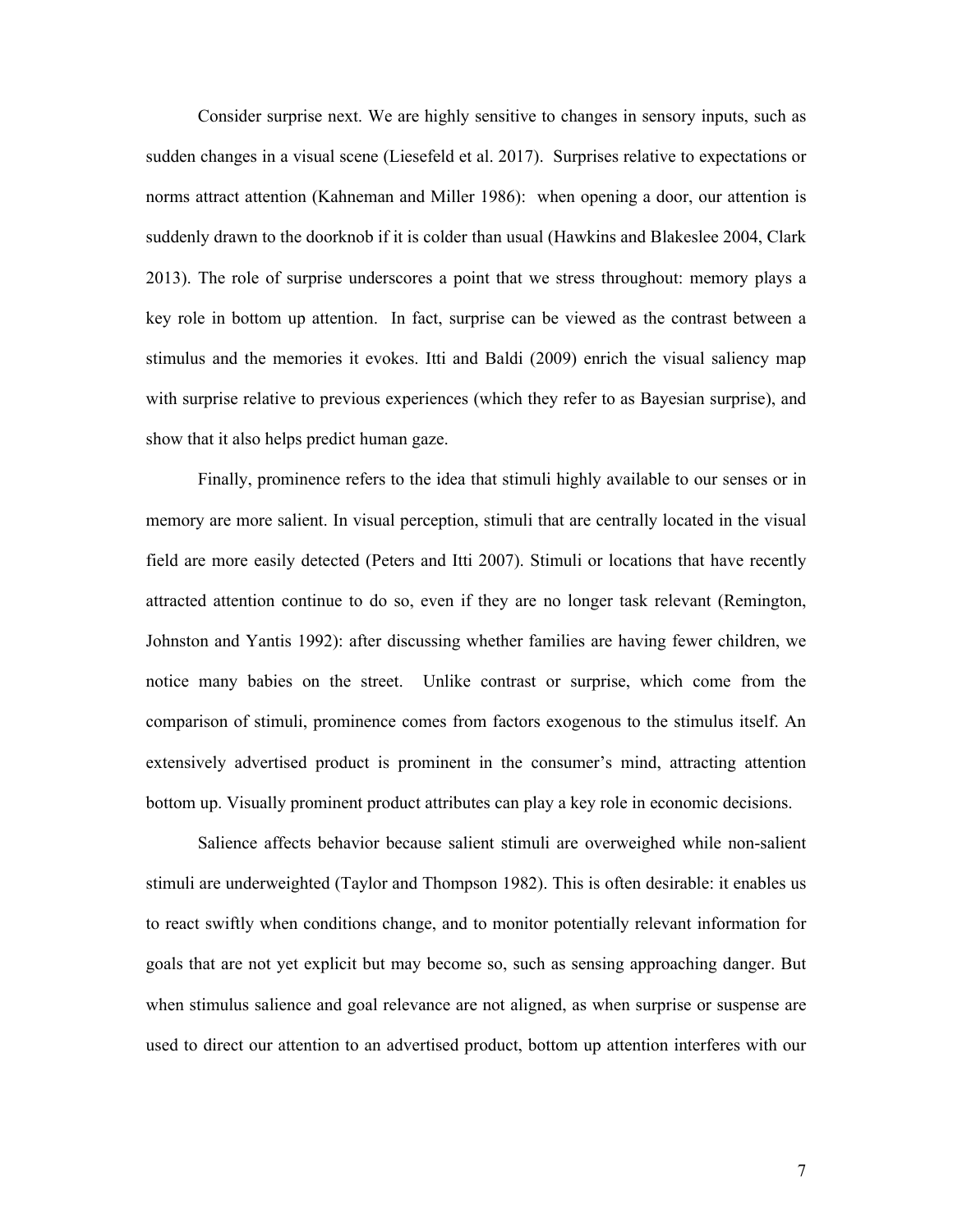Consider surprise next. We are highly sensitive to changes in sensory inputs, such as sudden changes in a visual scene (Liesefeld et al. 2017). Surprises relative to expectations or norms attract attention (Kahneman and Miller 1986): when opening a door, our attention is suddenly drawn to the doorknob if it is colder than usual (Hawkins and Blakeslee 2004, Clark 2013). The role of surprise underscores a point that we stress throughout: memory plays a key role in bottom up attention. In fact, surprise can be viewed as the contrast between a stimulus and the memories it evokes. Itti and Baldi (2009) enrich the visual saliency map with surprise relative to previous experiences (which they refer to as Bayesian surprise), and show that it also helps predict human gaze.

Finally, prominence refers to the idea that stimuli highly available to our senses or in memory are more salient. In visual perception, stimuli that are centrally located in the visual field are more easily detected (Peters and Itti 2007). Stimuli or locations that have recently attracted attention continue to do so, even if they are no longer task relevant (Remington, Johnston and Yantis 1992): after discussing whether families are having fewer children, we notice many babies on the street. Unlike contrast or surprise, which come from the comparison of stimuli, prominence comes from factors exogenous to the stimulus itself. An extensively advertised product is prominent in the consumer's mind, attracting attention bottom up. Visually prominent product attributes can play a key role in economic decisions.

Salience affects behavior because salient stimuli are overweighed while non-salient stimuli are underweighted (Taylor and Thompson 1982). This is often desirable: it enables us to react swiftly when conditions change, and to monitor potentially relevant information for goals that are not yet explicit but may become so, such as sensing approaching danger. But when stimulus salience and goal relevance are not aligned, as when surprise or suspense are used to direct our attention to an advertised product, bottom up attention interferes with our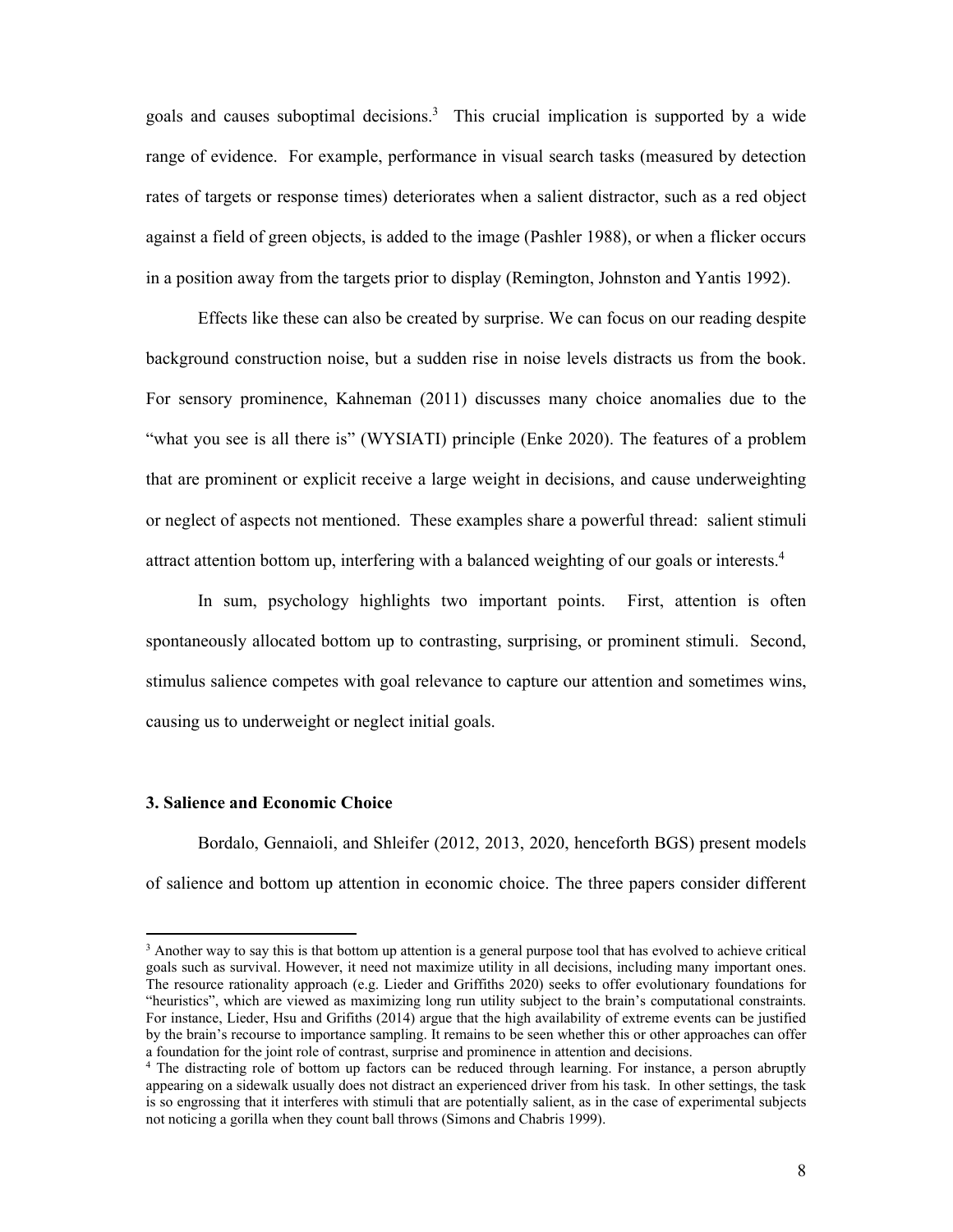goals and causes suboptimal decisions.<sup>3</sup> This crucial implication is supported by a wide range of evidence. For example, performance in visual search tasks (measured by detection rates of targets or response times) deteriorates when a salient distractor, such as a red object against a field of green objects, is added to the image (Pashler 1988), or when a flicker occurs in a position away from the targets prior to display (Remington, Johnston and Yantis 1992).

Effects like these can also be created by surprise. We can focus on our reading despite background construction noise, but a sudden rise in noise levels distracts us from the book. For sensory prominence, Kahneman (2011) discusses many choice anomalies due to the "what you see is all there is" (WYSIATI) principle (Enke 2020). The features of a problem that are prominent or explicit receive a large weight in decisions, and cause underweighting or neglect of aspects not mentioned. These examples share a powerful thread: salient stimuli attract attention bottom up, interfering with a balanced weighting of our goals or interests.<sup>4</sup>

In sum, psychology highlights two important points. First, attention is often spontaneously allocated bottom up to contrasting, surprising, or prominent stimuli. Second, stimulus salience competes with goal relevance to capture our attention and sometimes wins, causing us to underweight or neglect initial goals.

#### **3. Salience and Economic Choice**

Bordalo, Gennaioli, and Shleifer (2012, 2013, 2020, henceforth BGS) present models of salience and bottom up attention in economic choice. The three papers consider different

<sup>&</sup>lt;sup>3</sup> Another way to say this is that bottom up attention is a general purpose tool that has evolved to achieve critical goals such as survival. However, it need not maximize utility in all decisions, including many important ones. The resource rationality approach (e.g. Lieder and Griffiths 2020) seeks to offer evolutionary foundations for "heuristics", which are viewed as maximizing long run utility subject to the brain's computational constraints. For instance, Lieder, Hsu and Grifiths (2014) argue that the high availability of extreme events can be justified by the brain's recourse to importance sampling. It remains to be seen whether this or other approaches can offer a foundation for the joint role of contrast, surprise and prominence in attention and decisions.

<sup>4</sup> The distracting role of bottom up factors can be reduced through learning. For instance, a person abruptly appearing on a sidewalk usually does not distract an experienced driver from his task. In other settings, the task is so engrossing that it interferes with stimuli that are potentially salient, as in the case of experimental subjects not noticing a gorilla when they count ball throws (Simons and Chabris 1999).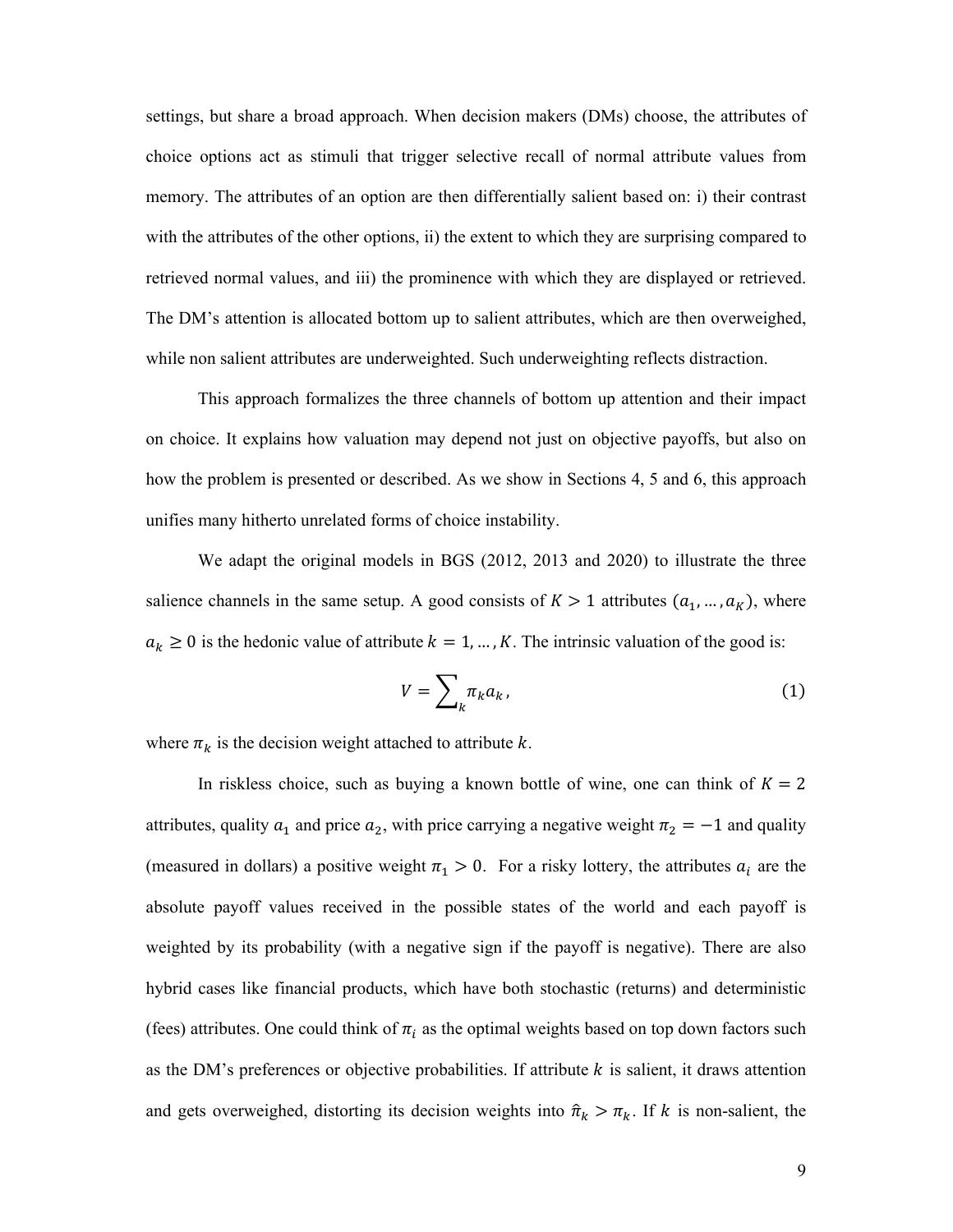settings, but share a broad approach. When decision makers (DMs) choose, the attributes of choice options act as stimuli that trigger selective recall of normal attribute values from memory. The attributes of an option are then differentially salient based on: i) their contrast with the attributes of the other options, ii) the extent to which they are surprising compared to retrieved normal values, and iii) the prominence with which they are displayed or retrieved. The DM's attention is allocated bottom up to salient attributes, which are then overweighed, while non salient attributes are underweighted. Such underweighting reflects distraction.

This approach formalizes the three channels of bottom up attention and their impact on choice. It explains how valuation may depend not just on objective payoffs, but also on how the problem is presented or described. As we show in Sections 4, 5 and 6, this approach unifies many hitherto unrelated forms of choice instability.

We adapt the original models in BGS (2012, 2013 and 2020) to illustrate the three salience channels in the same setup. A good consists of  $K > 1$  attributes  $(a_1, ..., a_K)$ , where  $a_k \ge 0$  is the hedonic value of attribute  $k = 1, ..., K$ . The intrinsic valuation of the good is:

$$
V = \sum_{k} \pi_{k} a_{k}, \qquad (1)
$$

where  $\pi_k$  is the decision weight attached to attribute  $k$ .

In riskless choice, such as buying a known bottle of wine, one can think of  $K = 2$ attributes, quality  $a_1$  and price  $a_2$ , with price carrying a negative weight  $\pi_2 = -1$  and quality (measured in dollars) a positive weight  $\pi_1 > 0$ . For a risky lottery, the attributes  $a_i$  are the absolute payoff values received in the possible states of the world and each payoff is weighted by its probability (with a negative sign if the payoff is negative). There are also hybrid cases like financial products, which have both stochastic (returns) and deterministic (fees) attributes. One could think of  $\pi_i$  as the optimal weights based on top down factors such as the DM's preferences or objective probabilities. If attribute  $k$  is salient, it draws attention and gets overweighed, distorting its decision weights into  $\hat{\pi}_k > \pi_k$ . If k is non-salient, the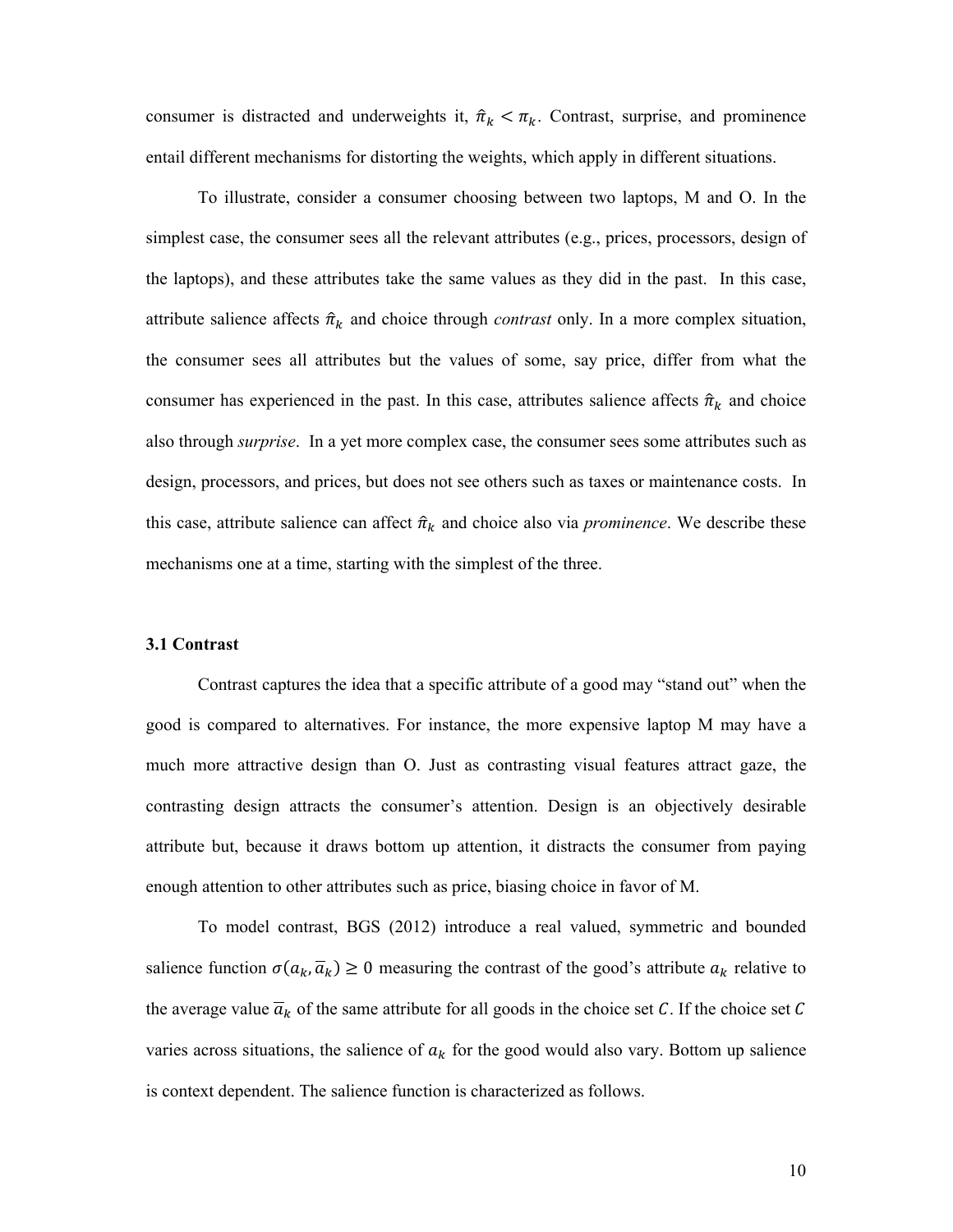consumer is distracted and underweights it,  $\hat{\pi}_k < \pi_k$ . Contrast, surprise, and prominence entail different mechanisms for distorting the weights, which apply in different situations.

To illustrate, consider a consumer choosing between two laptops, M and O. In the simplest case, the consumer sees all the relevant attributes (e.g., prices, processors, design of the laptops), and these attributes take the same values as they did in the past. In this case, attribute salience affects  $\hat{\pi}_k$  and choice through *contrast* only. In a more complex situation, the consumer sees all attributes but the values of some, say price, differ from what the consumer has experienced in the past. In this case, attributes salience affects  $\hat{\pi}_k$  and choice also through *surprise*. In a yet more complex case, the consumer sees some attributes such as design, processors, and prices, but does not see others such as taxes or maintenance costs. In this case, attribute salience can affect  $\hat{\pi}_k$  and choice also via *prominence*. We describe these mechanisms one at a time, starting with the simplest of the three.

#### **3.1 Contrast**

Contrast captures the idea that a specific attribute of a good may "stand out" when the good is compared to alternatives. For instance, the more expensive laptop M may have a much more attractive design than O. Just as contrasting visual features attract gaze, the contrasting design attracts the consumer's attention. Design is an objectively desirable attribute but, because it draws bottom up attention, it distracts the consumer from paying enough attention to other attributes such as price, biasing choice in favor of M.

To model contrast, BGS (2012) introduce a real valued, symmetric and bounded salience function  $\sigma(a_k, \overline{a}_k) \ge 0$  measuring the contrast of the good's attribute  $a_k$  relative to the average value  $\overline{a}_k$  of the same attribute for all goods in the choice set C. If the choice set C varies across situations, the salience of  $a_k$  for the good would also vary. Bottom up salience is context dependent. The salience function is characterized as follows.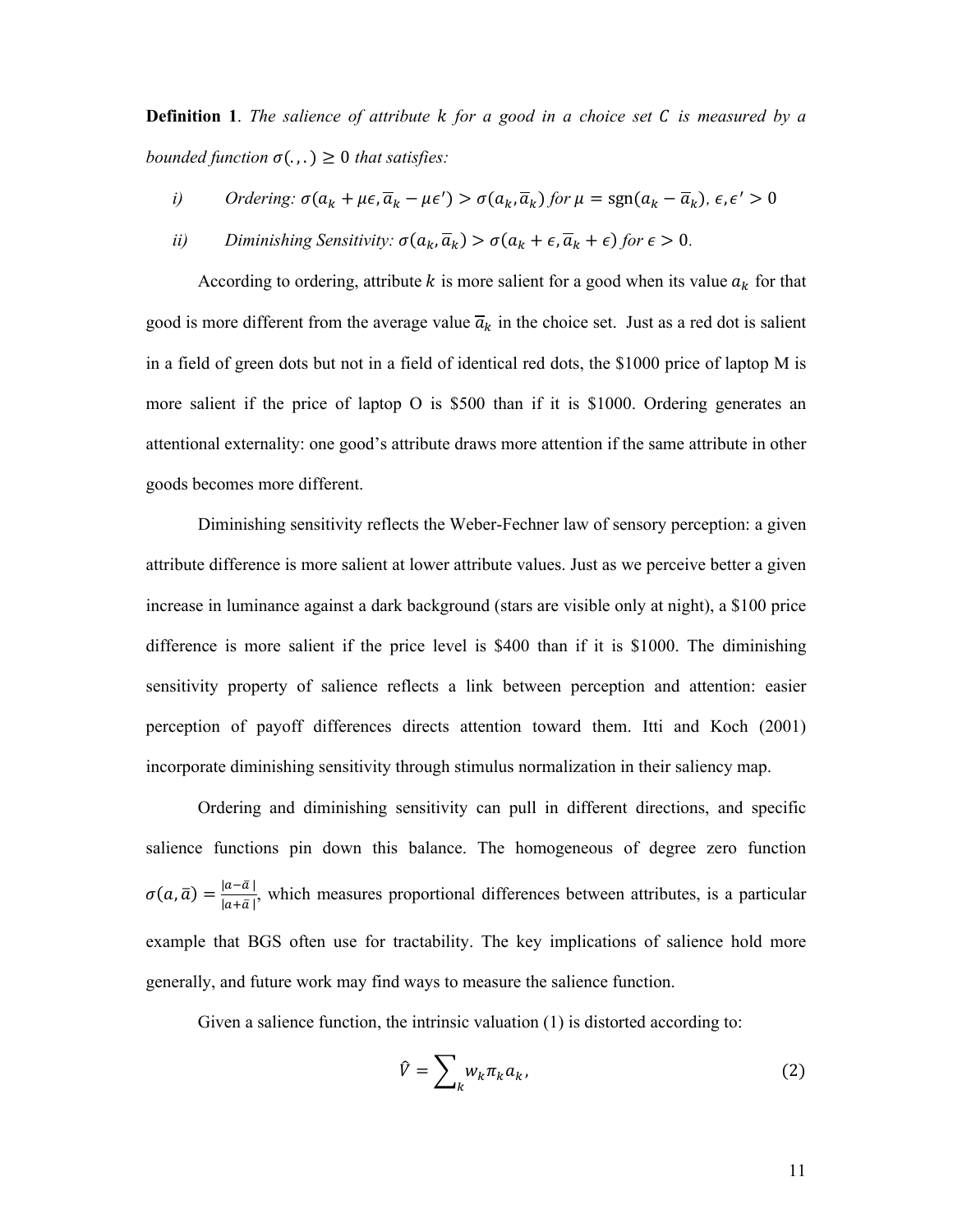**Definition 1**. *The salience of attribute for a good in a choice set is measured by a bounded function*  $\sigma(.,.) \geq 0$  *that satisfies:* 

*i*) *Ordering:*  $\sigma(a_k + \mu \epsilon, \overline{a}_k - \mu \epsilon') > \sigma(a_k, \overline{a}_k)$  *for*  $\mu = \text{sgn}(a_k - \overline{a}_k)$ ,  $\epsilon, \epsilon' > 0$ 

*ii*) *Diminishing Sensitivity:*  $\sigma(a_k, \overline{a}_k) > \sigma(a_k + \epsilon, \overline{a}_k + \epsilon)$  for  $\epsilon > 0$ .

According to ordering, attribute  $k$  is more salient for a good when its value  $a_k$  for that good is more different from the average value  $\overline{a}_k$  in the choice set. Just as a red dot is salient in a field of green dots but not in a field of identical red dots, the \$1000 price of laptop M is more salient if the price of laptop O is \$500 than if it is \$1000. Ordering generates an attentional externality: one good's attribute draws more attention if the same attribute in other goods becomes more different.

Diminishing sensitivity reflects the Weber-Fechner law of sensory perception: a given attribute difference is more salient at lower attribute values. Just as we perceive better a given increase in luminance against a dark background (stars are visible only at night), a \$100 price difference is more salient if the price level is \$400 than if it is \$1000. The diminishing sensitivity property of salience reflects a link between perception and attention: easier perception of payoff differences directs attention toward them. Itti and Koch (2001) incorporate diminishing sensitivity through stimulus normalization in their saliency map.

Ordering and diminishing sensitivity can pull in different directions, and specific salience functions pin down this balance. The homogeneous of degree zero function  $\sigma(a,\bar{a}) = \frac{|a-\bar{a}|}{|a+\bar{a}|}$ , which measures proportional differences between attributes, is a particular example that BGS often use for tractability. The key implications of salience hold more generally, and future work may find ways to measure the salience function.

Given a salience function, the intrinsic valuation (1) is distorted according to:

$$
\hat{V} = \sum_{k} w_k \pi_k a_k,\tag{2}
$$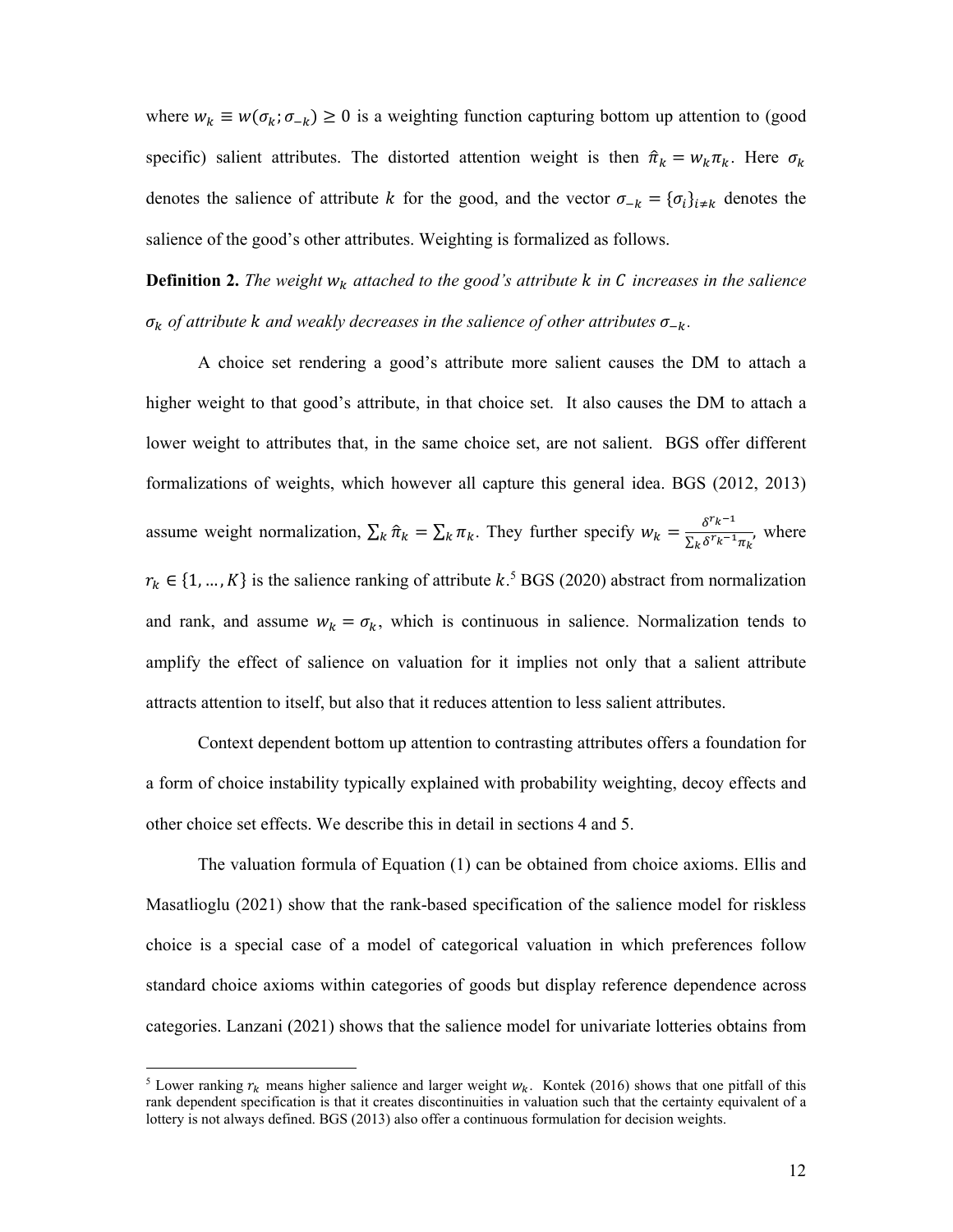where  $w_k \equiv w(\sigma_k; \sigma_{-k}) \ge 0$  is a weighting function capturing bottom up attention to (good specific) salient attributes. The distorted attention weight is then  $\hat{\pi}_k = w_k \pi_k$ . Here  $\sigma_k$ denotes the salience of attribute k for the good, and the vector  $\sigma_{-k} = {\{\sigma_i\}}_{i \neq k}$  denotes the salience of the good's other attributes. Weighting is formalized as follows.

**Definition 2.** *The weight*  $w_k$  attached to the good's attribute  $k$  in  $C$  increases in the salience  $\sigma_k$  *of attribute k and weakly decreases in the salience of other attributes*  $\sigma_{-k}$ *.* 

A choice set rendering a good's attribute more salient causes the DM to attach a higher weight to that good's attribute, in that choice set. It also causes the DM to attach a lower weight to attributes that, in the same choice set, are not salient. BGS offer different formalizations of weights, which however all capture this general idea. BGS (2012, 2013) assume weight normalization,  $\sum_k \hat{\pi}_k = \sum_k \pi_k$ . They further specify  $w_k = \frac{\delta^{r_k - 1}}{\sum_k \delta^{r_k - 1} \pi_k}$ , where  $r_k \in \{1, ..., K\}$  is the salience ranking of attribute k.<sup>5</sup> BGS (2020) abstract from normalization and rank, and assume  $w_k = \sigma_k$ , which is continuous in salience. Normalization tends to amplify the effect of salience on valuation for it implies not only that a salient attribute attracts attention to itself, but also that it reduces attention to less salient attributes.

Context dependent bottom up attention to contrasting attributes offers a foundation for a form of choice instability typically explained with probability weighting, decoy effects and other choice set effects. We describe this in detail in sections 4 and 5.

The valuation formula of Equation (1) can be obtained from choice axioms. Ellis and Masatlioglu (2021) show that the rank-based specification of the salience model for riskless choice is a special case of a model of categorical valuation in which preferences follow standard choice axioms within categories of goods but display reference dependence across categories. Lanzani (2021) shows that the salience model for univariate lotteries obtains from

<sup>&</sup>lt;sup>5</sup> Lower ranking  $r_k$  means higher salience and larger weight  $w_k$ . Kontek (2016) shows that one pitfall of this rank dependent specification is that it creates discontinuities in valuation such that the certainty equivalent of a lottery is not always defined. BGS (2013) also offer a continuous formulation for decision weights.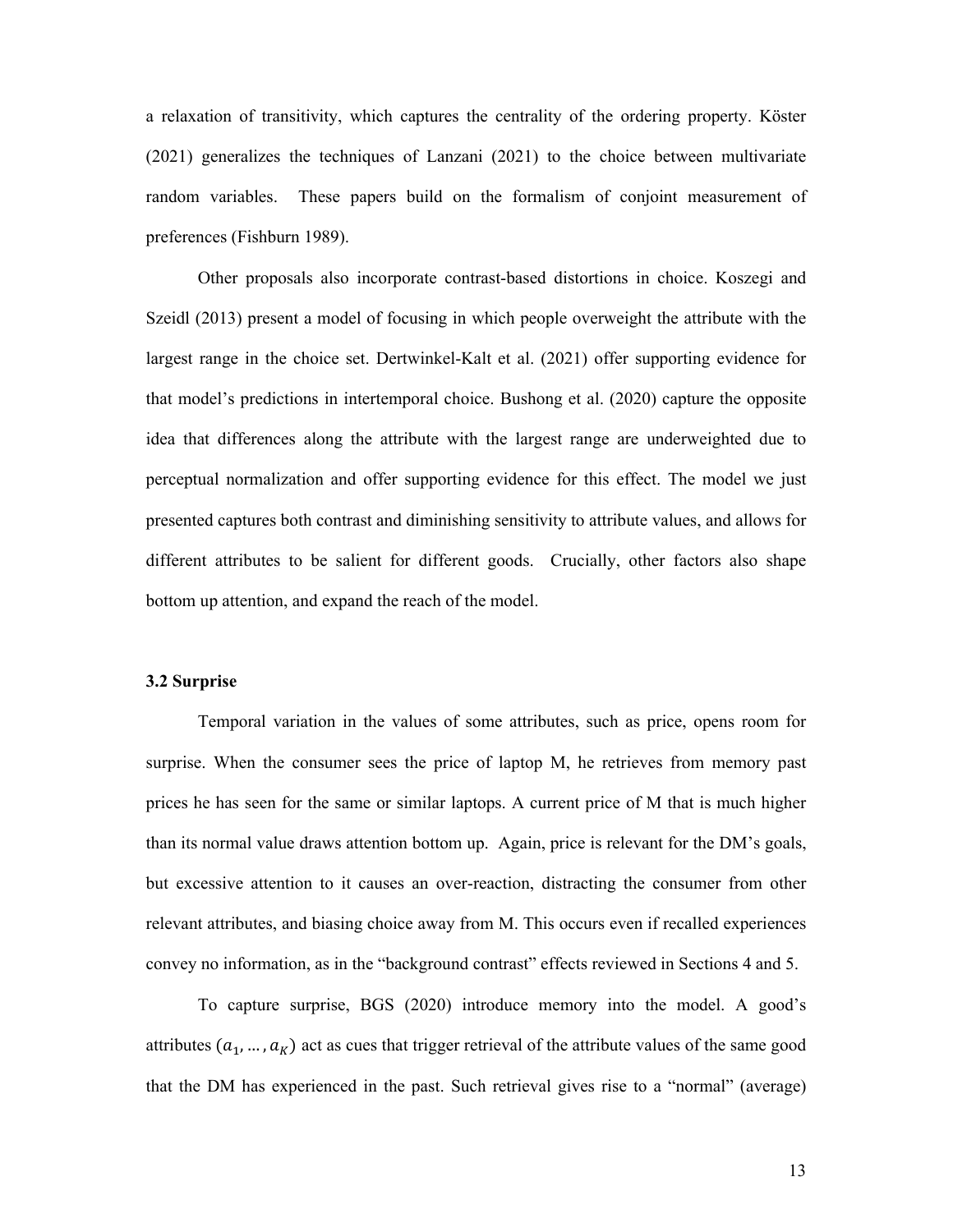a relaxation of transitivity, which captures the centrality of the ordering property. Köster (2021) generalizes the techniques of Lanzani (2021) to the choice between multivariate random variables. These papers build on the formalism of conjoint measurement of preferences (Fishburn 1989).

Other proposals also incorporate contrast-based distortions in choice. Koszegi and Szeidl (2013) present a model of focusing in which people overweight the attribute with the largest range in the choice set. Dertwinkel-Kalt et al. (2021) offer supporting evidence for that model's predictions in intertemporal choice. Bushong et al. (2020) capture the opposite idea that differences along the attribute with the largest range are underweighted due to perceptual normalization and offer supporting evidence for this effect. The model we just presented captures both contrast and diminishing sensitivity to attribute values, and allows for different attributes to be salient for different goods. Crucially, other factors also shape bottom up attention, and expand the reach of the model.

#### **3.2 Surprise**

Temporal variation in the values of some attributes, such as price, opens room for surprise. When the consumer sees the price of laptop M, he retrieves from memory past prices he has seen for the same or similar laptops. A current price of M that is much higher than its normal value draws attention bottom up. Again, price is relevant for the DM's goals, but excessive attention to it causes an over-reaction, distracting the consumer from other relevant attributes, and biasing choice away from M. This occurs even if recalled experiences convey no information, as in the "background contrast" effects reviewed in Sections 4 and 5.

To capture surprise, BGS (2020) introduce memory into the model. A good's attributes  $(a_1, ..., a_K)$  act as cues that trigger retrieval of the attribute values of the same good that the DM has experienced in the past. Such retrieval gives rise to a "normal" (average)

13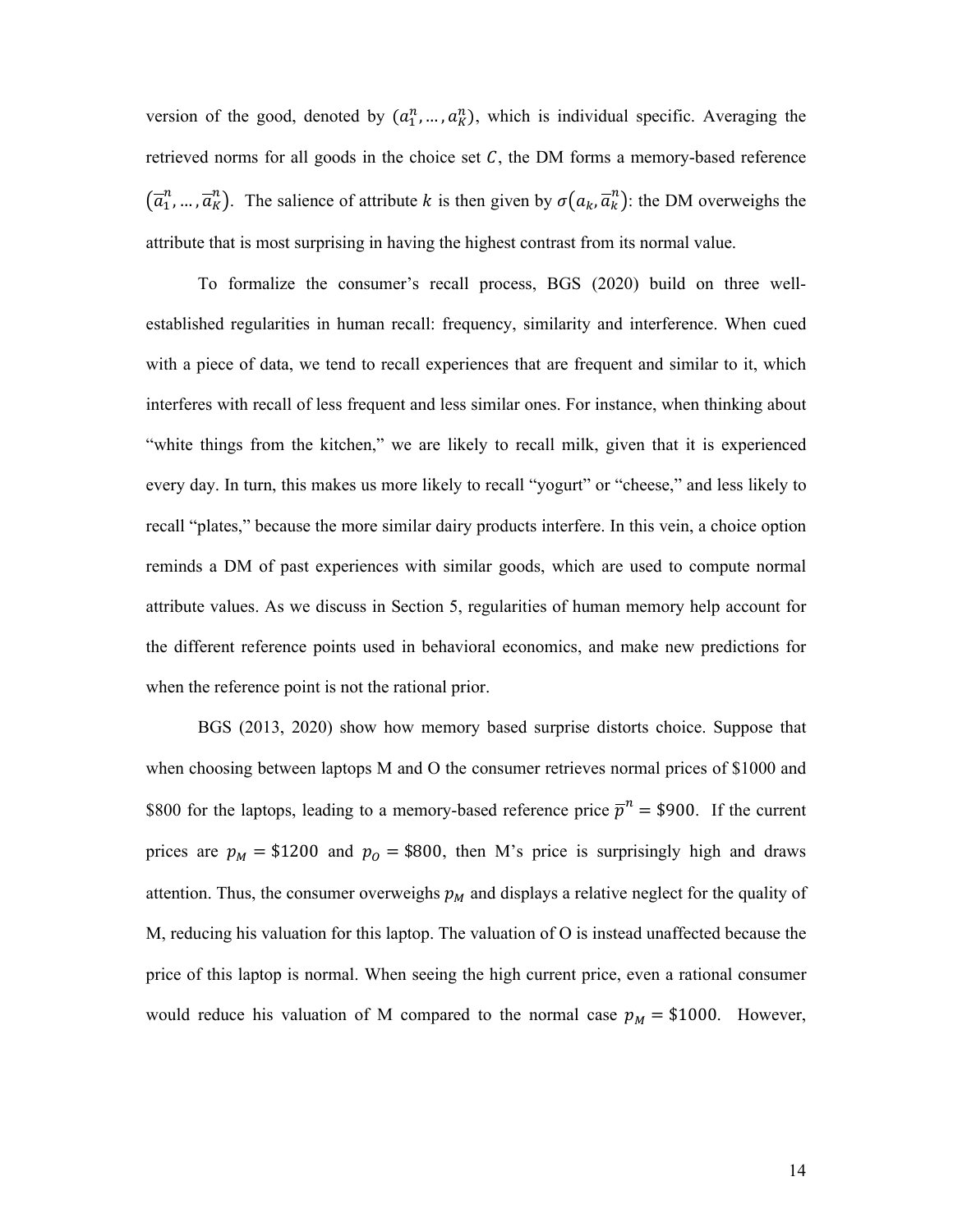version of the good, denoted by  $(a_1^n, ..., a_K^n)$ , which is individual specific. Averaging the retrieved norms for all goods in the choice set  $C$ , the DM forms a memory-based reference  $(\overline{a}_1^n, ..., \overline{a}_K^n)$ . The salience of attribute k is then given by  $\sigma(a_k, \overline{a}_k^n)$ : the DM overweighs the attribute that is most surprising in having the highest contrast from its normal value.

To formalize the consumer's recall process, BGS (2020) build on three wellestablished regularities in human recall: frequency, similarity and interference. When cued with a piece of data, we tend to recall experiences that are frequent and similar to it, which interferes with recall of less frequent and less similar ones. For instance, when thinking about "white things from the kitchen," we are likely to recall milk, given that it is experienced every day. In turn, this makes us more likely to recall "yogurt" or "cheese," and less likely to recall "plates," because the more similar dairy products interfere. In this vein, a choice option reminds a DM of past experiences with similar goods, which are used to compute normal attribute values. As we discuss in Section 5, regularities of human memory help account for the different reference points used in behavioral economics, and make new predictions for when the reference point is not the rational prior.

BGS (2013, 2020) show how memory based surprise distorts choice. Suppose that when choosing between laptops M and O the consumer retrieves normal prices of \$1000 and \$800 for the laptops, leading to a memory-based reference price  $\overline{p}^n = $900$ . If the current prices are  $p_M = $1200$  and  $p_O = $800$ , then M's price is surprisingly high and draws attention. Thus, the consumer overweighs  $p_M$  and displays a relative neglect for the quality of M, reducing his valuation for this laptop. The valuation of O is instead unaffected because the price of this laptop is normal. When seeing the high current price, even a rational consumer would reduce his valuation of M compared to the normal case  $p_M = $1000$ . However,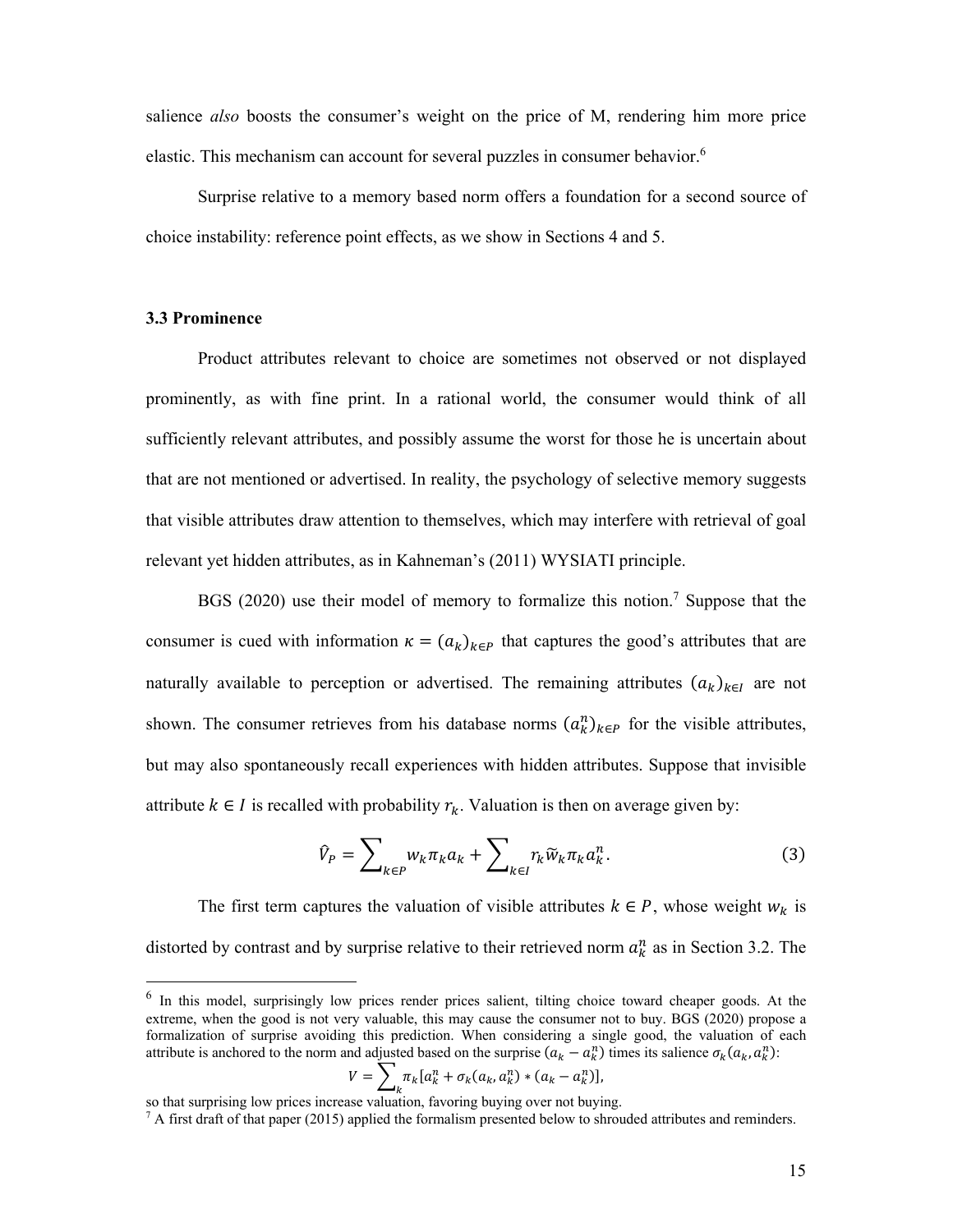salience *also* boosts the consumer's weight on the price of M, rendering him more price elastic. This mechanism can account for several puzzles in consumer behavior.<sup>6</sup>

Surprise relative to a memory based norm offers a foundation for a second source of choice instability: reference point effects, as we show in Sections 4 and 5.

## **3.3 Prominence**

Product attributes relevant to choice are sometimes not observed or not displayed prominently, as with fine print. In a rational world, the consumer would think of all sufficiently relevant attributes, and possibly assume the worst for those he is uncertain about that are not mentioned or advertised. In reality, the psychology of selective memory suggests that visible attributes draw attention to themselves, which may interfere with retrieval of goal relevant yet hidden attributes, as in Kahneman's (2011) WYSIATI principle.

BGS (2020) use their model of memory to formalize this notion.<sup>7</sup> Suppose that the consumer is cued with information  $\kappa = (a_k)_{k \in P}$  that captures the good's attributes that are naturally available to perception or advertised. The remaining attributes  $(a_k)_{k\in I}$  are not shown. The consumer retrieves from his database norms  $(a_k^n)_{k \in P}$  for the visible attributes, but may also spontaneously recall experiences with hidden attributes. Suppose that invisible attribute  $k \in I$  is recalled with probability  $r_k$ . Valuation is then on average given by:

$$
\hat{V}_P = \sum_{k \in P} w_k \pi_k a_k + \sum_{k \in I} r_k \widetilde{w}_k \pi_k a_k^n.
$$
 (3)

The first term captures the valuation of visible attributes  $k \in P$ , whose weight  $w_k$  is distorted by contrast and by surprise relative to their retrieved norm  $a_k^n$  as in Section 3.2. The

$$
V = \sum_{k} \pi_k [a_k^n + \sigma_k(a_k, a_k^n) * (a_k - a_k^n)],
$$

 $6\,$  In this model, surprisingly low prices render prices salient, tilting choice toward cheaper goods. At the extreme, when the good is not very valuable, this may cause the consumer not to buy. BGS (2020) propose a formalization of surprise avoiding this prediction. When considering a single good, the valuation of each attribute is anchored to the norm and adjusted based on the surprise  $(a_k - a_k^n)$  times its salience  $\sigma_k(a_k, a_k^n)$ :

so that surprising low prices increase valuation, favoring buying over not buying.

 $7$  A first draft of that paper (2015) applied the formalism presented below to shrouded attributes and reminders.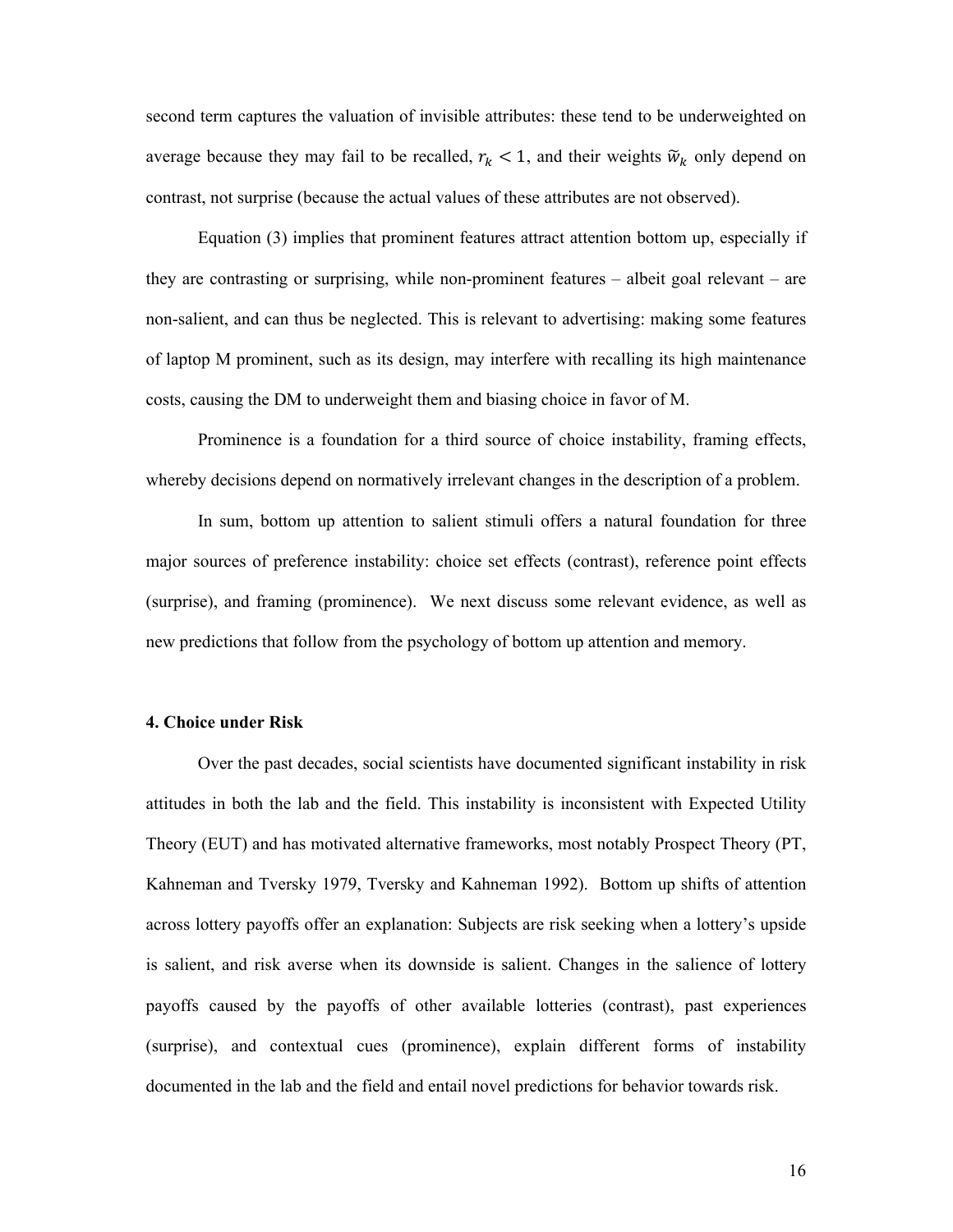second term captures the valuation of invisible attributes: these tend to be underweighted on average because they may fail to be recalled,  $r_k < 1$ , and their weights  $\widetilde{w}_k$  only depend on contrast, not surprise (because the actual values of these attributes are not observed).

Equation (3) implies that prominent features attract attention bottom up, especially if they are contrasting or surprising, while non-prominent features – albeit goal relevant – are non-salient, and can thus be neglected. This is relevant to advertising: making some features of laptop M prominent, such as its design, may interfere with recalling its high maintenance costs, causing the DM to underweight them and biasing choice in favor of M.

Prominence is a foundation for a third source of choice instability, framing effects, whereby decisions depend on normatively irrelevant changes in the description of a problem.

In sum, bottom up attention to salient stimuli offers a natural foundation for three major sources of preference instability: choice set effects (contrast), reference point effects (surprise), and framing (prominence). We next discuss some relevant evidence, as well as new predictions that follow from the psychology of bottom up attention and memory.

#### **4. Choice under Risk**

Over the past decades, social scientists have documented significant instability in risk attitudes in both the lab and the field. This instability is inconsistent with Expected Utility Theory (EUT) and has motivated alternative frameworks, most notably Prospect Theory (PT, Kahneman and Tversky 1979, Tversky and Kahneman 1992). Bottom up shifts of attention across lottery payoffs offer an explanation: Subjects are risk seeking when a lottery's upside is salient, and risk averse when its downside is salient. Changes in the salience of lottery payoffs caused by the payoffs of other available lotteries (contrast), past experiences (surprise), and contextual cues (prominence), explain different forms of instability documented in the lab and the field and entail novel predictions for behavior towards risk.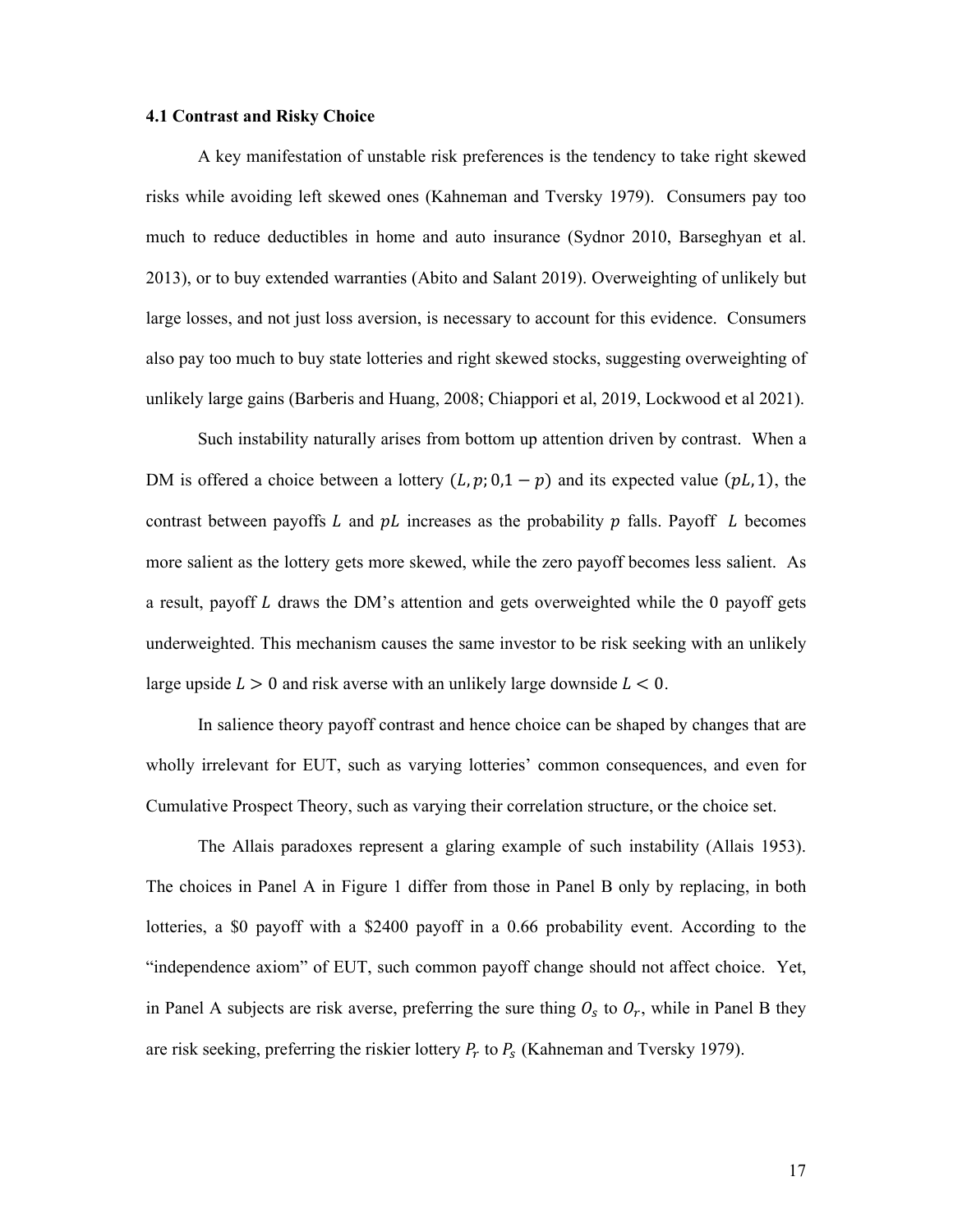## **4.1 Contrast and Risky Choice**

A key manifestation of unstable risk preferences is the tendency to take right skewed risks while avoiding left skewed ones (Kahneman and Tversky 1979). Consumers pay too much to reduce deductibles in home and auto insurance (Sydnor 2010, Barseghyan et al. 2013), or to buy extended warranties (Abito and Salant 2019). Overweighting of unlikely but large losses, and not just loss aversion, is necessary to account for this evidence. Consumers also pay too much to buy state lotteries and right skewed stocks, suggesting overweighting of unlikely large gains (Barberis and Huang, 2008; Chiappori et al, 2019, Lockwood et al 2021).

Such instability naturally arises from bottom up attention driven by contrast. When a DM is offered a choice between a lottery  $(L, p; 0, 1-p)$  and its expected value  $(pL, 1)$ , the contrast between payoffs  $L$  and  $pL$  increases as the probability  $p$  falls. Payoff  $L$  becomes more salient as the lottery gets more skewed, while the zero payoff becomes less salient. As a result, payoff  $L$  draws the DM's attention and gets overweighted while the 0 payoff gets underweighted. This mechanism causes the same investor to be risk seeking with an unlikely large upside  $L > 0$  and risk averse with an unlikely large downside  $L < 0$ .

In salience theory payoff contrast and hence choice can be shaped by changes that are wholly irrelevant for EUT, such as varying lotteries' common consequences, and even for Cumulative Prospect Theory, such as varying their correlation structure, or the choice set.

The Allais paradoxes represent a glaring example of such instability (Allais 1953). The choices in Panel A in Figure 1 differ from those in Panel B only by replacing, in both lotteries, a \$0 payoff with a \$2400 payoff in a 0.66 probability event. According to the "independence axiom" of EUT, such common payoff change should not affect choice. Yet, in Panel A subjects are risk averse, preferring the sure thing  $O_s$  to  $O_r$ , while in Panel B they are risk seeking, preferring the riskier lottery  $P_r$  to  $P_s$  (Kahneman and Tversky 1979).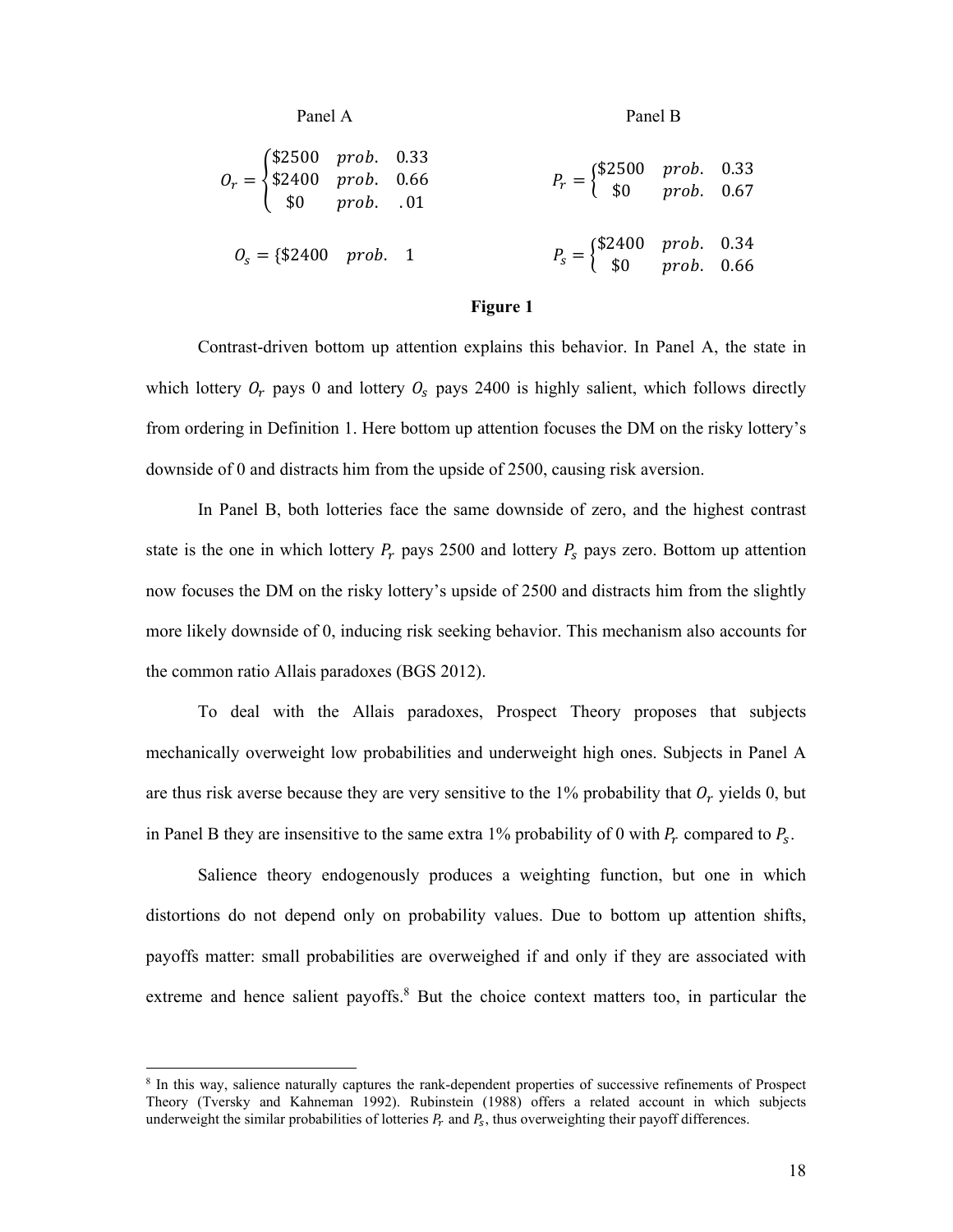| Panel A                                                                                            | Panel B                                                                     |  |  |
|----------------------------------------------------------------------------------------------------|-----------------------------------------------------------------------------|--|--|
| $O_r = \begin{cases} $2500 & prob. & 0.33 \\ $2400 & prob. & 0.66 \\ $0 & prob. & .01 \end{cases}$ | $P_r = \begin{cases} $2500 & prob. & 0.33 \\ $0 & prob. & 0.67 \end{cases}$ |  |  |
| $Q_s = \{\$2400 \; prob. \; 1$                                                                     | $P_s = \begin{cases} $2400 & prob. & 0.34 \\ $0 & prob. & 0.66 \end{cases}$ |  |  |

#### **Figure 1**

Contrast-driven bottom up attention explains this behavior. In Panel A, the state in which lottery  $O_r$  pays 0 and lottery  $O_s$  pays 2400 is highly salient, which follows directly from ordering in Definition 1. Here bottom up attention focuses the DM on the risky lottery's downside of 0 and distracts him from the upside of 2500, causing risk aversion.

In Panel B, both lotteries face the same downside of zero, and the highest contrast state is the one in which lottery  $P_r$  pays 2500 and lottery  $P_s$  pays zero. Bottom up attention now focuses the DM on the risky lottery's upside of 2500 and distracts him from the slightly more likely downside of 0, inducing risk seeking behavior. This mechanism also accounts for the common ratio Allais paradoxes (BGS 2012).

To deal with the Allais paradoxes, Prospect Theory proposes that subjects mechanically overweight low probabilities and underweight high ones. Subjects in Panel A are thus risk averse because they are very sensitive to the 1% probability that  $O_r$  yields 0, but in Panel B they are insensitive to the same extra 1% probability of 0 with  $P_r$  compared to  $P_s$ .

Salience theory endogenously produces a weighting function, but one in which distortions do not depend only on probability values. Due to bottom up attention shifts, payoffs matter: small probabilities are overweighed if and only if they are associated with extreme and hence salient payoffs.<sup>8</sup> But the choice context matters too, in particular the

<sup>&</sup>lt;sup>8</sup> In this way, salience naturally captures the rank-dependent properties of successive refinements of Prospect Theory (Tversky and Kahneman 1992). Rubinstein (1988) offers a related account in which subjects underweight the similar probabilities of lotteries  $P_r$  and  $P_s$ , thus overweighting their payoff differences.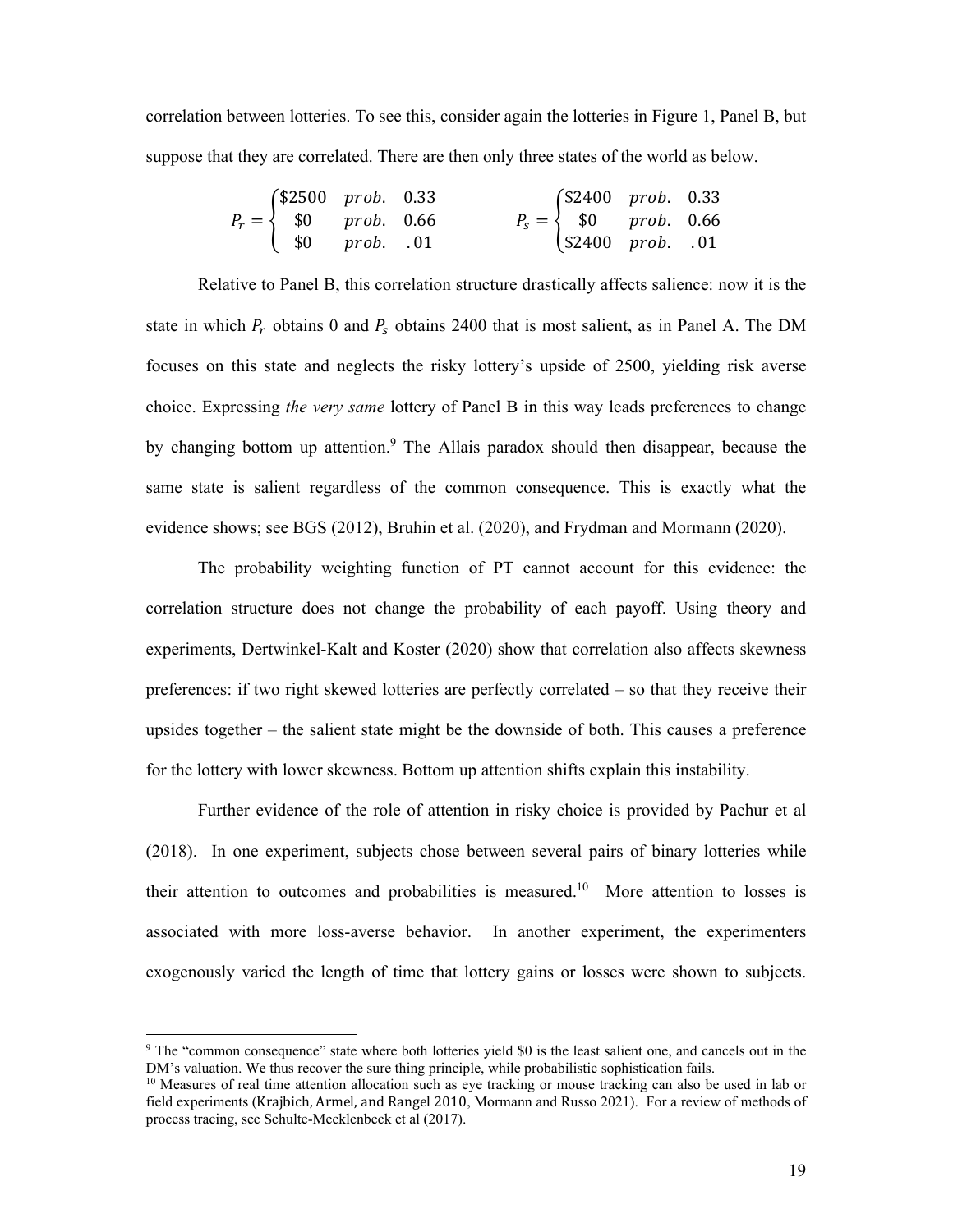correlation between lotteries. To see this, consider again the lotteries in Figure 1, Panel B, but suppose that they are correlated. There are then only three states of the world as below.

| $P_r = \begin{cases} $2500 & prob. & 0.33 \\ $0 & prob. & 0.66 \end{cases}$ |  | $P_s = \begin{cases} $2400 & prob. & 0.33 \\ $0 & prob. & 0.66 \end{cases}$ |  |
|-----------------------------------------------------------------------------|--|-----------------------------------------------------------------------------|--|
| $\begin{pmatrix} $0 \\ 0 \\ 0 \end{pmatrix}$ $prob. 01$                     |  | $$2400$ prob. .01                                                           |  |

Relative to Panel B, this correlation structure drastically affects salience: now it is the state in which  $P_r$  obtains 0 and  $P_s$  obtains 2400 that is most salient, as in Panel A. The DM focuses on this state and neglects the risky lottery's upside of 2500, yielding risk averse choice. Expressing *the very same* lottery of Panel B in this way leads preferences to change by changing bottom up attention.<sup>9</sup> The Allais paradox should then disappear, because the same state is salient regardless of the common consequence. This is exactly what the evidence shows; see BGS (2012), Bruhin et al. (2020), and Frydman and Mormann (2020).

The probability weighting function of PT cannot account for this evidence: the correlation structure does not change the probability of each payoff. Using theory and experiments, Dertwinkel-Kalt and Koster (2020) show that correlation also affects skewness preferences: if two right skewed lotteries are perfectly correlated – so that they receive their upsides together – the salient state might be the downside of both. This causes a preference for the lottery with lower skewness. Bottom up attention shifts explain this instability.

Further evidence of the role of attention in risky choice is provided by Pachur et al (2018). In one experiment, subjects chose between several pairs of binary lotteries while their attention to outcomes and probabilities is measured.<sup>10</sup> More attention to losses is associated with more loss-averse behavior. In another experiment, the experimenters exogenously varied the length of time that lottery gains or losses were shown to subjects.

<sup>&</sup>lt;sup>9</sup> The "common consequence" state where both lotteries yield \$0 is the least salient one, and cancels out in the DM's valuation. We thus recover the sure thing principle, while probabilistic sophistication fails.

<sup>&</sup>lt;sup>10</sup> Measures of real time attention allocation such as eye tracking or mouse tracking can also be used in lab or field experiments (Krajbich, Armel, and Rangel 2010, Mormann and Russo 2021). For a review of methods of process tracing, see Schulte-Mecklenbeck et al (2017).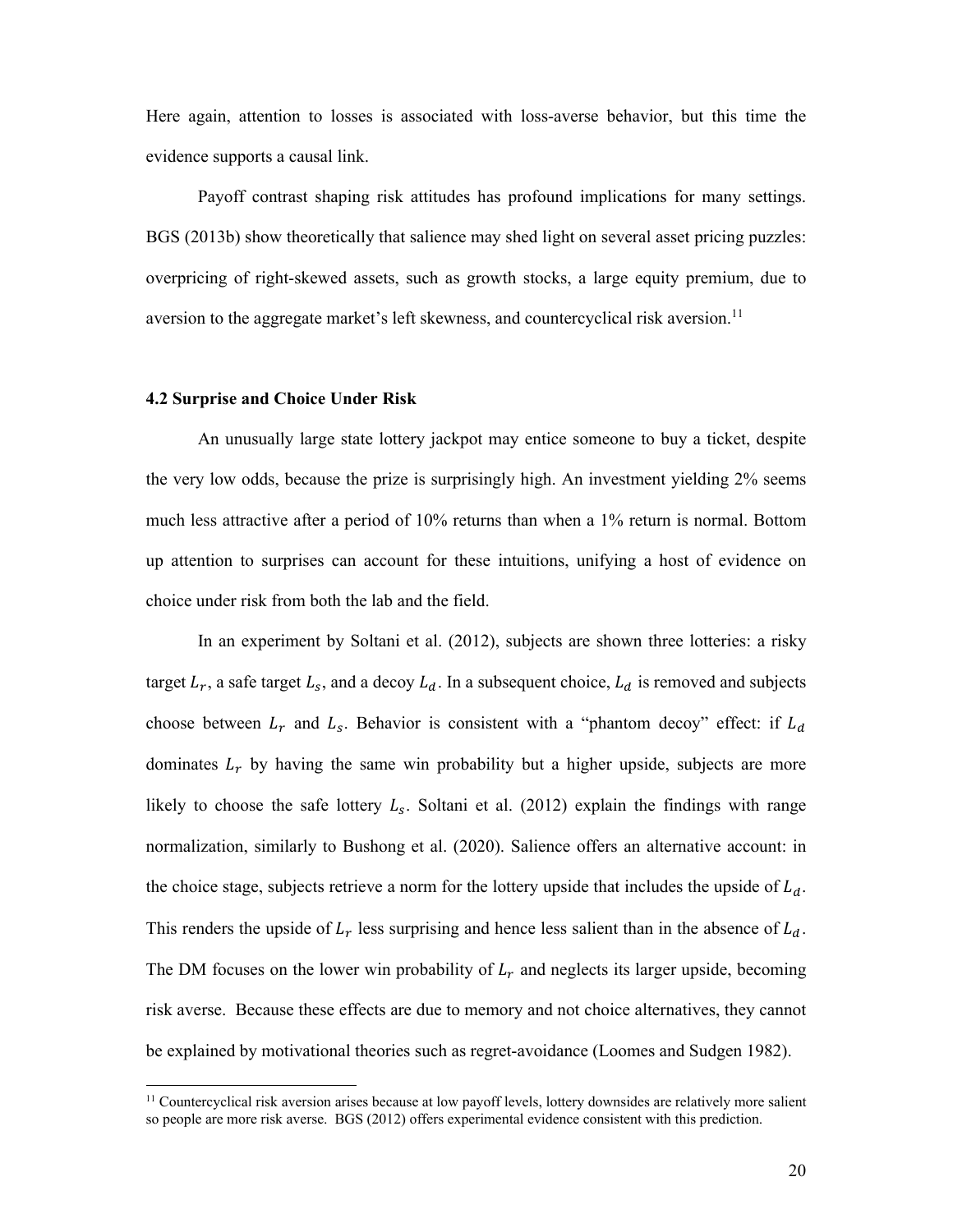Here again, attention to losses is associated with loss-averse behavior, but this time the evidence supports a causal link.

Payoff contrast shaping risk attitudes has profound implications for many settings. BGS (2013b) show theoretically that salience may shed light on several asset pricing puzzles: overpricing of right-skewed assets, such as growth stocks, a large equity premium, due to aversion to the aggregate market's left skewness, and countercyclical risk aversion.<sup>11</sup>

#### **4.2 Surprise and Choice Under Risk**

An unusually large state lottery jackpot may entice someone to buy a ticket, despite the very low odds, because the prize is surprisingly high. An investment yielding 2% seems much less attractive after a period of 10% returns than when a 1% return is normal. Bottom up attention to surprises can account for these intuitions, unifying a host of evidence on choice under risk from both the lab and the field.

In an experiment by Soltani et al. (2012), subjects are shown three lotteries: a risky target  $L_r$ , a safe target  $L_s$ , and a decoy  $L_d$ . In a subsequent choice,  $L_d$  is removed and subjects choose between  $L_r$  and  $L_s$ . Behavior is consistent with a "phantom decoy" effect: if  $L_d$ dominates  $L<sub>r</sub>$  by having the same win probability but a higher upside, subjects are more likely to choose the safe lottery  $L_s$ . Soltani et al. (2012) explain the findings with range normalization, similarly to Bushong et al. (2020). Salience offers an alternative account: in the choice stage, subjects retrieve a norm for the lottery upside that includes the upside of  $L_d$ . This renders the upside of  $L_r$  less surprising and hence less salient than in the absence of  $L_d$ . The DM focuses on the lower win probability of  $L<sub>r</sub>$  and neglects its larger upside, becoming risk averse. Because these effects are due to memory and not choice alternatives, they cannot be explained by motivational theories such as regret-avoidance (Loomes and Sudgen 1982).

<sup>&</sup>lt;sup>11</sup> Countercyclical risk aversion arises because at low payoff levels, lottery downsides are relatively more salient so people are more risk averse. BGS (2012) offers experimental evidence consistent with this prediction.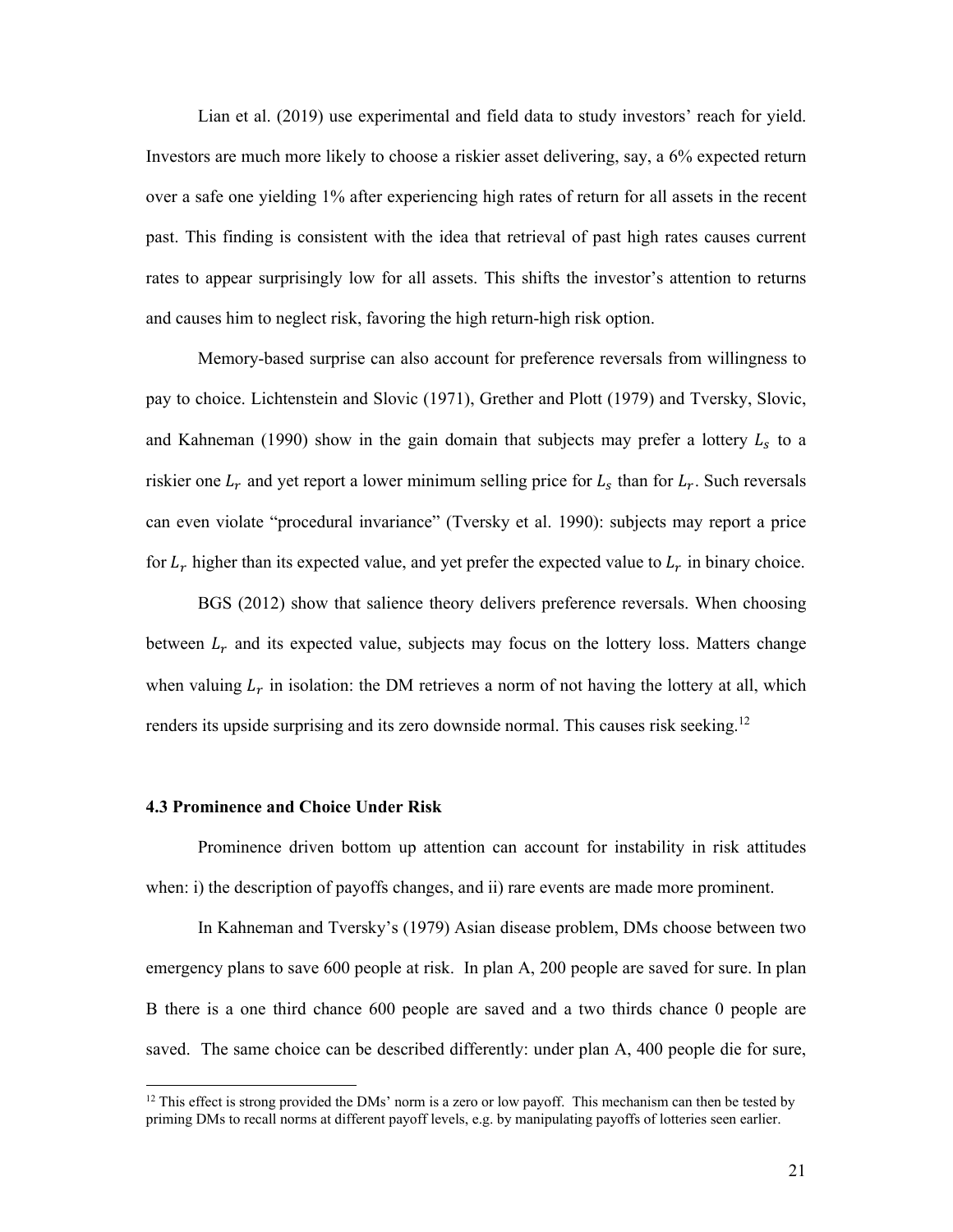Lian et al. (2019) use experimental and field data to study investors' reach for yield. Investors are much more likely to choose a riskier asset delivering, say, a 6% expected return over a safe one yielding 1% after experiencing high rates of return for all assets in the recent past. This finding is consistent with the idea that retrieval of past high rates causes current rates to appear surprisingly low for all assets. This shifts the investor's attention to returns and causes him to neglect risk, favoring the high return-high risk option.

Memory-based surprise can also account for preference reversals from willingness to pay to choice. Lichtenstein and Slovic (1971), Grether and Plott (1979) and Tversky, Slovic, and Kahneman (1990) show in the gain domain that subjects may prefer a lottery  $L<sub>s</sub>$  to a riskier one  $L_r$  and yet report a lower minimum selling price for  $L_s$  than for  $L_r$ . Such reversals can even violate "procedural invariance" (Tversky et al. 1990): subjects may report a price for  $L_r$  higher than its expected value, and yet prefer the expected value to  $L_r$  in binary choice.

BGS (2012) show that salience theory delivers preference reversals. When choosing between  $L_r$  and its expected value, subjects may focus on the lottery loss. Matters change when valuing  $L_r$  in isolation: the DM retrieves a norm of not having the lottery at all, which renders its upside surprising and its zero downside normal. This causes risk seeking.<sup>12</sup>

## **4.3 Prominence and Choice Under Risk**

Prominence driven bottom up attention can account for instability in risk attitudes when: i) the description of payoffs changes, and ii) rare events are made more prominent.

In Kahneman and Tversky's (1979) Asian disease problem, DMs choose between two emergency plans to save 600 people at risk. In plan A, 200 people are saved for sure. In plan B there is a one third chance 600 people are saved and a two thirds chance 0 people are saved. The same choice can be described differently: under plan A, 400 people die for sure,

<sup>&</sup>lt;sup>12</sup> This effect is strong provided the DMs' norm is a zero or low payoff. This mechanism can then be tested by priming DMs to recall norms at different payoff levels, e.g. by manipulating payoffs of lotteries seen earlier.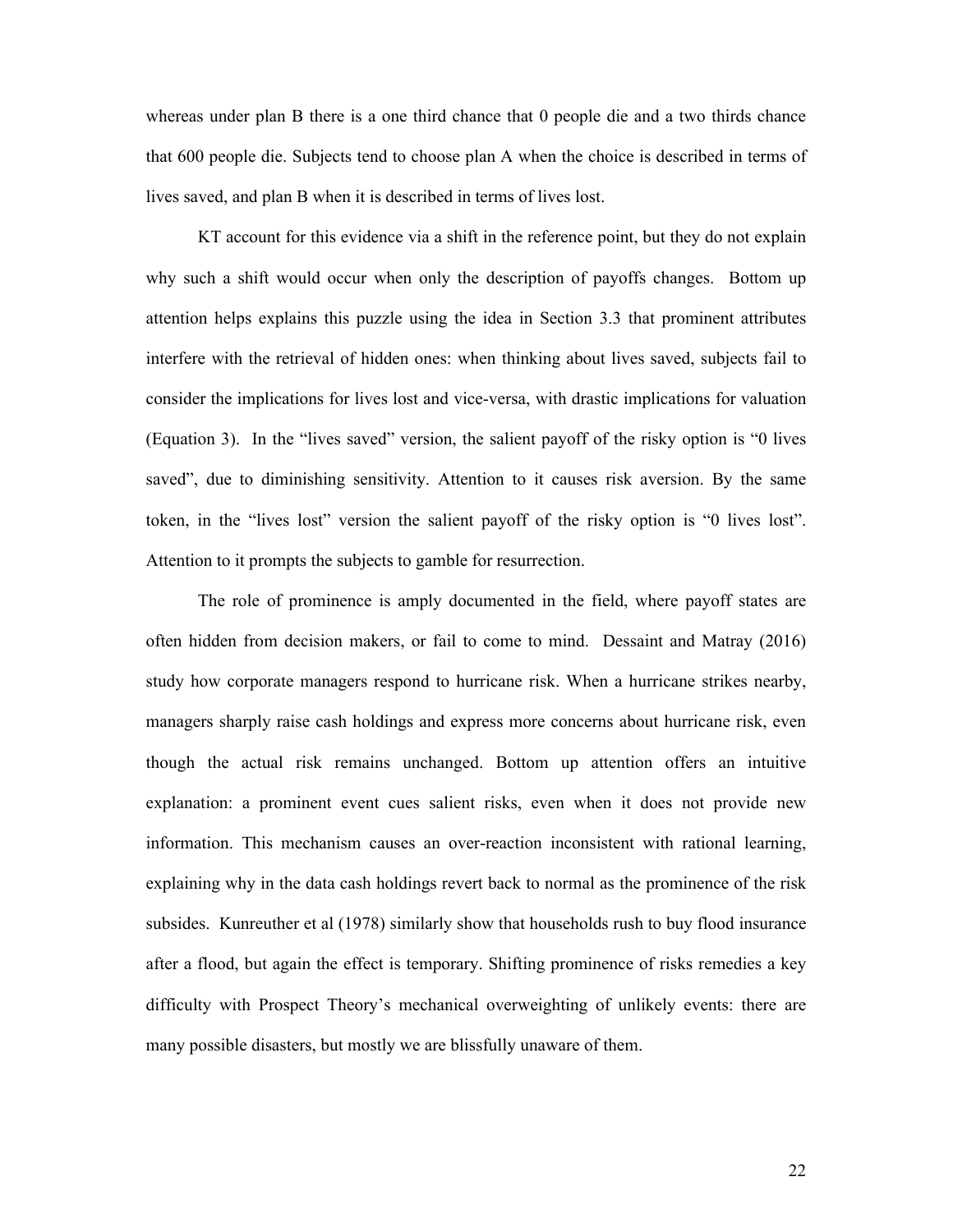whereas under plan B there is a one third chance that 0 people die and a two thirds chance that 600 people die. Subjects tend to choose plan A when the choice is described in terms of lives saved, and plan B when it is described in terms of lives lost.

KT account for this evidence via a shift in the reference point, but they do not explain why such a shift would occur when only the description of payoffs changes. Bottom up attention helps explains this puzzle using the idea in Section 3.3 that prominent attributes interfere with the retrieval of hidden ones: when thinking about lives saved, subjects fail to consider the implications for lives lost and vice-versa, with drastic implications for valuation (Equation 3). In the "lives saved" version, the salient payoff of the risky option is "0 lives saved", due to diminishing sensitivity. Attention to it causes risk aversion. By the same token, in the "lives lost" version the salient payoff of the risky option is "0 lives lost". Attention to it prompts the subjects to gamble for resurrection.

The role of prominence is amply documented in the field, where payoff states are often hidden from decision makers, or fail to come to mind. Dessaint and Matray (2016) study how corporate managers respond to hurricane risk. When a hurricane strikes nearby, managers sharply raise cash holdings and express more concerns about hurricane risk, even though the actual risk remains unchanged. Bottom up attention offers an intuitive explanation: a prominent event cues salient risks, even when it does not provide new information. This mechanism causes an over-reaction inconsistent with rational learning, explaining why in the data cash holdings revert back to normal as the prominence of the risk subsides. Kunreuther et al (1978) similarly show that households rush to buy flood insurance after a flood, but again the effect is temporary. Shifting prominence of risks remedies a key difficulty with Prospect Theory's mechanical overweighting of unlikely events: there are many possible disasters, but mostly we are blissfully unaware of them.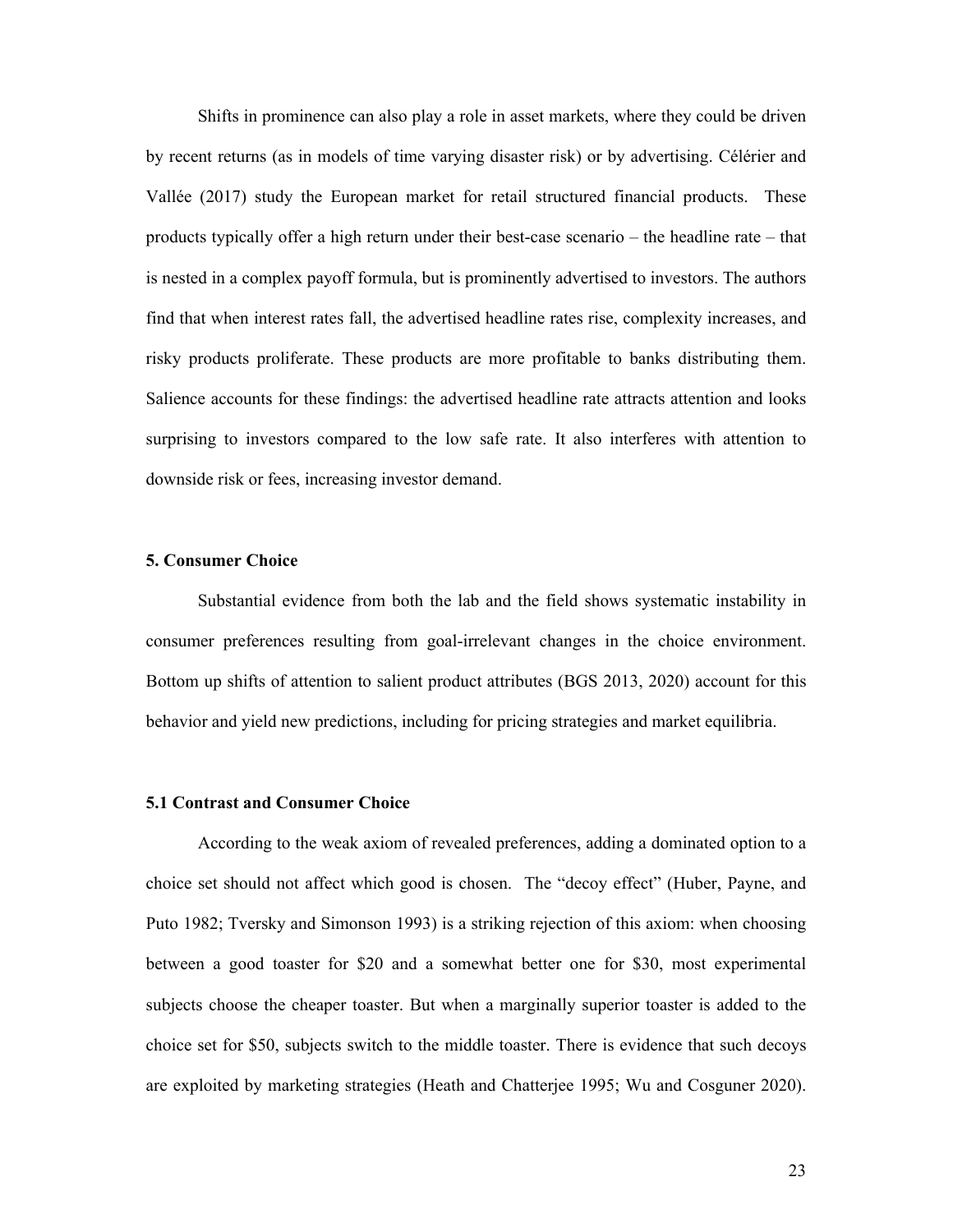Shifts in prominence can also play a role in asset markets, where they could be driven by recent returns (as in models of time varying disaster risk) or by advertising. Célérier and Vallée (2017) study the European market for retail structured financial products. These products typically offer a high return under their best-case scenario – the headline rate – that is nested in a complex payoff formula, but is prominently advertised to investors. The authors find that when interest rates fall, the advertised headline rates rise, complexity increases, and risky products proliferate. These products are more profitable to banks distributing them. Salience accounts for these findings: the advertised headline rate attracts attention and looks surprising to investors compared to the low safe rate. It also interferes with attention to downside risk or fees, increasing investor demand.

# **5. Consumer Choice**

Substantial evidence from both the lab and the field shows systematic instability in consumer preferences resulting from goal-irrelevant changes in the choice environment. Bottom up shifts of attention to salient product attributes (BGS 2013, 2020) account for this behavior and yield new predictions, including for pricing strategies and market equilibria.

#### **5.1 Contrast and Consumer Choice**

According to the weak axiom of revealed preferences, adding a dominated option to a choice set should not affect which good is chosen. The "decoy effect" (Huber, Payne, and Puto 1982; Tversky and Simonson 1993) is a striking rejection of this axiom: when choosing between a good toaster for \$20 and a somewhat better one for \$30, most experimental subjects choose the cheaper toaster. But when a marginally superior toaster is added to the choice set for \$50, subjects switch to the middle toaster. There is evidence that such decoys are exploited by marketing strategies (Heath and Chatterjee 1995; Wu and Cosguner 2020).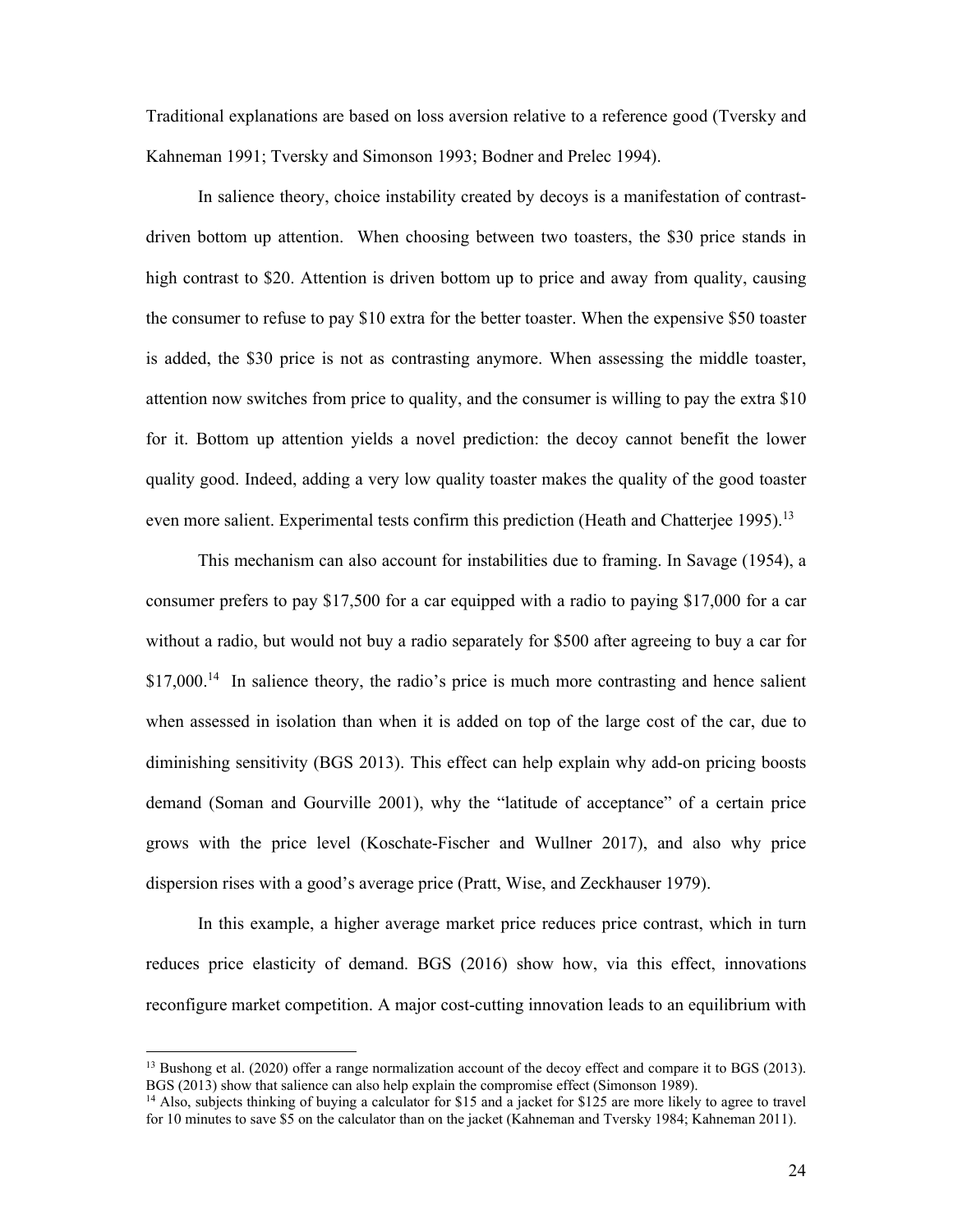Traditional explanations are based on loss aversion relative to a reference good (Tversky and Kahneman 1991; Tversky and Simonson 1993; Bodner and Prelec 1994).

In salience theory, choice instability created by decoys is a manifestation of contrastdriven bottom up attention. When choosing between two toasters, the \$30 price stands in high contrast to \$20. Attention is driven bottom up to price and away from quality, causing the consumer to refuse to pay \$10 extra for the better toaster. When the expensive \$50 toaster is added, the \$30 price is not as contrasting anymore. When assessing the middle toaster, attention now switches from price to quality, and the consumer is willing to pay the extra \$10 for it. Bottom up attention yields a novel prediction: the decoy cannot benefit the lower quality good. Indeed, adding a very low quality toaster makes the quality of the good toaster even more salient. Experimental tests confirm this prediction (Heath and Chatterjee 1995).<sup>13</sup>

This mechanism can also account for instabilities due to framing. In Savage (1954), a consumer prefers to pay \$17,500 for a car equipped with a radio to paying \$17,000 for a car without a radio, but would not buy a radio separately for \$500 after agreeing to buy a car for  $$17,000$ <sup>14</sup> In salience theory, the radio's price is much more contrasting and hence salient when assessed in isolation than when it is added on top of the large cost of the car, due to diminishing sensitivity (BGS 2013). This effect can help explain why add-on pricing boosts demand (Soman and Gourville 2001), why the "latitude of acceptance" of a certain price grows with the price level (Koschate-Fischer and Wullner 2017), and also why price dispersion rises with a good's average price (Pratt, Wise, and Zeckhauser 1979).

In this example, a higher average market price reduces price contrast, which in turn reduces price elasticity of demand. BGS (2016) show how, via this effect, innovations reconfigure market competition. A major cost-cutting innovation leads to an equilibrium with

<sup>&</sup>lt;sup>13</sup> Bushong et al. (2020) offer a range normalization account of the decoy effect and compare it to BGS (2013). BGS (2013) show that salience can also help explain the compromise effect (Simonson 1989).

<sup>&</sup>lt;sup>14</sup> Also, subjects thinking of buying a calculator for \$15 and a jacket for \$125 are more likely to agree to travel for 10 minutes to save \$5 on the calculator than on the jacket (Kahneman and Tversky 1984; Kahneman 2011).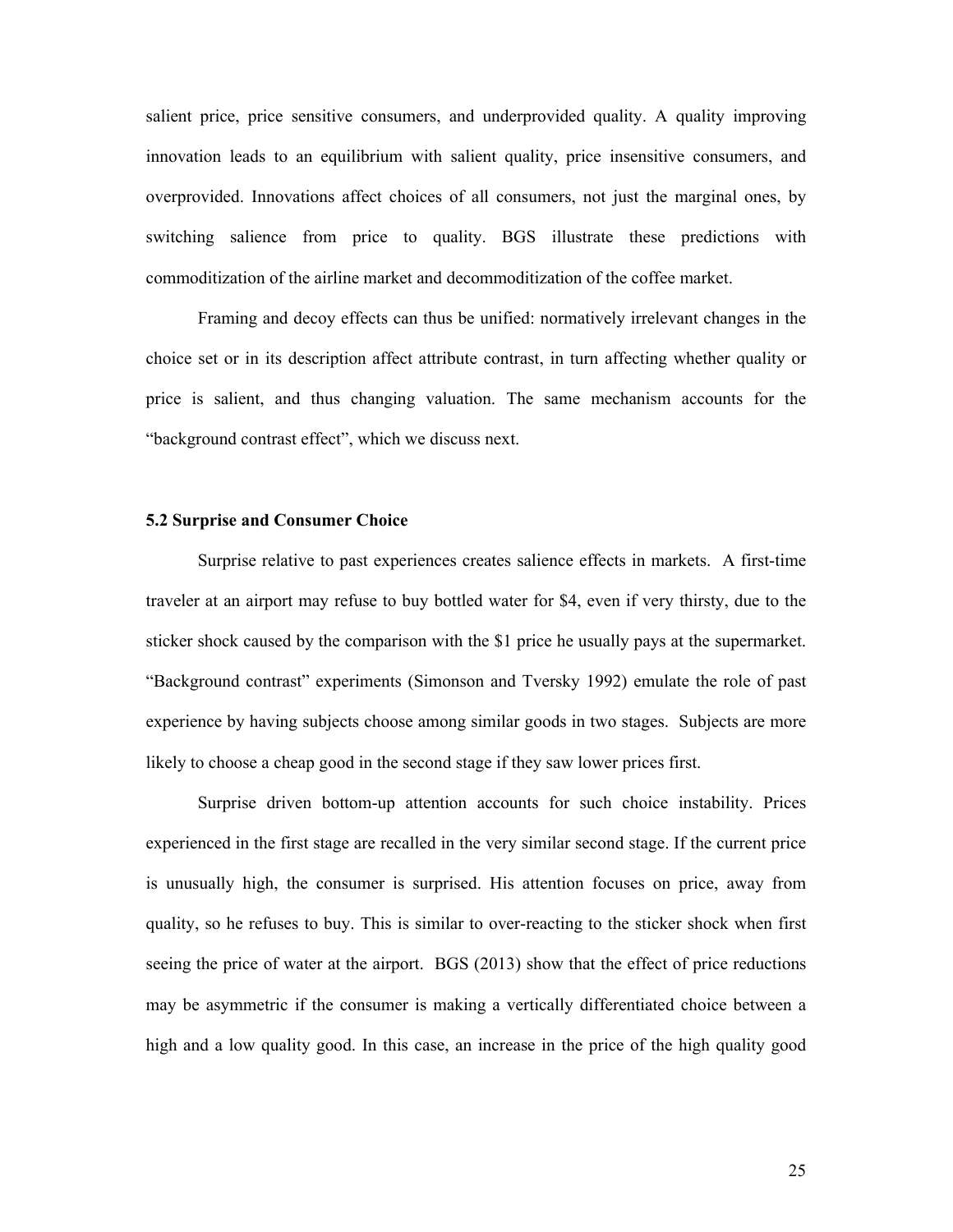salient price, price sensitive consumers, and underprovided quality. A quality improving innovation leads to an equilibrium with salient quality, price insensitive consumers, and overprovided. Innovations affect choices of all consumers, not just the marginal ones, by switching salience from price to quality. BGS illustrate these predictions with commoditization of the airline market and decommoditization of the coffee market.

Framing and decoy effects can thus be unified: normatively irrelevant changes in the choice set or in its description affect attribute contrast, in turn affecting whether quality or price is salient, and thus changing valuation. The same mechanism accounts for the "background contrast effect", which we discuss next.

#### **5.2 Surprise and Consumer Choice**

Surprise relative to past experiences creates salience effects in markets. A first-time traveler at an airport may refuse to buy bottled water for \$4, even if very thirsty, due to the sticker shock caused by the comparison with the \$1 price he usually pays at the supermarket. "Background contrast" experiments (Simonson and Tversky 1992) emulate the role of past experience by having subjects choose among similar goods in two stages. Subjects are more likely to choose a cheap good in the second stage if they saw lower prices first.

Surprise driven bottom-up attention accounts for such choice instability. Prices experienced in the first stage are recalled in the very similar second stage. If the current price is unusually high, the consumer is surprised. His attention focuses on price, away from quality, so he refuses to buy. This is similar to over-reacting to the sticker shock when first seeing the price of water at the airport. BGS (2013) show that the effect of price reductions may be asymmetric if the consumer is making a vertically differentiated choice between a high and a low quality good. In this case, an increase in the price of the high quality good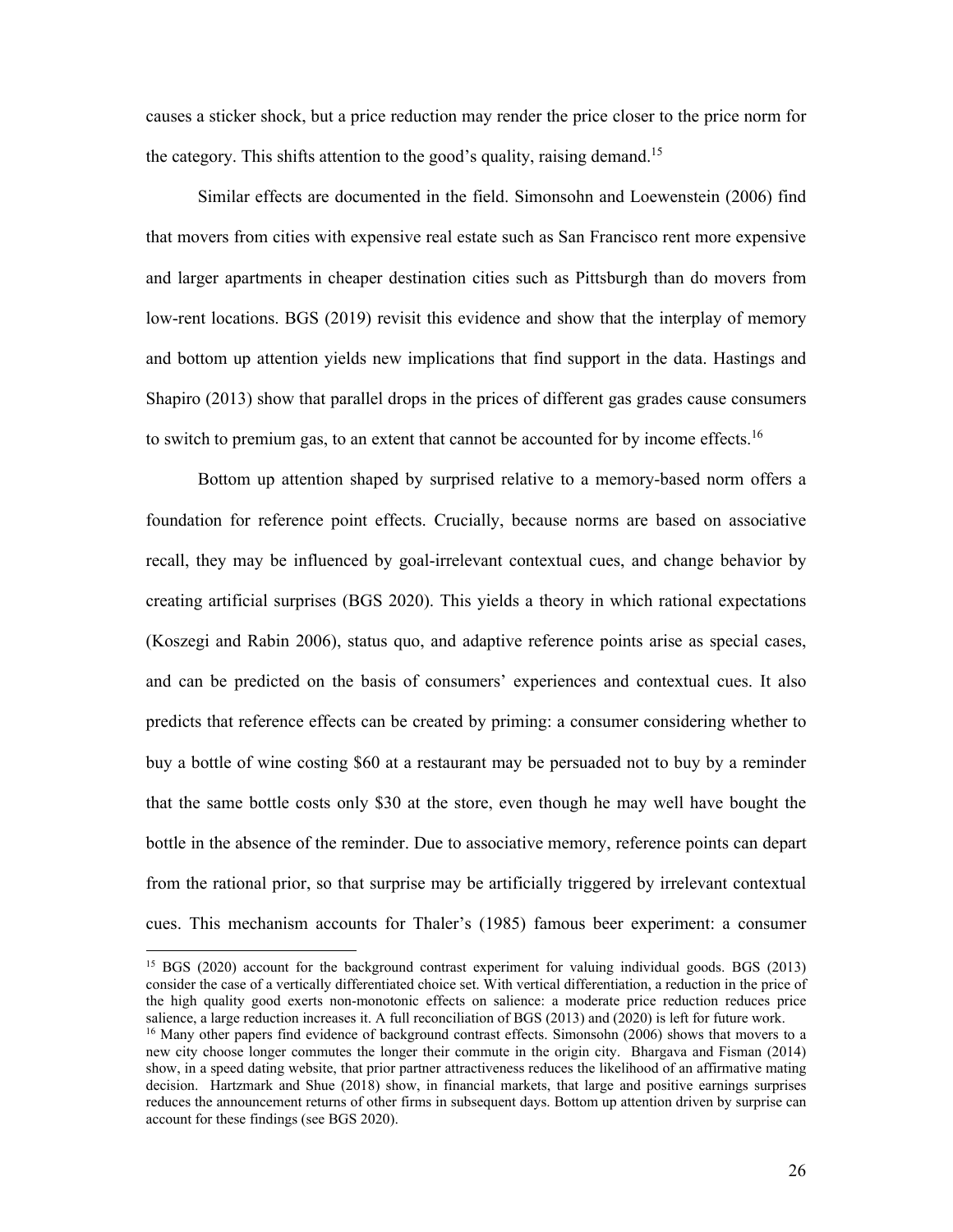causes a sticker shock, but a price reduction may render the price closer to the price norm for the category. This shifts attention to the good's quality, raising demand.<sup>15</sup>

Similar effects are documented in the field. Simonsohn and Loewenstein (2006) find that movers from cities with expensive real estate such as San Francisco rent more expensive and larger apartments in cheaper destination cities such as Pittsburgh than do movers from low-rent locations. BGS (2019) revisit this evidence and show that the interplay of memory and bottom up attention yields new implications that find support in the data. Hastings and Shapiro (2013) show that parallel drops in the prices of different gas grades cause consumers to switch to premium gas, to an extent that cannot be accounted for by income effects.<sup>16</sup>

Bottom up attention shaped by surprised relative to a memory-based norm offers a foundation for reference point effects. Crucially, because norms are based on associative recall, they may be influenced by goal-irrelevant contextual cues, and change behavior by creating artificial surprises (BGS 2020). This yields a theory in which rational expectations (Koszegi and Rabin 2006), status quo, and adaptive reference points arise as special cases, and can be predicted on the basis of consumers' experiences and contextual cues. It also predicts that reference effects can be created by priming: a consumer considering whether to buy a bottle of wine costing \$60 at a restaurant may be persuaded not to buy by a reminder that the same bottle costs only \$30 at the store, even though he may well have bought the bottle in the absence of the reminder. Due to associative memory, reference points can depart from the rational prior, so that surprise may be artificially triggered by irrelevant contextual cues. This mechanism accounts for Thaler's (1985) famous beer experiment: a consumer

<sup>&</sup>lt;sup>15</sup> BGS (2020) account for the background contrast experiment for valuing individual goods. BGS (2013) consider the case of a vertically differentiated choice set. With vertical differentiation, a reduction in the price of the high quality good exerts non-monotonic effects on salience: a moderate price reduction reduces price salience, a large reduction increases it. A full reconciliation of BGS (2013) and (2020) is left for future work.

<sup>&</sup>lt;sup>16</sup> Many other papers find evidence of background contrast effects. Simonsohn (2006) shows that movers to a new city choose longer commutes the longer their commute in the origin city. Bhargava and Fisman (2014) show, in a speed dating website, that prior partner attractiveness reduces the likelihood of an affirmative mating decision. Hartzmark and Shue (2018) show, in financial markets, that large and positive earnings surprises reduces the announcement returns of other firms in subsequent days. Bottom up attention driven by surprise can account for these findings (see BGS 2020).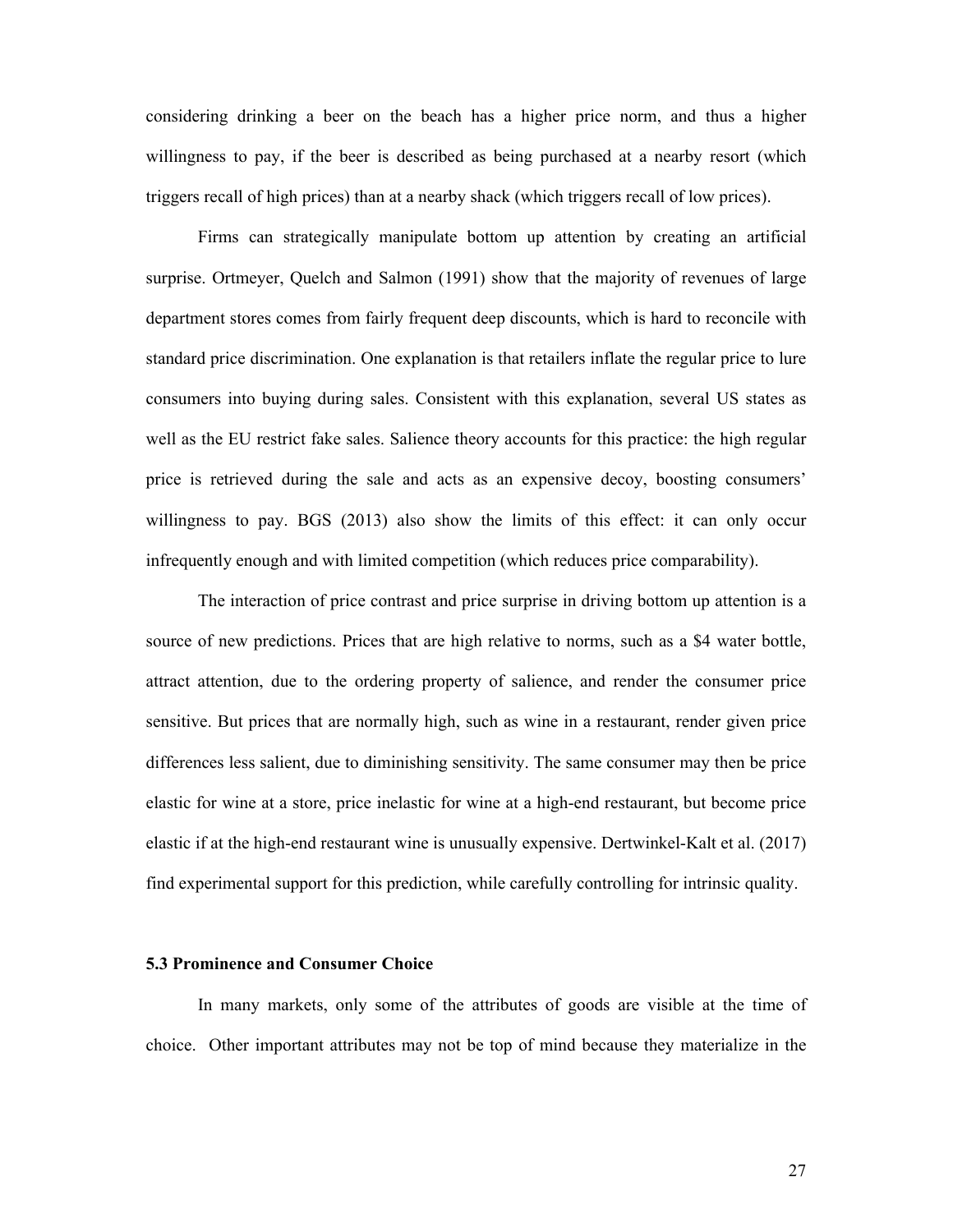considering drinking a beer on the beach has a higher price norm, and thus a higher willingness to pay, if the beer is described as being purchased at a nearby resort (which triggers recall of high prices) than at a nearby shack (which triggers recall of low prices).

Firms can strategically manipulate bottom up attention by creating an artificial surprise. Ortmeyer, Quelch and Salmon (1991) show that the majority of revenues of large department stores comes from fairly frequent deep discounts, which is hard to reconcile with standard price discrimination. One explanation is that retailers inflate the regular price to lure consumers into buying during sales. Consistent with this explanation, several US states as well as the EU restrict fake sales. Salience theory accounts for this practice: the high regular price is retrieved during the sale and acts as an expensive decoy, boosting consumers' willingness to pay. BGS (2013) also show the limits of this effect: it can only occur infrequently enough and with limited competition (which reduces price comparability).

The interaction of price contrast and price surprise in driving bottom up attention is a source of new predictions. Prices that are high relative to norms, such as a \$4 water bottle, attract attention, due to the ordering property of salience, and render the consumer price sensitive. But prices that are normally high, such as wine in a restaurant, render given price differences less salient, due to diminishing sensitivity. The same consumer may then be price elastic for wine at a store, price inelastic for wine at a high-end restaurant, but become price elastic if at the high-end restaurant wine is unusually expensive. Dertwinkel-Kalt et al. (2017) find experimental support for this prediction, while carefully controlling for intrinsic quality.

# **5.3 Prominence and Consumer Choice**

In many markets, only some of the attributes of goods are visible at the time of choice. Other important attributes may not be top of mind because they materialize in the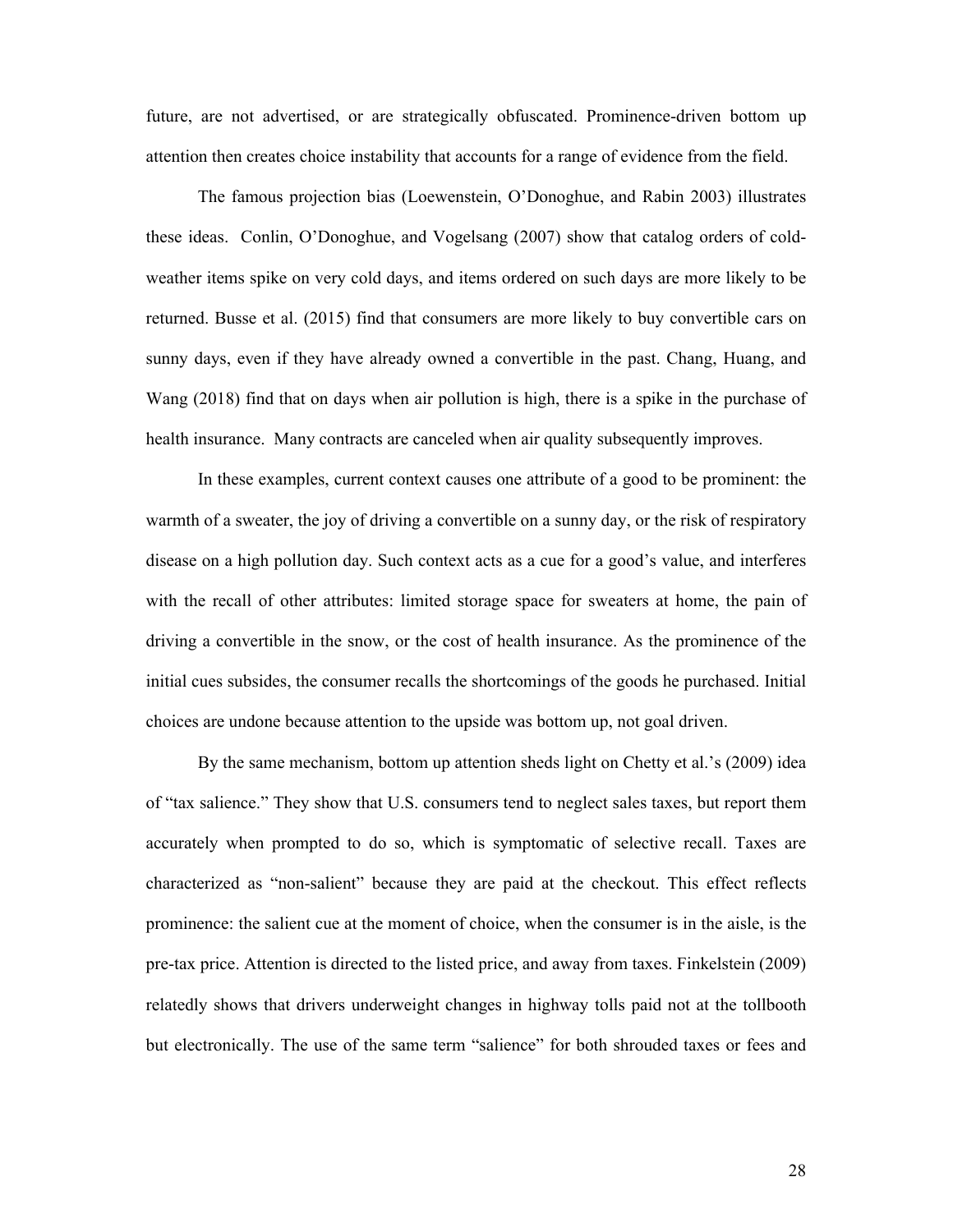future, are not advertised, or are strategically obfuscated. Prominence-driven bottom up attention then creates choice instability that accounts for a range of evidence from the field.

The famous projection bias (Loewenstein, O'Donoghue, and Rabin 2003) illustrates these ideas. Conlin, O'Donoghue, and Vogelsang (2007) show that catalog orders of coldweather items spike on very cold days, and items ordered on such days are more likely to be returned. Busse et al. (2015) find that consumers are more likely to buy convertible cars on sunny days, even if they have already owned a convertible in the past. Chang, Huang, and Wang (2018) find that on days when air pollution is high, there is a spike in the purchase of health insurance. Many contracts are canceled when air quality subsequently improves.

In these examples, current context causes one attribute of a good to be prominent: the warmth of a sweater, the joy of driving a convertible on a sunny day, or the risk of respiratory disease on a high pollution day. Such context acts as a cue for a good's value, and interferes with the recall of other attributes: limited storage space for sweaters at home, the pain of driving a convertible in the snow, or the cost of health insurance. As the prominence of the initial cues subsides, the consumer recalls the shortcomings of the goods he purchased. Initial choices are undone because attention to the upside was bottom up, not goal driven.

By the same mechanism, bottom up attention sheds light on Chetty et al.'s (2009) idea of "tax salience." They show that U.S. consumers tend to neglect sales taxes, but report them accurately when prompted to do so, which is symptomatic of selective recall. Taxes are characterized as "non-salient" because they are paid at the checkout. This effect reflects prominence: the salient cue at the moment of choice, when the consumer is in the aisle, is the pre-tax price. Attention is directed to the listed price, and away from taxes. Finkelstein (2009) relatedly shows that drivers underweight changes in highway tolls paid not at the tollbooth but electronically. The use of the same term "salience" for both shrouded taxes or fees and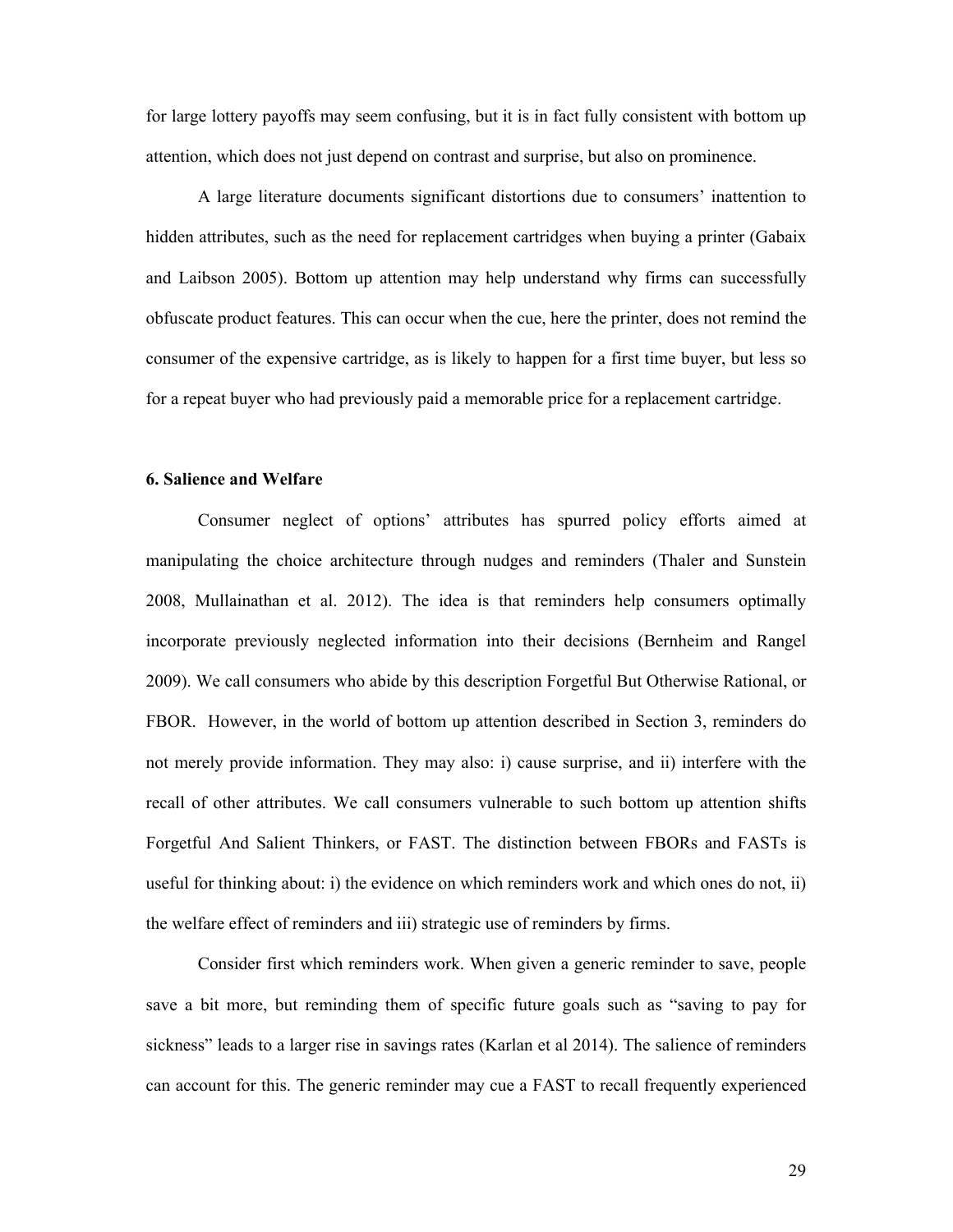for large lottery payoffs may seem confusing, but it is in fact fully consistent with bottom up attention, which does not just depend on contrast and surprise, but also on prominence.

A large literature documents significant distortions due to consumers' inattention to hidden attributes, such as the need for replacement cartridges when buying a printer (Gabaix and Laibson 2005). Bottom up attention may help understand why firms can successfully obfuscate product features. This can occur when the cue, here the printer, does not remind the consumer of the expensive cartridge, as is likely to happen for a first time buyer, but less so for a repeat buyer who had previously paid a memorable price for a replacement cartridge.

# **6. Salience and Welfare**

Consumer neglect of options' attributes has spurred policy efforts aimed at manipulating the choice architecture through nudges and reminders (Thaler and Sunstein 2008, Mullainathan et al. 2012). The idea is that reminders help consumers optimally incorporate previously neglected information into their decisions (Bernheim and Rangel 2009). We call consumers who abide by this description Forgetful But Otherwise Rational, or FBOR. However, in the world of bottom up attention described in Section 3, reminders do not merely provide information. They may also: i) cause surprise, and ii) interfere with the recall of other attributes. We call consumers vulnerable to such bottom up attention shifts Forgetful And Salient Thinkers, or FAST. The distinction between FBORs and FASTs is useful for thinking about: i) the evidence on which reminders work and which ones do not, ii) the welfare effect of reminders and iii) strategic use of reminders by firms.

Consider first which reminders work. When given a generic reminder to save, people save a bit more, but reminding them of specific future goals such as "saving to pay for sickness" leads to a larger rise in savings rates (Karlan et al 2014). The salience of reminders can account for this. The generic reminder may cue a FAST to recall frequently experienced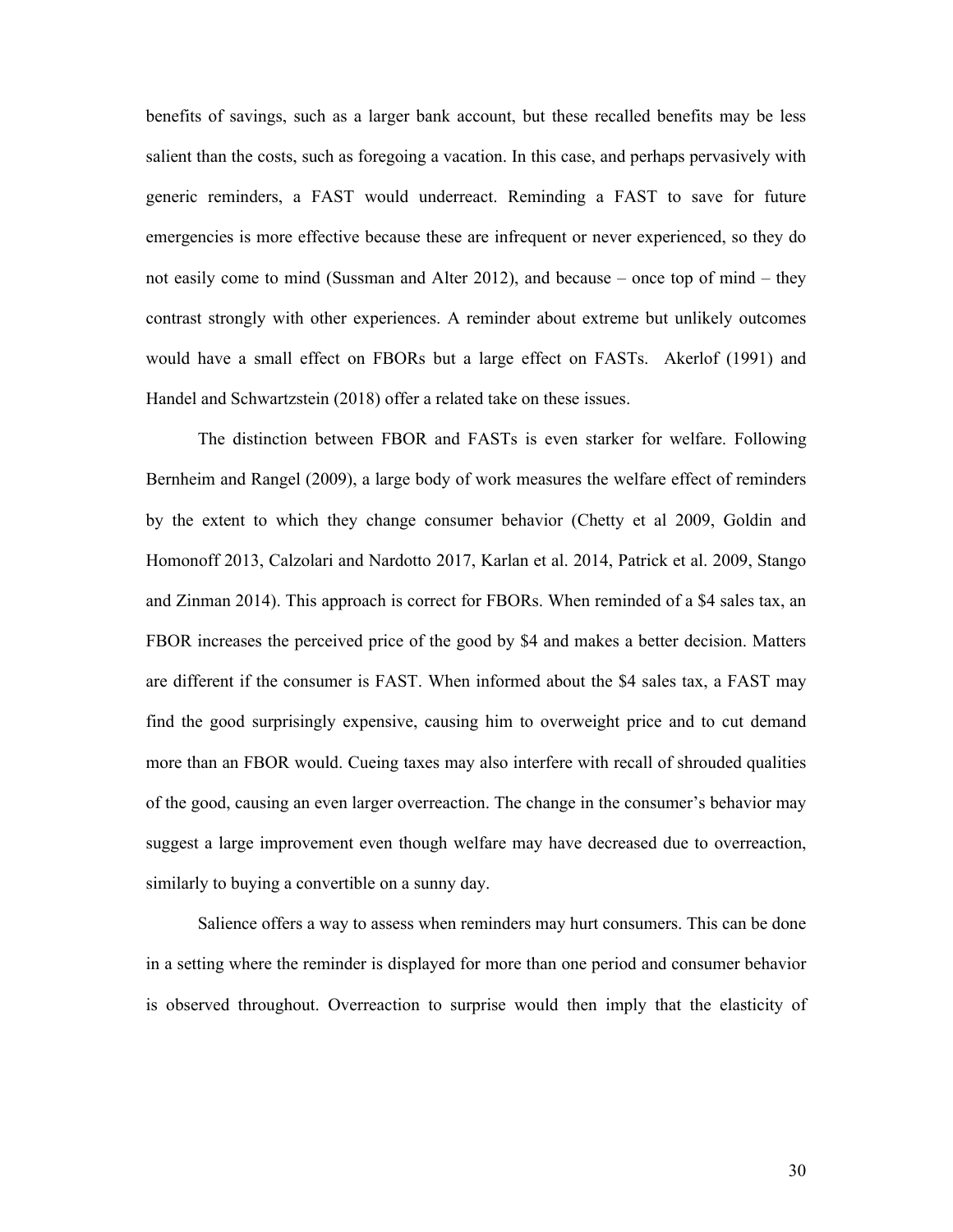benefits of savings, such as a larger bank account, but these recalled benefits may be less salient than the costs, such as foregoing a vacation. In this case, and perhaps pervasively with generic reminders, a FAST would underreact. Reminding a FAST to save for future emergencies is more effective because these are infrequent or never experienced, so they do not easily come to mind (Sussman and Alter 2012), and because – once top of mind – they contrast strongly with other experiences. A reminder about extreme but unlikely outcomes would have a small effect on FBORs but a large effect on FASTs. Akerlof (1991) and Handel and Schwartzstein (2018) offer a related take on these issues.

The distinction between FBOR and FASTs is even starker for welfare. Following Bernheim and Rangel (2009), a large body of work measures the welfare effect of reminders by the extent to which they change consumer behavior (Chetty et al 2009, Goldin and Homonoff 2013, Calzolari and Nardotto 2017, Karlan et al. 2014, Patrick et al. 2009, Stango and Zinman 2014). This approach is correct for FBORs. When reminded of a \$4 sales tax, an FBOR increases the perceived price of the good by \$4 and makes a better decision. Matters are different if the consumer is FAST. When informed about the \$4 sales tax, a FAST may find the good surprisingly expensive, causing him to overweight price and to cut demand more than an FBOR would. Cueing taxes may also interfere with recall of shrouded qualities of the good, causing an even larger overreaction. The change in the consumer's behavior may suggest a large improvement even though welfare may have decreased due to overreaction, similarly to buying a convertible on a sunny day.

Salience offers a way to assess when reminders may hurt consumers. This can be done in a setting where the reminder is displayed for more than one period and consumer behavior is observed throughout. Overreaction to surprise would then imply that the elasticity of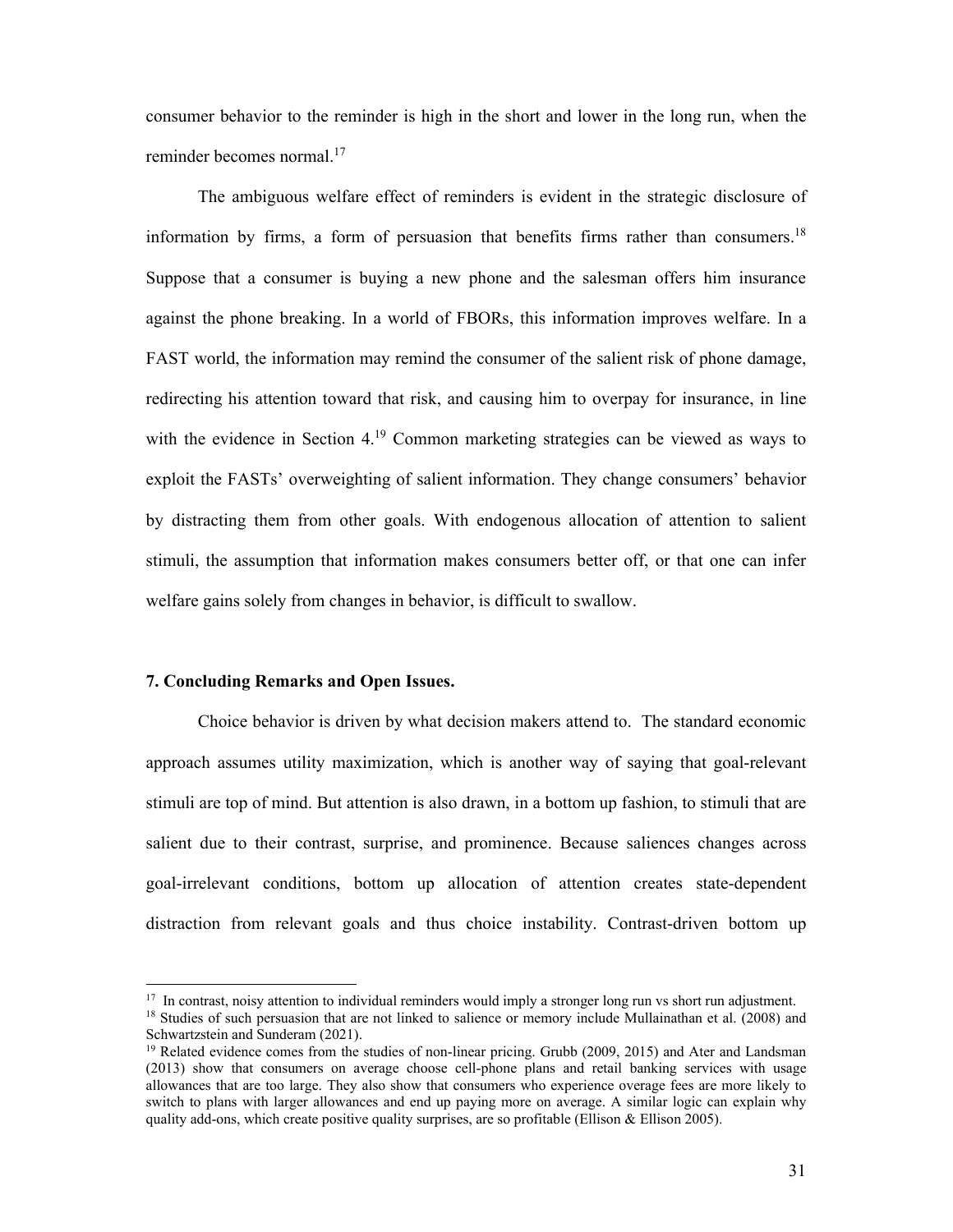consumer behavior to the reminder is high in the short and lower in the long run, when the reminder becomes normal. $17$ 

The ambiguous welfare effect of reminders is evident in the strategic disclosure of information by firms, a form of persuasion that benefits firms rather than consumers.<sup>18</sup> Suppose that a consumer is buying a new phone and the salesman offers him insurance against the phone breaking. In a world of FBORs, this information improves welfare. In a FAST world, the information may remind the consumer of the salient risk of phone damage, redirecting his attention toward that risk, and causing him to overpay for insurance, in line with the evidence in Section 4.<sup>19</sup> Common marketing strategies can be viewed as ways to exploit the FASTs' overweighting of salient information. They change consumers' behavior by distracting them from other goals. With endogenous allocation of attention to salient stimuli, the assumption that information makes consumers better off, or that one can infer welfare gains solely from changes in behavior, is difficult to swallow.

#### **7. Concluding Remarks and Open Issues.**

Choice behavior is driven by what decision makers attend to. The standard economic approach assumes utility maximization, which is another way of saying that goal-relevant stimuli are top of mind. But attention is also drawn, in a bottom up fashion, to stimuli that are salient due to their contrast, surprise, and prominence. Because saliences changes across goal-irrelevant conditions, bottom up allocation of attention creates state-dependent distraction from relevant goals and thus choice instability. Contrast-driven bottom up

<sup>&</sup>lt;sup>17</sup> In contrast, noisy attention to individual reminders would imply a stronger long run vs short run adjustment. <sup>18</sup> Studies of such persuasion that are not linked to salience or memory include Mullainathan et al. (2008) and Schwartzstein and Sunderam (2021).

 $19$  Related evidence comes from the studies of non-linear pricing. Grubb (2009, 2015) and Ater and Landsman (2013) show that consumers on average choose cell-phone plans and retail banking services with usage allowances that are too large. They also show that consumers who experience overage fees are more likely to switch to plans with larger allowances and end up paying more on average. A similar logic can explain why quality add-ons, which create positive quality surprises, are so profitable (Ellison & Ellison 2005).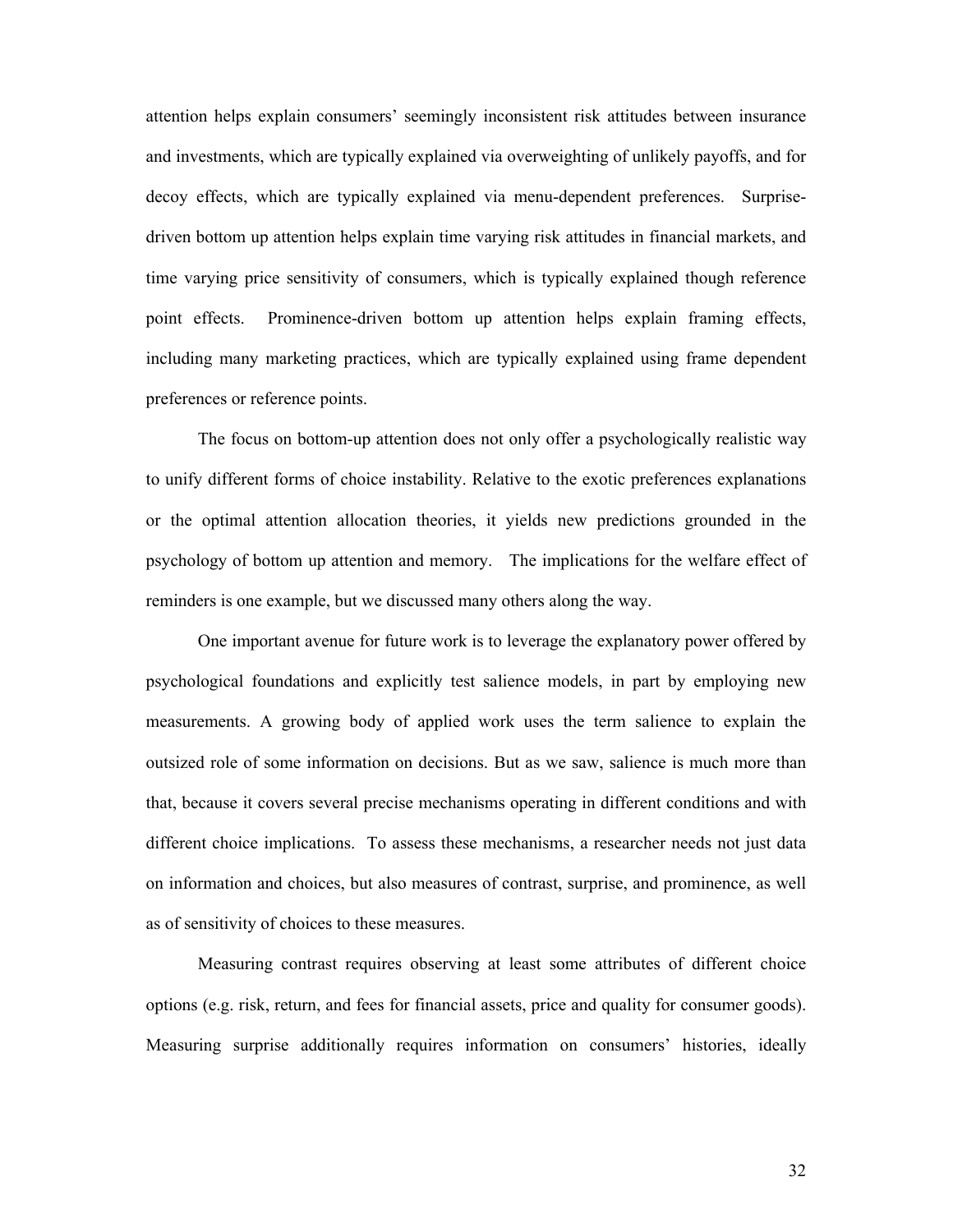attention helps explain consumers' seemingly inconsistent risk attitudes between insurance and investments, which are typically explained via overweighting of unlikely payoffs, and for decoy effects, which are typically explained via menu-dependent preferences. Surprisedriven bottom up attention helps explain time varying risk attitudes in financial markets, and time varying price sensitivity of consumers, which is typically explained though reference point effects. Prominence-driven bottom up attention helps explain framing effects, including many marketing practices, which are typically explained using frame dependent preferences or reference points.

The focus on bottom-up attention does not only offer a psychologically realistic way to unify different forms of choice instability. Relative to the exotic preferences explanations or the optimal attention allocation theories, it yields new predictions grounded in the psychology of bottom up attention and memory. The implications for the welfare effect of reminders is one example, but we discussed many others along the way.

One important avenue for future work is to leverage the explanatory power offered by psychological foundations and explicitly test salience models, in part by employing new measurements. A growing body of applied work uses the term salience to explain the outsized role of some information on decisions. But as we saw, salience is much more than that, because it covers several precise mechanisms operating in different conditions and with different choice implications. To assess these mechanisms, a researcher needs not just data on information and choices, but also measures of contrast, surprise, and prominence, as well as of sensitivity of choices to these measures.

Measuring contrast requires observing at least some attributes of different choice options (e.g. risk, return, and fees for financial assets, price and quality for consumer goods). Measuring surprise additionally requires information on consumers' histories, ideally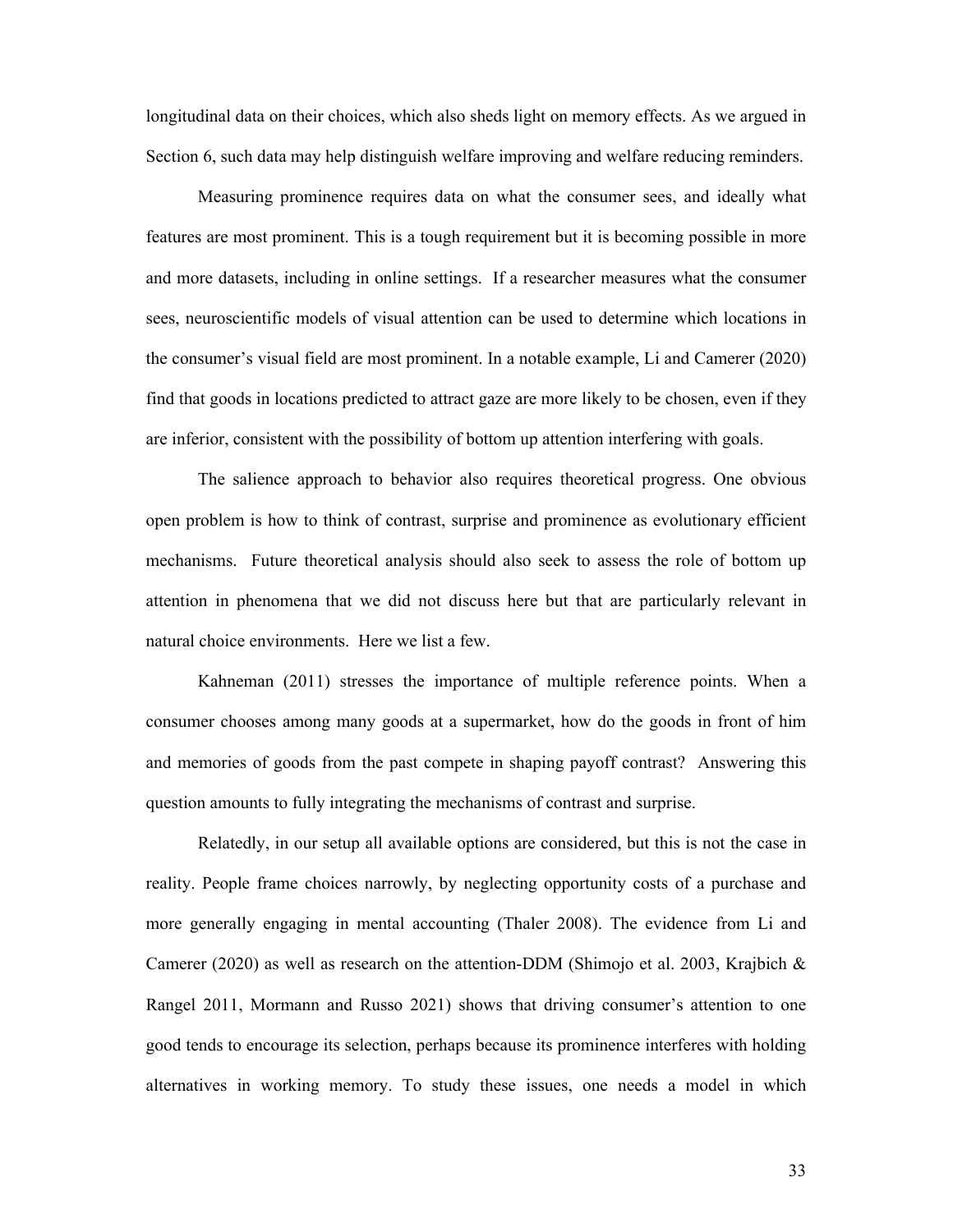longitudinal data on their choices, which also sheds light on memory effects. As we argued in Section 6, such data may help distinguish welfare improving and welfare reducing reminders.

Measuring prominence requires data on what the consumer sees, and ideally what features are most prominent. This is a tough requirement but it is becoming possible in more and more datasets, including in online settings. If a researcher measures what the consumer sees, neuroscientific models of visual attention can be used to determine which locations in the consumer's visual field are most prominent. In a notable example, Li and Camerer (2020) find that goods in locations predicted to attract gaze are more likely to be chosen, even if they are inferior, consistent with the possibility of bottom up attention interfering with goals.

The salience approach to behavior also requires theoretical progress. One obvious open problem is how to think of contrast, surprise and prominence as evolutionary efficient mechanisms. Future theoretical analysis should also seek to assess the role of bottom up attention in phenomena that we did not discuss here but that are particularly relevant in natural choice environments. Here we list a few.

Kahneman (2011) stresses the importance of multiple reference points. When a consumer chooses among many goods at a supermarket, how do the goods in front of him and memories of goods from the past compete in shaping payoff contrast? Answering this question amounts to fully integrating the mechanisms of contrast and surprise.

Relatedly, in our setup all available options are considered, but this is not the case in reality. People frame choices narrowly, by neglecting opportunity costs of a purchase and more generally engaging in mental accounting (Thaler 2008). The evidence from Li and Camerer (2020) as well as research on the attention-DDM (Shimojo et al. 2003, Krajbich & Rangel 2011, Mormann and Russo 2021) shows that driving consumer's attention to one good tends to encourage its selection, perhaps because its prominence interferes with holding alternatives in working memory. To study these issues, one needs a model in which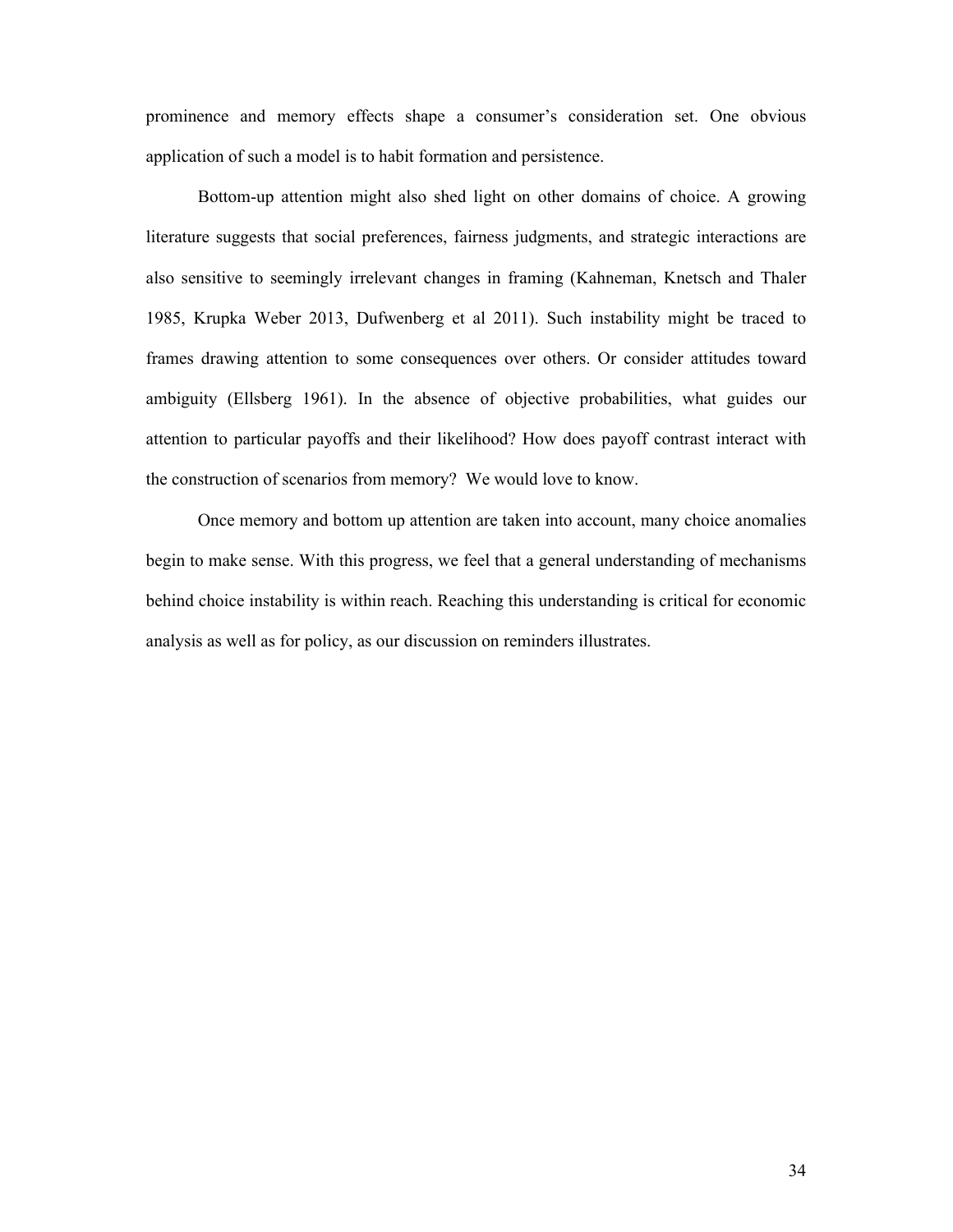prominence and memory effects shape a consumer's consideration set. One obvious application of such a model is to habit formation and persistence.

Bottom-up attention might also shed light on other domains of choice. A growing literature suggests that social preferences, fairness judgments, and strategic interactions are also sensitive to seemingly irrelevant changes in framing (Kahneman, Knetsch and Thaler 1985, Krupka Weber 2013, Dufwenberg et al 2011). Such instability might be traced to frames drawing attention to some consequences over others. Or consider attitudes toward ambiguity (Ellsberg 1961). In the absence of objective probabilities, what guides our attention to particular payoffs and their likelihood? How does payoff contrast interact with the construction of scenarios from memory? We would love to know.

Once memory and bottom up attention are taken into account, many choice anomalies begin to make sense. With this progress, we feel that a general understanding of mechanisms behind choice instability is within reach. Reaching this understanding is critical for economic analysis as well as for policy, as our discussion on reminders illustrates.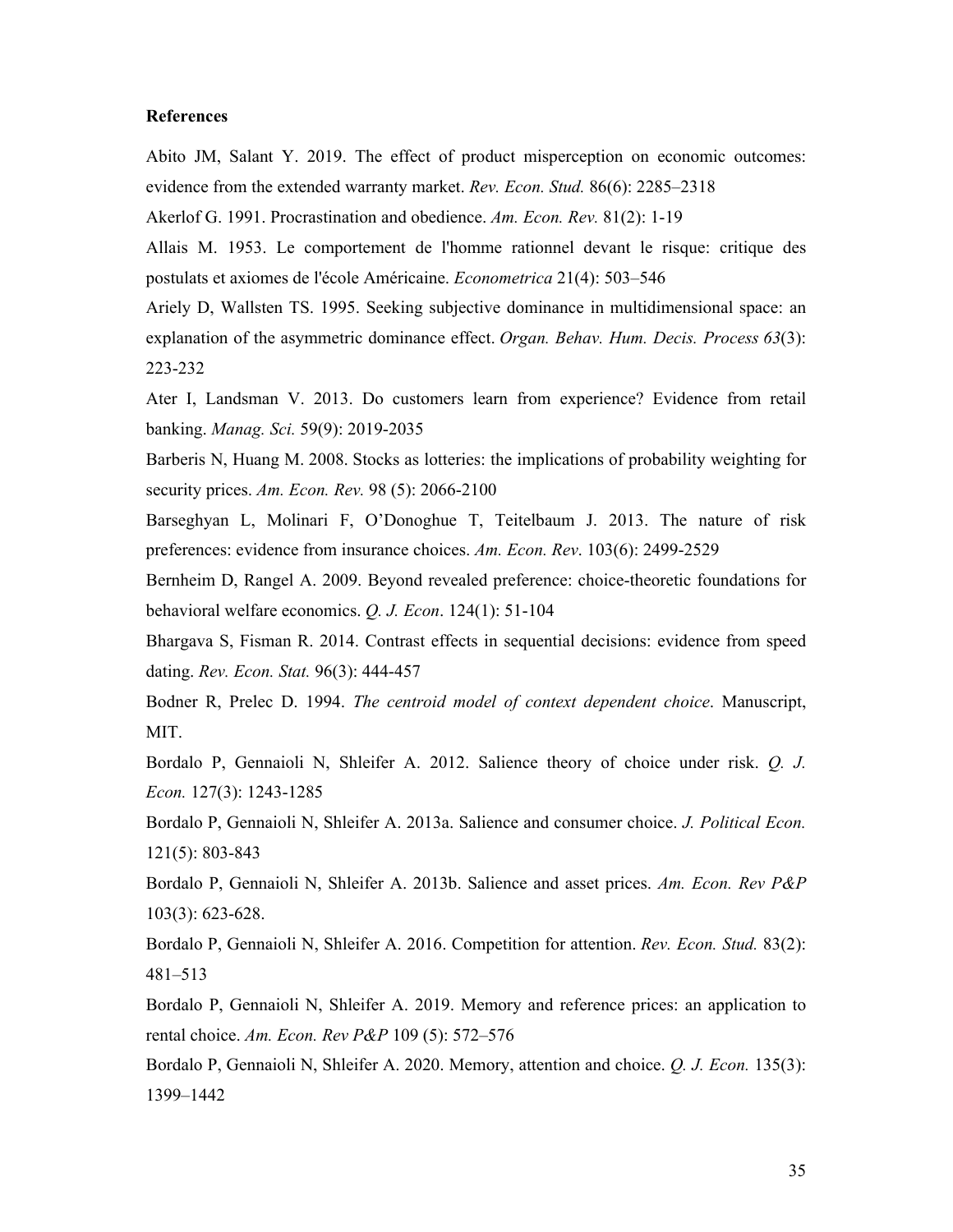## **References**

Abito JM, Salant Y. 2019. The effect of product misperception on economic outcomes: evidence from the extended warranty market. *Rev. Econ. Stud.* 86(6): 2285–2318

Akerlof G. 1991. Procrastination and obedience. *Am. Econ. Rev.* 81(2): 1-19

Allais M. 1953. Le comportement de l'homme rationnel devant le risque: critique des postulats et axiomes de l'école Américaine. *Econometrica* 21(4): 503–546

Ariely D, Wallsten TS. 1995. Seeking subjective dominance in multidimensional space: an explanation of the asymmetric dominance effect. *Organ. Behav. Hum. Decis. Process 63*(3): 223-232

Ater I, Landsman V. 2013. Do customers learn from experience? Evidence from retail banking. *Manag. Sci.* 59(9): 2019-2035

Barberis N, Huang M. 2008. Stocks as lotteries: the implications of probability weighting for security prices. *Am. Econ. Rev.* 98 (5): 2066-2100

Barseghyan L, Molinari F, O'Donoghue T, Teitelbaum J. 2013. The nature of risk preferences: evidence from insurance choices. *Am. Econ. Rev*. 103(6): 2499-2529

Bernheim D, Rangel A. 2009. Beyond revealed preference: choice-theoretic foundations for behavioral welfare economics. *Q. J. Econ*. 124(1): 51-104

Bhargava S, Fisman R. 2014. Contrast effects in sequential decisions: evidence from speed dating. *Rev. Econ. Stat.* 96(3): 444-457

Bodner R, Prelec D. 1994. *The centroid model of context dependent choice*. Manuscript, MIT.

Bordalo P, Gennaioli N, Shleifer A. 2012. Salience theory of choice under risk. *Q. J. Econ.* 127(3): 1243-1285

Bordalo P, Gennaioli N, Shleifer A. 2013a. Salience and consumer choice. *J. Political Econ.* 121(5): 803-843

Bordalo P, Gennaioli N, Shleifer A. 2013b. Salience and asset prices. *Am. Econ. Rev P&P* 103(3): 623-628.

Bordalo P, Gennaioli N, Shleifer A. 2016. Competition for attention. *Rev. Econ. Stud.* 83(2): 481–513

Bordalo P, Gennaioli N, Shleifer A. 2019. Memory and reference prices: an application to rental choice. *Am. Econ. Rev P&P* 109 (5): 572–576

Bordalo P, Gennaioli N, Shleifer A. 2020. Memory, attention and choice. *Q. J. Econ.* 135(3): 1399–1442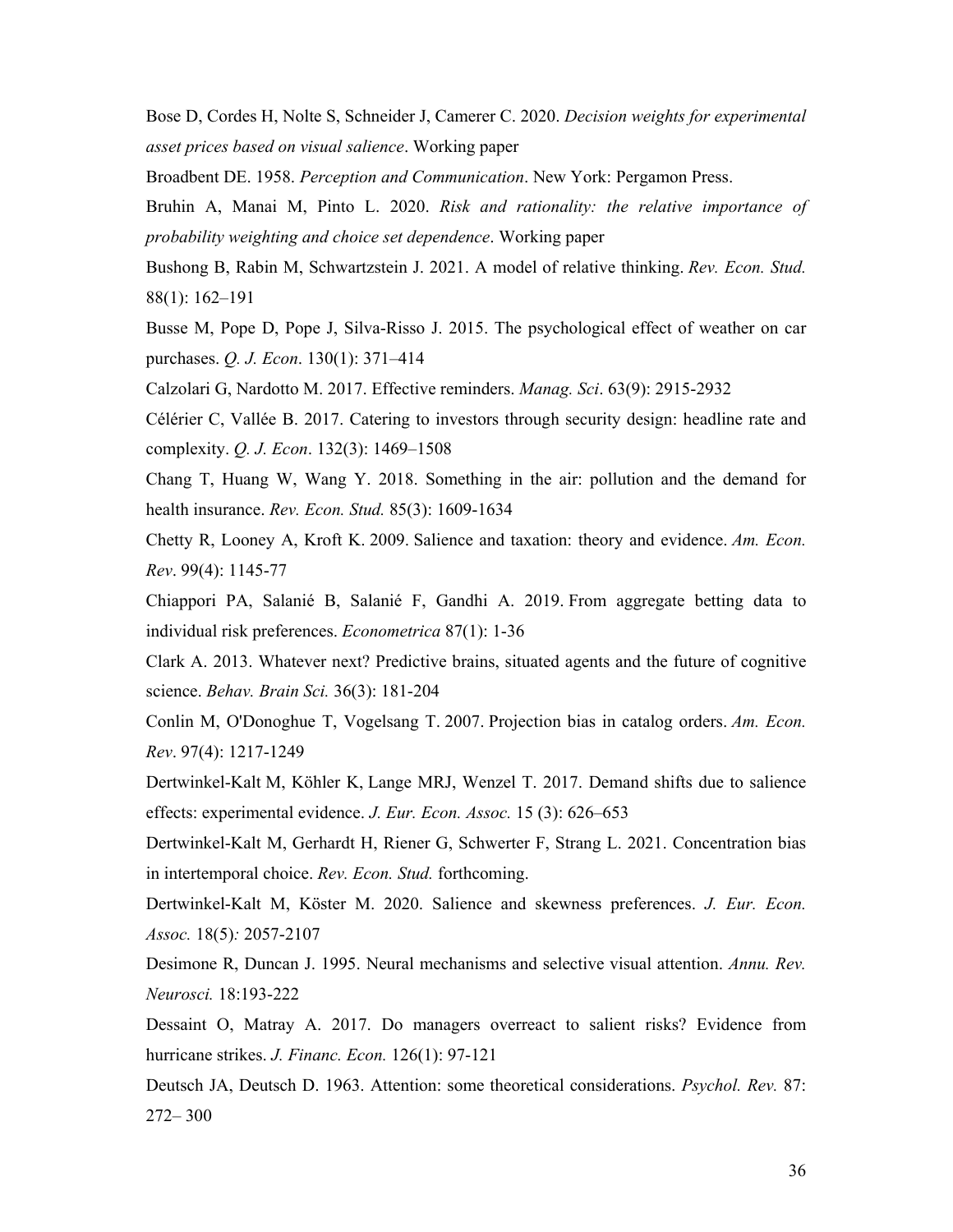Bose D, Cordes H, Nolte S, Schneider J, Camerer C. 2020. *Decision weights for experimental asset prices based on visual salience*. Working paper

Broadbent DE. 1958. *Perception and Communication*. New York: Pergamon Press.

Bruhin A, Manai M, Pinto L. 2020. *Risk and rationality: the relative importance of probability weighting and choice set dependence*. Working paper

Bushong B, Rabin M, Schwartzstein J. 2021. A model of relative thinking. *Rev. Econ. Stud.* 88(1): 162–191

Busse M, Pope D, Pope J, Silva-Risso J. 2015. The psychological effect of weather on car purchases. *Q. J. Econ*. 130(1): 371–414

Calzolari G, Nardotto M. 2017. Effective reminders. *Manag. Sci*. 63(9): 2915-2932

Célérier C, Vallée B. 2017. Catering to investors through security design: headline rate and complexity. *Q. J. Econ*. 132(3): 1469–1508

Chang T, Huang W, Wang Y. 2018. Something in the air: pollution and the demand for health insurance. *Rev. Econ. Stud.* 85(3): 1609-1634

Chetty R, Looney A, Kroft K. 2009. Salience and taxation: theory and evidence. *Am. Econ. Rev*. 99(4): 1145-77

Chiappori PA, Salanié B, Salanié F, Gandhi A. 2019. From aggregate betting data to individual risk preferences. *Econometrica* 87(1): 1-36

Clark A. 2013. Whatever next? Predictive brains, situated agents and the future of cognitive science. *Behav. Brain Sci.* 36(3): 181-204

Conlin M, O'Donoghue T, Vogelsang T. 2007. Projection bias in catalog orders. *Am. Econ. Rev*. 97(4): 1217-1249

Dertwinkel-Kalt M, Köhler K, Lange MRJ, Wenzel T. 2017. Demand shifts due to salience effects: experimental evidence. *J. Eur. Econ. Assoc.* 15 (3): 626–653

Dertwinkel-Kalt M, Gerhardt H, Riener G, Schwerter F, Strang L. 2021. Concentration bias in intertemporal choice. *Rev. Econ. Stud.* forthcoming.

Dertwinkel-Kalt M, Köster M. 2020. Salience and skewness preferences. *J. Eur. Econ. Assoc.* 18(5)*:* 2057-2107

Desimone R, Duncan J. 1995. Neural mechanisms and selective visual attention. *Annu. Rev. Neurosci.* 18:193-222

Dessaint O, Matray A. 2017. Do managers overreact to salient risks? Evidence from hurricane strikes. *J. Financ. Econ.* 126(1): 97-121

Deutsch JA, Deutsch D. 1963. Attention: some theoretical considerations. *Psychol. Rev.* 87: 272– 300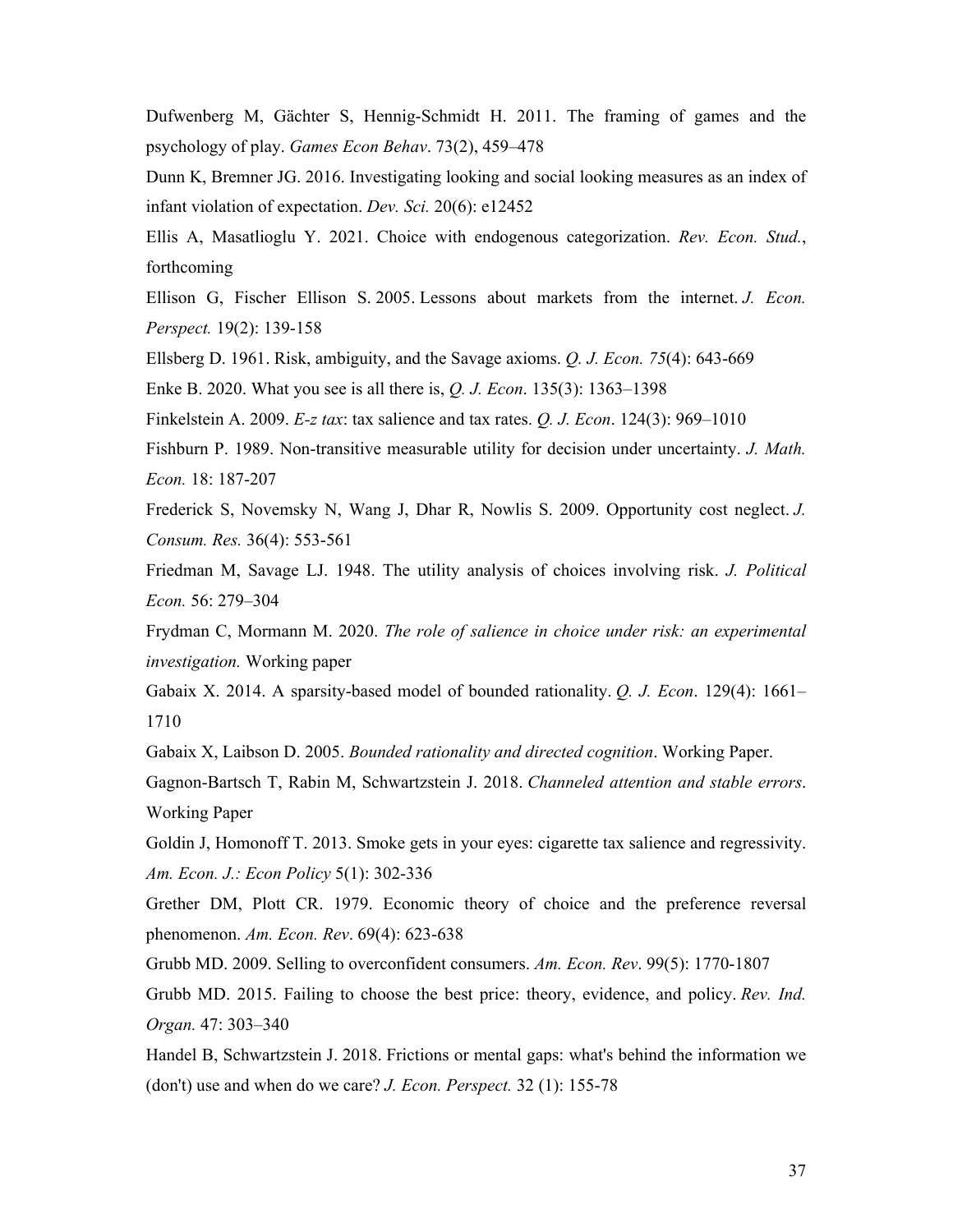Dufwenberg M, Gächter S, Hennig-Schmidt H. 2011. The framing of games and the psychology of play. *Games Econ Behav*. 73(2), 459–478

Dunn K, Bremner JG. 2016. Investigating looking and social looking measures as an index of infant violation of expectation. *Dev. Sci.* 20(6): e12452

Ellis A, Masatlioglu Y. 2021. Choice with endogenous categorization. *Rev. Econ. Stud.*, forthcoming

Ellison G, Fischer Ellison S. 2005. Lessons about markets from the internet. *J. Econ. Perspect.* 19(2): 139-158

Ellsberg D. 1961. Risk, ambiguity, and the Savage axioms. *Q. J. Econ. 75*(4): 643-669

Enke B. 2020. What you see is all there is, *Q. J. Econ*. 135(3): 1363–1398

Finkelstein A. 2009. *E-z tax*: tax salience and tax rates. *Q. J. Econ*. 124(3): 969–1010

Fishburn P. 1989. Non-transitive measurable utility for decision under uncertainty. *J. Math. Econ.* 18: 187-207

Frederick S, Novemsky N, Wang J, Dhar R, Nowlis S. 2009. Opportunity cost neglect. *J. Consum. Res.* 36(4): 553-561

Friedman M, Savage LJ. 1948. The utility analysis of choices involving risk. *J. Political Econ.* 56: 279–304

Frydman C, Mormann M. 2020. *The role of salience in choice under risk: an experimental investigation.* Working paper

Gabaix X. 2014. A sparsity-based model of bounded rationality. *Q. J. Econ*. 129(4): 1661– 1710

Gabaix X, Laibson D. 2005. *Bounded rationality and directed cognition*. Working Paper.

Gagnon-Bartsch T, Rabin M, Schwartzstein J. 2018. *Channeled attention and stable errors*. Working Paper

Goldin J, Homonoff T. 2013. Smoke gets in your eyes: cigarette tax salience and regressivity. *Am. Econ. J.: Econ Policy* 5(1): 302-336

Grether DM, Plott CR. 1979. Economic theory of choice and the preference reversal phenomenon. *Am. Econ. Rev*. 69(4): 623-638

Grubb MD. 2009. Selling to overconfident consumers. *Am. Econ. Rev*. 99(5): 1770-1807

Grubb MD. 2015. Failing to choose the best price: theory, evidence, and policy. *Rev. Ind. Organ.* 47: 303–340

Handel B, Schwartzstein J. 2018. Frictions or mental gaps: what's behind the information we (don't) use and when do we care? *J. Econ. Perspect.* 32 (1): 155-78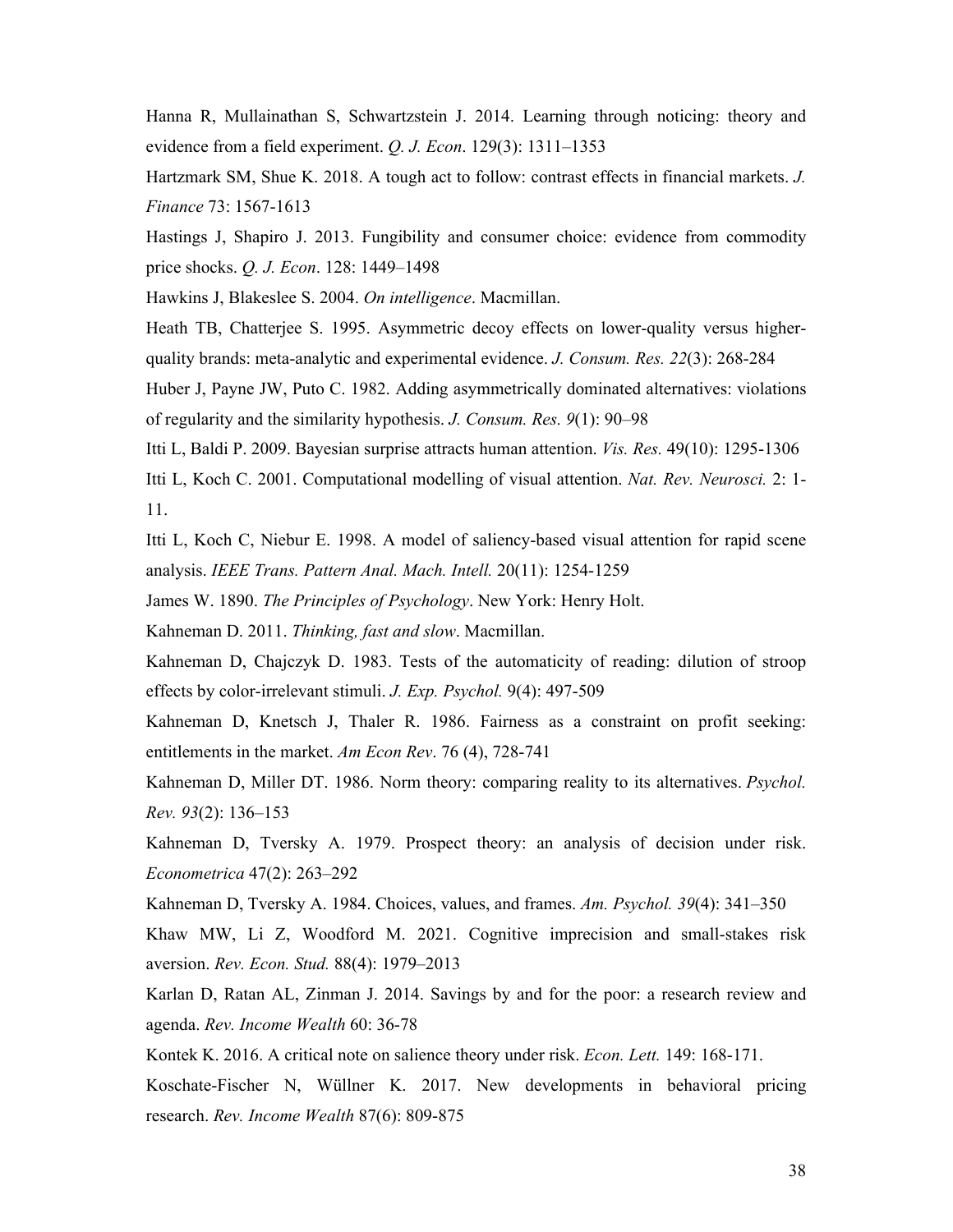Hanna R, Mullainathan S, Schwartzstein J. 2014. Learning through noticing: theory and evidence from a field experiment. *Q. J. Econ*. 129(3): 1311–1353

Hartzmark SM, Shue K. 2018. A tough act to follow: contrast effects in financial markets. *J. Finance* 73: 1567-1613

Hastings J, Shapiro J. 2013. Fungibility and consumer choice: evidence from commodity price shocks. *Q. J. Econ*. 128: 1449–1498

Hawkins J, Blakeslee S. 2004. *On intelligence*. Macmillan.

Heath TB, Chatterjee S. 1995. Asymmetric decoy effects on lower-quality versus higherquality brands: meta-analytic and experimental evidence. *J. Consum. Res. 22*(3): 268-284

Huber J, Payne JW, Puto C. 1982. Adding asymmetrically dominated alternatives: violations of regularity and the similarity hypothesis. *J. Consum. Res. 9*(1): 90–98

Itti L, Baldi P. 2009. Bayesian surprise attracts human attention. *Vis. Res.* 49(10): 1295-1306

Itti L, Koch C. 2001. Computational modelling of visual attention. *Nat. Rev. Neurosci.* 2: 1- 11.

Itti L, Koch C, Niebur E. 1998. A model of saliency-based visual attention for rapid scene analysis. *IEEE Trans. Pattern Anal. Mach. Intell.* 20(11): 1254-1259

James W. 1890. *The Principles of Psychology*. New York: Henry Holt.

Kahneman D. 2011. *Thinking, fast and slow*. Macmillan.

Kahneman D, Chajczyk D. 1983. Tests of the automaticity of reading: dilution of stroop effects by color-irrelevant stimuli. *J. Exp. Psychol.* 9(4): 497-509

Kahneman D, Knetsch J, Thaler R. 1986. Fairness as a constraint on profit seeking: entitlements in the market. *Am Econ Rev*. 76 (4), 728-741

Kahneman D, Miller DT. 1986. Norm theory: comparing reality to its alternatives. *Psychol. Rev. 93*(2): 136–153

Kahneman D, Tversky A. 1979. Prospect theory: an analysis of decision under risk. *Econometrica* 47(2): 263–292

Kahneman D, Tversky A. 1984. Choices, values, and frames. *Am. Psychol. 39*(4): 341–350

Khaw MW, Li Z, Woodford M. 2021. Cognitive imprecision and small-stakes risk aversion. *Rev. Econ. Stud.* 88(4): 1979–2013

Karlan D, Ratan AL, Zinman J. 2014. Savings by and for the poor: a research review and agenda. *Rev. Income Wealth* 60: 36-78

Kontek K. 2016. A critical note on salience theory under risk. *Econ. Lett.* 149: 168-171.

Koschate-Fischer N, Wüllner K. 2017. New developments in behavioral pricing research. *Rev. Income Wealth* 87(6): 809-875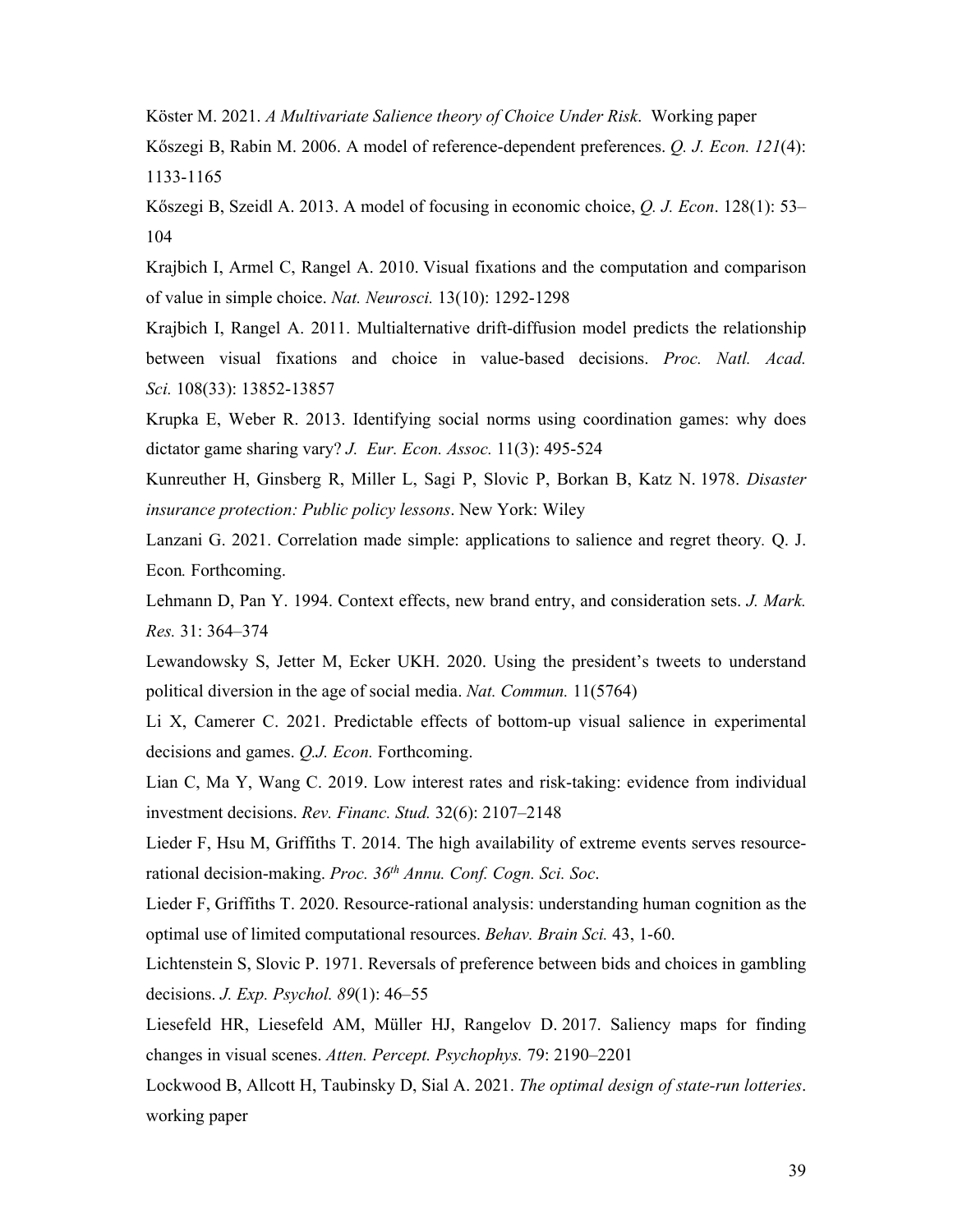Köster M. 2021. *A Multivariate Salience theory of Choice Under Risk*. Working paper

Kőszegi B, Rabin M. 2006. A model of reference-dependent preferences. *Q. J. Econ. 121*(4): 1133-1165

Kőszegi B, Szeidl A. 2013. A model of focusing in economic choice, *Q. J. Econ*. 128(1): 53– 104

Krajbich I, Armel C, Rangel A. 2010. Visual fixations and the computation and comparison of value in simple choice. *Nat. Neurosci.* 13(10): 1292-1298

Krajbich I, Rangel A. 2011. Multialternative drift-diffusion model predicts the relationship between visual fixations and choice in value-based decisions. *Proc. Natl. Acad. Sci.* 108(33): 13852-13857

Krupka E, Weber R. 2013. Identifying social norms using coordination games: why does dictator game sharing vary? *J. Eur. Econ. Assoc.* 11(3): 495-524

Kunreuther H, Ginsberg R, Miller L, Sagi P, Slovic P, Borkan B, Katz N. 1978. *Disaster insurance protection: Public policy lessons*. New York: Wiley

Lanzani G. 2021. Correlation made simple: applications to salience and regret theory*.* Q. J. Econ*.* Forthcoming.

Lehmann D, Pan Y. 1994. Context effects, new brand entry, and consideration sets. *J. Mark. Res.* 31: 364–374

Lewandowsky S, Jetter M, Ecker UKH. 2020. Using the president's tweets to understand political diversion in the age of social media. *Nat. Commun.* 11(5764)

Li X, Camerer C. 2021. Predictable effects of bottom-up visual salience in experimental decisions and games. *Q.J. Econ.* Forthcoming.

Lian C, Ma Y, Wang C. 2019. Low interest rates and risk-taking: evidence from individual investment decisions. *Rev. Financ. Stud.* 32(6): 2107–2148

Lieder F, Hsu M, Griffiths T. 2014. The high availability of extreme events serves resourcerational decision-making. *Proc. 36th Annu. Conf. Cogn. Sci. Soc*.

Lieder F, Griffiths T. 2020. Resource-rational analysis: understanding human cognition as the optimal use of limited computational resources. *Behav. Brain Sci.* 43, 1-60.

Lichtenstein S, Slovic P. 1971. Reversals of preference between bids and choices in gambling decisions. *J. Exp. Psychol. 89*(1): 46–55

Liesefeld HR, Liesefeld AM, Müller HJ, Rangelov D. 2017. Saliency maps for finding changes in visual scenes. *Atten. Percept. Psychophys.* 79: 2190–2201

Lockwood B, Allcott H, Taubinsky D, Sial A. 2021. *The optimal design of state-run lotteries*. working paper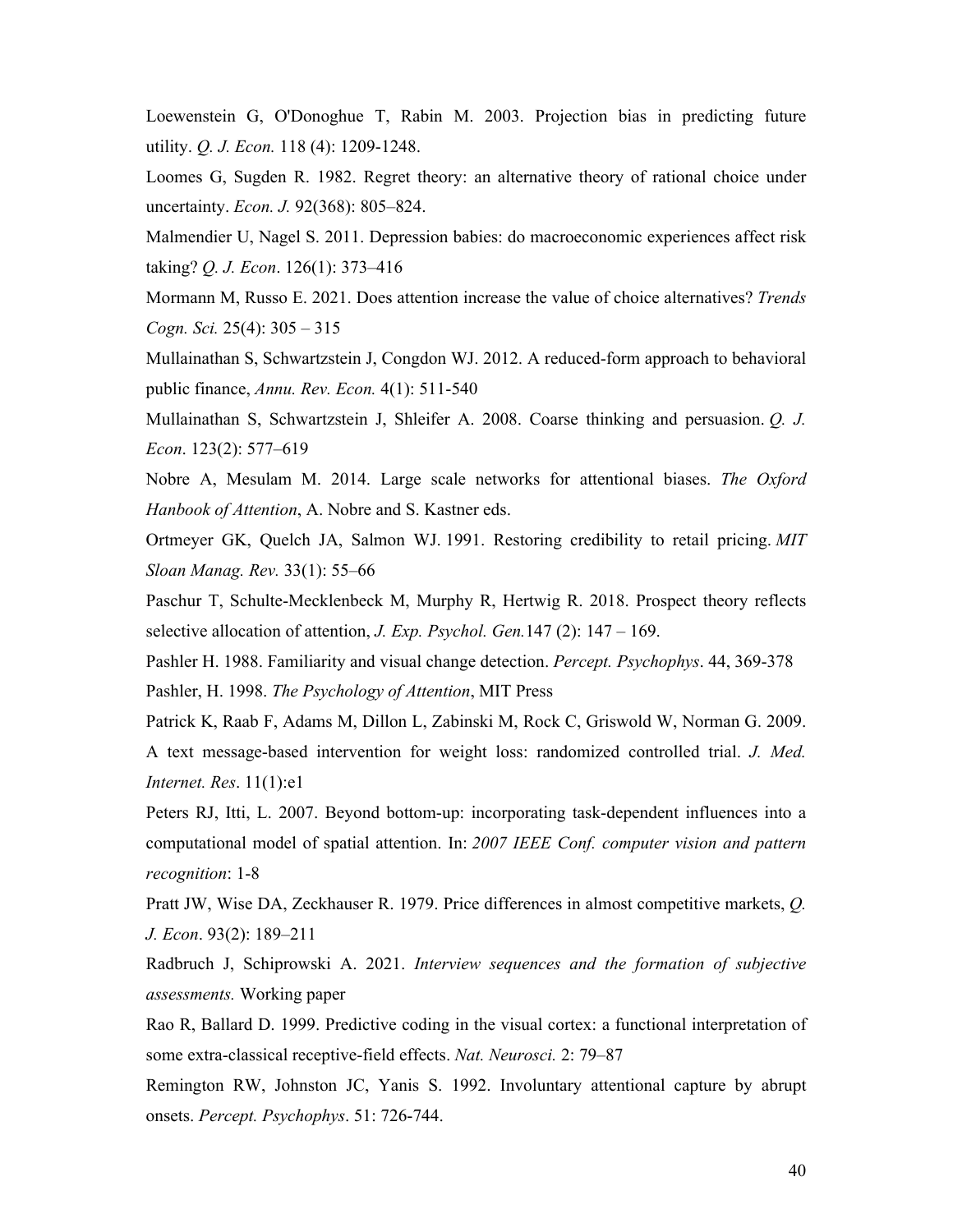Loewenstein G, O'Donoghue T, Rabin M. 2003. Projection bias in predicting future utility. *Q. J. Econ.* 118 (4): 1209-1248.

Loomes G, Sugden R. 1982. Regret theory: an alternative theory of rational choice under uncertainty. *Econ. J.* 92(368): 805–824.

Malmendier U, Nagel S. 2011. Depression babies: do macroeconomic experiences affect risk taking? *Q. J. Econ*. 126(1): 373–416

Mormann M, Russo E. 2021. Does attention increase the value of choice alternatives? *Trends Cogn. Sci.* 25(4): 305 – 315

Mullainathan S, Schwartzstein J, Congdon WJ. 2012. A reduced-form approach to behavioral public finance, *Annu. Rev. Econ.* 4(1): 511-540

Mullainathan S, Schwartzstein J, Shleifer A. 2008. Coarse thinking and persuasion. *Q. J. Econ*. 123(2): 577–619

Nobre A, Mesulam M. 2014. Large scale networks for attentional biases. *The Oxford Hanbook of Attention*, A. Nobre and S. Kastner eds.

Ortmeyer GK, Quelch JA, Salmon WJ. 1991. Restoring credibility to retail pricing. *MIT Sloan Manag. Rev.* 33(1): 55–66

Paschur T, Schulte-Mecklenbeck M, Murphy R, Hertwig R. 2018. Prospect theory reflects selective allocation of attention, *J. Exp. Psychol. Gen.*147 (2): 147 – 169.

Pashler H. 1988. Familiarity and visual change detection. *Percept. Psychophys*. 44, 369-378 Pashler, H. 1998. *The Psychology of Attention*, MIT Press

Patrick K, Raab F, Adams M, Dillon L, Zabinski M, Rock C, Griswold W, Norman G. 2009. A text message-based intervention for weight loss: randomized controlled trial. *J. Med. Internet. Res*. 11(1):e1

Peters RJ, Itti, L. 2007. Beyond bottom-up: incorporating task-dependent influences into a computational model of spatial attention. In: *2007 IEEE Conf. computer vision and pattern recognition*: 1-8

Pratt JW, Wise DA, Zeckhauser R. 1979. Price differences in almost competitive markets, *Q. J. Econ*. 93(2): 189–211

Radbruch J, Schiprowski A. 2021. *Interview sequences and the formation of subjective assessments.* Working paper

Rao R, Ballard D. 1999. Predictive coding in the visual cortex: a functional interpretation of some extra-classical receptive-field effects. *Nat. Neurosci.* 2: 79–87

Remington RW, Johnston JC, Yanis S. 1992. Involuntary attentional capture by abrupt onsets. *Percept. Psychophys*. 51: 726-744.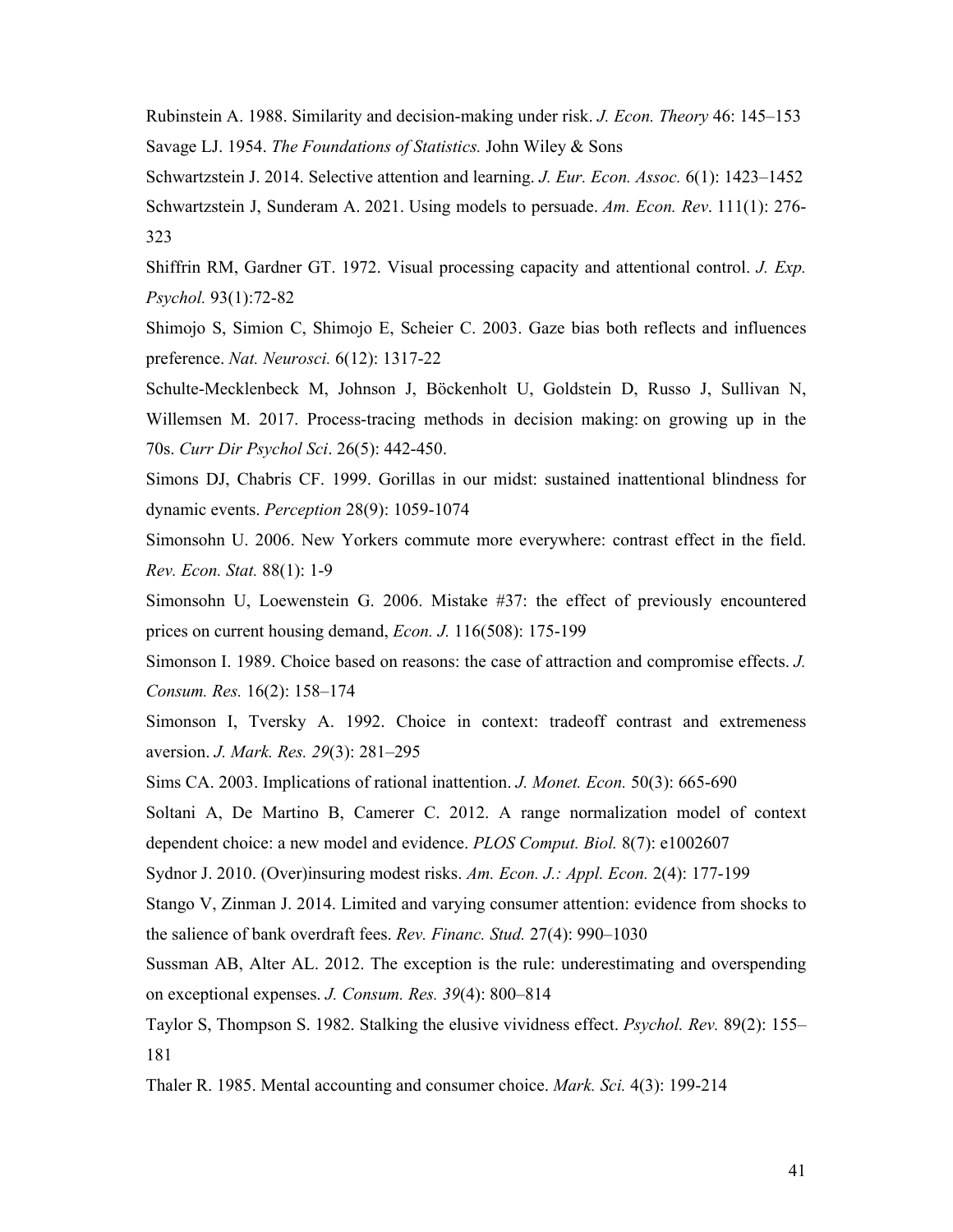Rubinstein A. 1988. Similarity and decision-making under risk. *J. Econ. Theory* 46: 145–153 Savage LJ. 1954. *The Foundations of Statistics.* John Wiley & Sons

Schwartzstein J. 2014. Selective attention and learning. *J. Eur. Econ. Assoc.* 6(1): 1423–1452 Schwartzstein J, Sunderam A. 2021. Using models to persuade. *Am. Econ. Rev*. 111(1): 276- 323

Shiffrin RM, Gardner GT. 1972. Visual processing capacity and attentional control. *J. Exp. Psychol.* 93(1):72-82

Shimojo S, Simion C, Shimojo E, Scheier C. 2003. Gaze bias both reflects and influences preference. *Nat. Neurosci.* 6(12): 1317-22

Schulte-Mecklenbeck M, Johnson J, Böckenholt U, Goldstein D, Russo J, Sullivan N, Willemsen M. 2017. Process-tracing methods in decision making: on growing up in the 70s. *Curr Dir Psychol Sci*. 26(5): 442-450.

Simons DJ, Chabris CF. 1999. Gorillas in our midst: sustained inattentional blindness for dynamic events. *Perception* 28(9): 1059-1074

Simonsohn U. 2006. New Yorkers commute more everywhere: contrast effect in the field. *Rev. Econ. Stat.* 88(1): 1-9

Simonsohn U, Loewenstein G. 2006. Mistake #37: the effect of previously encountered prices on current housing demand, *Econ. J.* 116(508): 175-199

Simonson I. 1989. Choice based on reasons: the case of attraction and compromise effects. *J. Consum. Res.* 16(2): 158–174

Simonson I, Tversky A. 1992. Choice in context: tradeoff contrast and extremeness aversion. *J. Mark. Res. 29*(3): 281–295

Sims CA. 2003. Implications of rational inattention. *J. Monet. Econ.* 50(3): 665-690

Soltani A, De Martino B, Camerer C. 2012. A range normalization model of context dependent choice: a new model and evidence. *PLOS Comput. Biol.* 8(7): e1002607

Sydnor J. 2010. (Over)insuring modest risks. *Am. Econ. J.: Appl. Econ.* 2(4): 177-199

Stango V, Zinman J. 2014. Limited and varying consumer attention: evidence from shocks to the salience of bank overdraft fees. *Rev. Financ. Stud.* 27(4): 990–1030

Sussman AB, Alter AL. 2012. The exception is the rule: underestimating and overspending on exceptional expenses. *J. Consum. Res. 39*(4): 800–814

Taylor S, Thompson S. 1982. Stalking the elusive vividness effect. *Psychol. Rev.* 89(2): 155– 181

Thaler R. 1985. Mental accounting and consumer choice. *Mark. Sci.* 4(3): 199-214